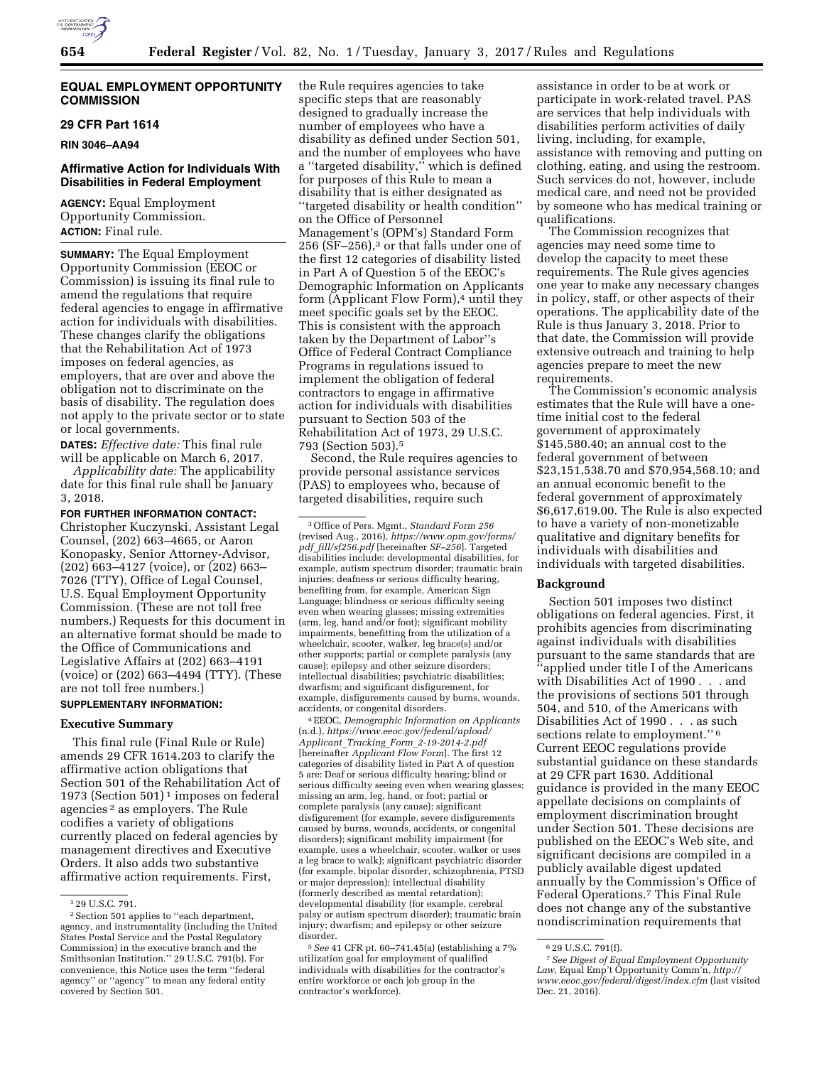

#### **EQUAL EMPLOYMENT OPPORTUNITY COMMISSION**

## **29 CFR Part 1614**

**RIN 3046–AA94** 

## **Affirmative Action for Individuals With Disabilities in Federal Employment**

**AGENCY:** Equal Employment Opportunity Commission. **ACTION:** Final rule.

**SUMMARY:** The Equal Employment Opportunity Commission (EEOC or Commission) is issuing its final rule to amend the regulations that require federal agencies to engage in affirmative action for individuals with disabilities. These changes clarify the obligations that the Rehabilitation Act of 1973 imposes on federal agencies, as employers, that are over and above the obligation not to discriminate on the basis of disability. The regulation does not apply to the private sector or to state or local governments.

**DATES:** *Effective date:* This final rule will be applicable on March 6, 2017.

*Applicability date:* The applicability date for this final rule shall be January 3, 2018.

**FOR FURTHER INFORMATION CONTACT:**  Christopher Kuczynski, Assistant Legal Counsel, (202) 663–4665, or Aaron Konopasky, Senior Attorney-Advisor, (202) 663–4127 (voice), or (202) 663– 7026 (TTY), Office of Legal Counsel, U.S. Equal Employment Opportunity Commission. (These are not toll free numbers.) Requests for this document in an alternative format should be made to the Office of Communications and Legislative Affairs at (202) 663–4191 (voice) or (202) 663–4494 (TTY). (These are not toll free numbers.)

# **SUPPLEMENTARY INFORMATION:**

## **Executive Summary**

This final rule (Final Rule or Rule) amends 29 CFR 1614.203 to clarify the affirmative action obligations that Section 501 of the Rehabilitation Act of 1973 (Section 501) 1 imposes on federal agencies 2 as employers. The Rule codifies a variety of obligations currently placed on federal agencies by management directives and Executive Orders. It also adds two substantive affirmative action requirements. First,

the Rule requires agencies to take specific steps that are reasonably designed to gradually increase the number of employees who have a disability as defined under Section 501, and the number of employees who have a ''targeted disability,'' which is defined for purposes of this Rule to mean a disability that is either designated as ''targeted disability or health condition'' on the Office of Personnel Management's (OPM's) Standard Form 256 ( $\overline{\rm SF}$ –256),<sup>3</sup> or that falls under one of the first 12 categories of disability listed in Part A of Question 5 of the EEOC's Demographic Information on Applicants form (Applicant Flow Form),<sup>4</sup> until they meet specific goals set by the EEOC. This is consistent with the approach taken by the Department of Labor''s Office of Federal Contract Compliance Programs in regulations issued to implement the obligation of federal contractors to engage in affirmative action for individuals with disabilities pursuant to Section 503 of the Rehabilitation Act of 1973, 29 U.S.C. 793 (Section 503).5

Second, the Rule requires agencies to provide personal assistance services (PAS) to employees who, because of targeted disabilities, require such

3Office of Pers. Mgmt., *Standard Form 256*  (revised Aug., 2016), *[https://www.opm.gov/forms/](https://www.opm.gov/forms/pdf_fill/sf256.pdf) pdf*\_*[fill/sf256.pdf](https://www.opm.gov/forms/pdf_fill/sf256.pdf)* [hereinafter *SF–256*]. Targeted disabilities include: developmental disabilities, for example, autism spectrum disorder; traumatic brain injuries; deafness or serious difficulty hearing, benefiting from, for example, American Sign Language; blindness or serious difficulty seeing even when wearing glasses; missing extremities (arm, leg, hand and/or foot); significant mobility impairments, benefitting from the utilization of a wheelchair, scooter, walker, leg brace(s) and/or other supports; partial or complete paralysis (any cause); epilepsy and other seizure disorders; intellectual disabilities; psychiatric disabilities; dwarfism; and significant disfigurement, for example, disfigurements caused by burns, wounds, accidents, or congenital disorders.

4EEOC, *Demographic Information on Applicants*  (n.d.), *[https://www.eeoc.gov/federal/upload/](https://www.eeoc.gov/federal/upload/Applicant_Tracking_Form_2-19-2014-2.pdf) Applicant*\_*Tracking*\_*Form*\_*[2-19-2014-2.pdf](https://www.eeoc.gov/federal/upload/Applicant_Tracking_Form_2-19-2014-2.pdf)*  [hereinafter *Applicant Flow Form*]. The first 12 categories of disability listed in Part A of question 5 are: Deaf or serious difficulty hearing; blind or serious difficulty seeing even when wearing glasses; missing an arm, leg, hand, or foot; partial or complete paralysis (any cause); significant disfigurement (for example, severe disfigurements caused by burns, wounds, accidents, or congenital disorders); significant mobility impairment (for example, uses a wheelchair, scooter, walker or uses a leg brace to walk); significant psychiatric disorder (for example, bipolar disorder, schizophrenia, PTSD or major depression); intellectual disability (formerly described as mental retardation); developmental disability (for example, cerebral palsy or autism spectrum disorder); traumatic brain injury; dwarfism; and epilepsy or other seizure disorder.

5*See* 41 CFR pt. 60–741.45(a) (establishing a 7% utilization goal for employment of qualified individuals with disabilities for the contractor's entire workforce or each job group in the contractor's workforce).

assistance in order to be at work or participate in work-related travel. PAS are services that help individuals with disabilities perform activities of daily living, including, for example, assistance with removing and putting on clothing, eating, and using the restroom. Such services do not, however, include medical care, and need not be provided by someone who has medical training or qualifications.

The Commission recognizes that agencies may need some time to develop the capacity to meet these requirements. The Rule gives agencies one year to make any necessary changes in policy, staff, or other aspects of their operations. The applicability date of the Rule is thus January 3, 2018. Prior to that date, the Commission will provide extensive outreach and training to help agencies prepare to meet the new requirements.

The Commission's economic analysis estimates that the Rule will have a onetime initial cost to the federal government of approximately \$145,580.40; an annual cost to the federal government of between \$23,151,538.70 and \$70,954,568.10; and an annual economic benefit to the federal government of approximately \$6,617,619.00. The Rule is also expected to have a variety of non-monetizable qualitative and dignitary benefits for individuals with disabilities and individuals with targeted disabilities.

## **Background**

Section 501 imposes two distinct obligations on federal agencies. First, it prohibits agencies from discriminating against individuals with disabilities pursuant to the same standards that are ''applied under title I of the Americans with Disabilities Act of 1990 . . . and the provisions of sections 501 through 504, and 510, of the Americans with Disabilities Act of 1990 . . . as such sections relate to employment."<sup>6</sup> Current EEOC regulations provide substantial guidance on these standards at 29 CFR part 1630. Additional guidance is provided in the many EEOC appellate decisions on complaints of employment discrimination brought under Section 501. These decisions are published on the EEOC's Web site, and significant decisions are compiled in a publicly available digest updated annually by the Commission's Office of Federal Operations.7 This Final Rule does not change any of the substantive nondiscrimination requirements that

<sup>1</sup> 29 U.S.C. 791.

<sup>2</sup>Section 501 applies to ''each department, agency, and instrumentality (including the United States Postal Service and the Postal Regulatory Commission) in the executive branch and the Smithsonian Institution.'' 29 U.S.C. 791(b). For convenience, this Notice uses the term ''federal agency'' or ''agency'' to mean any federal entity covered by Section 501.

<sup>6</sup> 29 U.S.C. 791(f).

<sup>7</sup>*See Digest of Equal Employment Opportunity Law,* Equal Emp't Opportunity Comm'n, *[http://](http://www.eeoc.gov/federal/digest/index.cfm) [www.eeoc.gov/federal/digest/index.cfm](http://www.eeoc.gov/federal/digest/index.cfm)* (last visited Dec. 21, 2016).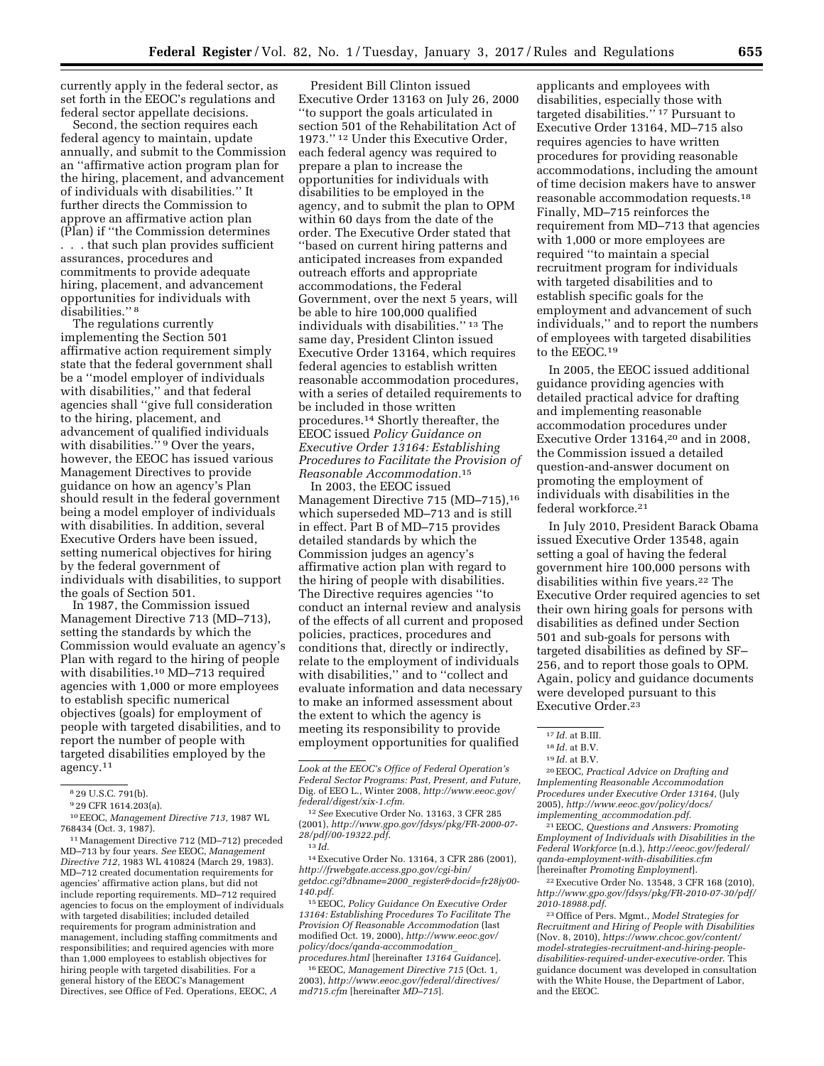currently apply in the federal sector, as set forth in the EEOC's regulations and federal sector appellate decisions.

Second, the section requires each federal agency to maintain, update annually, and submit to the Commission an ''affirmative action program plan for the hiring, placement, and advancement of individuals with disabilities.'' It further directs the Commission to approve an affirmative action plan (Plan) if ''the Commission determines . . . that such plan provides sufficient assurances, procedures and commitments to provide adequate hiring, placement, and advancement opportunities for individuals with disabilities."<sup>8</sup>

The regulations currently implementing the Section 501 affirmative action requirement simply state that the federal government shall be a ''model employer of individuals with disabilities,'' and that federal agencies shall ''give full consideration to the hiring, placement, and advancement of qualified individuals with disabilities."<sup>9</sup> Over the years, however, the EEOC has issued various Management Directives to provide guidance on how an agency's Plan should result in the federal government being a model employer of individuals with disabilities. In addition, several Executive Orders have been issued, setting numerical objectives for hiring by the federal government of individuals with disabilities, to support the goals of Section 501.

In 1987, the Commission issued Management Directive 713 (MD–713), setting the standards by which the Commission would evaluate an agency's Plan with regard to the hiring of people with disabilities.<sup>10</sup> MD-713 required agencies with 1,000 or more employees to establish specific numerical objectives (goals) for employment of people with targeted disabilities, and to report the number of people with targeted disabilities employed by the agency.11

11Management Directive 712 (MD–712) preceded MD–713 by four years. *See* EEOC, *Management Directive 712,* 1983 WL 410824 (March 29, 1983). MD–712 created documentation requirements for agencies' affirmative action plans, but did not include reporting requirements. MD–712 required agencies to focus on the employment of individuals with targeted disabilities; included detailed requirements for program administration and management, including staffing commitments and responsibilities; and required agencies with more than 1,000 employees to establish objectives for hiring people with targeted disabilities. For a general history of the EEOC's Management Directives, see Office of Fed. Operations, EEOC, *A* 

President Bill Clinton issued Executive Order 13163 on July 26, 2000 ''to support the goals articulated in section 501 of the Rehabilitation Act of 1973.'' 12 Under this Executive Order, each federal agency was required to prepare a plan to increase the opportunities for individuals with disabilities to be employed in the agency, and to submit the plan to OPM within 60 days from the date of the order. The Executive Order stated that ''based on current hiring patterns and anticipated increases from expanded outreach efforts and appropriate accommodations, the Federal Government, over the next 5 years, will be able to hire 100,000 qualified individuals with disabilities.'' 13 The same day, President Clinton issued Executive Order 13164, which requires federal agencies to establish written reasonable accommodation procedures, with a series of detailed requirements to be included in those written procedures.14 Shortly thereafter, the EEOC issued *Policy Guidance on Executive Order 13164: Establishing Procedures to Facilitate the Provision of Reasonable Accommodation.*15

In 2003, the EEOC issued Management Directive 715 (MD–715),<sup>16</sup> which superseded MD–713 and is still in effect. Part B of MD–715 provides detailed standards by which the Commission judges an agency's affirmative action plan with regard to the hiring of people with disabilities. The Directive requires agencies ''to conduct an internal review and analysis of the effects of all current and proposed policies, practices, procedures and conditions that, directly or indirectly, relate to the employment of individuals with disabilities,'' and to ''collect and evaluate information and data necessary to make an informed assessment about the extent to which the agency is meeting its responsibility to provide employment opportunities for qualified

14Executive Order No. 13164, 3 CFR 286 (2001), *[http://frwebgate.access.gpo.gov/cgi-bin/](http://frwebgate.access.gpo.gov/cgi-bin/getdoc.cgi?dbname=2000_register&docid=fr28jy00-140.pdf) [getdoc.cgi?dbname=2000](http://frwebgate.access.gpo.gov/cgi-bin/getdoc.cgi?dbname=2000_register&docid=fr28jy00-140.pdf)*\_*register&docid=fr28jy00- [140.pdf](http://frwebgate.access.gpo.gov/cgi-bin/getdoc.cgi?dbname=2000_register&docid=fr28jy00-140.pdf)*.

15EEOC, *Policy Guidance On Executive Order 13164: Establishing Procedures To Facilitate The Provision Of Reasonable Accommodation* (last modified Oct. 19, 2000), *[http://www.eeoc.gov/](http://www.eeoc.gov/policy/docs/qanda-accommodation_procedures.html) [policy/docs/qanda-accommodation](http://www.eeoc.gov/policy/docs/qanda-accommodation_procedures.html)*\_ *[procedures.html](http://www.eeoc.gov/policy/docs/qanda-accommodation_procedures.html)* [hereinafter *13164 Guidance*].

16EEOC, *Management Directive 715* (Oct. 1, 2003), *[http://www.eeoc.gov/federal/directives/](http://www.eeoc.gov/federal/directives/md715.cfm) [md715.cfm](http://www.eeoc.gov/federal/directives/md715.cfm)* [hereinafter *MD–715*].

applicants and employees with disabilities, especially those with targeted disabilities.'' 17 Pursuant to Executive Order 13164, MD–715 also requires agencies to have written procedures for providing reasonable accommodations, including the amount of time decision makers have to answer reasonable accommodation requests.18 Finally, MD–715 reinforces the requirement from MD–713 that agencies with 1,000 or more employees are required ''to maintain a special recruitment program for individuals with targeted disabilities and to establish specific goals for the employment and advancement of such individuals,'' and to report the numbers of employees with targeted disabilities to the EEOC.19

In 2005, the EEOC issued additional guidance providing agencies with detailed practical advice for drafting and implementing reasonable accommodation procedures under Executive Order 13164,20 and in 2008, the Commission issued a detailed question-and-answer document on promoting the employment of individuals with disabilities in the federal workforce.21

In July 2010, President Barack Obama issued Executive Order 13548, again setting a goal of having the federal government hire 100,000 persons with disabilities within five years.<sup>22</sup> The Executive Order required agencies to set their own hiring goals for persons with disabilities as defined under Section 501 and sub-goals for persons with targeted disabilities as defined by SF– 256, and to report those goals to OPM. Again, policy and guidance documents were developed pursuant to this Executive Order.23

20EEOC, *Practical Advice on Drafting and Implementing Reasonable Accommodation Procedures under Executive Order 13164,* (July 2005), *[http://www.eeoc.gov/policy/docs/](http://www.eeoc.gov/policy/docs/implementing_accommodation.pdf) implementing*\_*[accommodation.pdf](http://www.eeoc.gov/policy/docs/implementing_accommodation.pdf)*.

21EEOC, *Questions and Answers: Promoting Employment of Individuals with Disabilities in the Federal Workforce* (n.d.), *[http://eeoc.gov/federal/](http://eeoc.gov/federal/qanda-employment-with-disabilities.cfm) [qanda-employment-with-disabilities.cfm](http://eeoc.gov/federal/qanda-employment-with-disabilities.cfm)*  [hereinafter *Promoting Employment*].

22Executive Order No. 13548, 3 CFR 168 (2010), *[http://www.gpo.gov/fdsys/pkg/FR-2010-07-30/pdf/](http://www.gpo.gov/fdsys/pkg/FR-2010-07-30/pdf/2010-18988.pdf) [2010-18988.pdf](http://www.gpo.gov/fdsys/pkg/FR-2010-07-30/pdf/2010-18988.pdf)*.

<sup>8</sup> 29 U.S.C. 791(b).

<sup>9</sup> 29 CFR 1614.203(a).

<sup>10</sup>EEOC, *Management Directive 713,* 1987 WL 768434 (Oct. 3, 1987).

*Look at the EEOC's Office of Federal Operation's Federal Sector Programs: Past, Present, and Future,*  Dig. of EEO L., Winter 2008, *[http://www.eeoc.gov/](http://www.eeoc.gov/federal/digest/xix-1.cfm) [federal/digest/xix-1.cfm](http://www.eeoc.gov/federal/digest/xix-1.cfm)*.

<sup>12</sup>*See* Executive Order No. 13163, 3 CFR 285 (2001), *[http://www.gpo.gov/fdsys/pkg/FR-2000-07-](http://www.gpo.gov/fdsys/pkg/FR-2000-07-28/pdf/00-19322.pdf)  [28/pdf/00-19322.pdf](http://www.gpo.gov/fdsys/pkg/FR-2000-07-28/pdf/00-19322.pdf)*.

<sup>13</sup> *Id.* 

<sup>17</sup> *Id.* at B.III.

<sup>18</sup> *Id.* at B.V.

<sup>19</sup> *Id.* at B.V.

<sup>23</sup>Office of Pers. Mgmt., *Model Strategies for Recruitment and Hiring of People with Disabilities*  (Nov. 8, 2010), *[https://www.chcoc.gov/content/](https://www.chcoc.gov/content/model-strategies-recruitment-and-hiring-people-disabilities-required-under-executive-order) [model-strategies-recruitment-and-hiring-people](https://www.chcoc.gov/content/model-strategies-recruitment-and-hiring-people-disabilities-required-under-executive-order)[disabilities-required-under-executive-order](https://www.chcoc.gov/content/model-strategies-recruitment-and-hiring-people-disabilities-required-under-executive-order)*. This guidance document was developed in consultation with the White House, the Department of Labor, and the EEOC.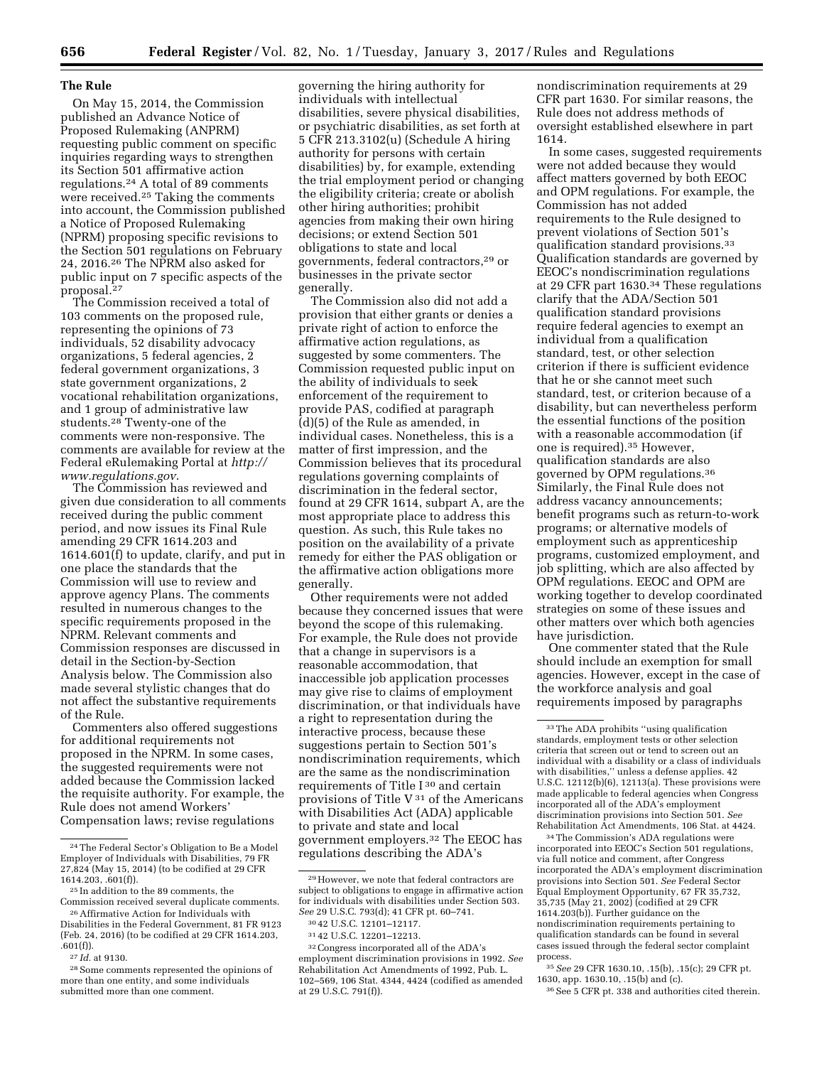# **The Rule**

On May 15, 2014, the Commission published an Advance Notice of Proposed Rulemaking (ANPRM) requesting public comment on specific inquiries regarding ways to strengthen its Section 501 affirmative action regulations.24 A total of 89 comments were received.<sup>25</sup> Taking the comments into account, the Commission published a Notice of Proposed Rulemaking (NPRM) proposing specific revisions to the Section 501 regulations on February 24, 2016.26 The NPRM also asked for public input on 7 specific aspects of the proposal.27

The Commission received a total of 103 comments on the proposed rule, representing the opinions of 73 individuals, 52 disability advocacy organizations, 5 federal agencies, 2 federal government organizations, 3 state government organizations, 2 vocational rehabilitation organizations, and 1 group of administrative law students.28 Twenty-one of the comments were non-responsive. The comments are available for review at the Federal eRulemaking Portal at *[http://](http://www.regulations.gov) [www.regulations.gov](http://www.regulations.gov)*.

The Commission has reviewed and given due consideration to all comments received during the public comment period, and now issues its Final Rule amending 29 CFR 1614.203 and 1614.601(f) to update, clarify, and put in one place the standards that the Commission will use to review and approve agency Plans. The comments resulted in numerous changes to the specific requirements proposed in the NPRM. Relevant comments and Commission responses are discussed in detail in the Section-by-Section Analysis below. The Commission also made several stylistic changes that do not affect the substantive requirements of the Rule.

Commenters also offered suggestions for additional requirements not proposed in the NPRM. In some cases, the suggested requirements were not added because the Commission lacked the requisite authority. For example, the Rule does not amend Workers' Compensation laws; revise regulations

27 *Id.* at 9130.

governing the hiring authority for individuals with intellectual disabilities, severe physical disabilities, or psychiatric disabilities, as set forth at 5 CFR 213.3102(u) (Schedule A hiring authority for persons with certain disabilities) by, for example, extending the trial employment period or changing the eligibility criteria; create or abolish other hiring authorities; prohibit agencies from making their own hiring decisions; or extend Section 501 obligations to state and local governments, federal contractors,29 or businesses in the private sector generally.

The Commission also did not add a provision that either grants or denies a private right of action to enforce the affirmative action regulations, as suggested by some commenters. The Commission requested public input on the ability of individuals to seek enforcement of the requirement to provide PAS, codified at paragraph (d)(5) of the Rule as amended, in individual cases. Nonetheless, this is a matter of first impression, and the Commission believes that its procedural regulations governing complaints of discrimination in the federal sector, found at 29 CFR 1614, subpart A, are the most appropriate place to address this question. As such, this Rule takes no position on the availability of a private remedy for either the PAS obligation or the affirmative action obligations more generally.

Other requirements were not added because they concerned issues that were beyond the scope of this rulemaking. For example, the Rule does not provide that a change in supervisors is a reasonable accommodation, that inaccessible job application processes may give rise to claims of employment discrimination, or that individuals have a right to representation during the interactive process, because these suggestions pertain to Section 501's nondiscrimination requirements, which are the same as the nondiscrimination requirements of Title I 30 and certain provisions of Title V 31 of the Americans with Disabilities Act (ADA) applicable to private and state and local government employers.32 The EEOC has regulations describing the ADA's

nondiscrimination requirements at 29 CFR part 1630. For similar reasons, the Rule does not address methods of oversight established elsewhere in part 1614.

In some cases, suggested requirements were not added because they would affect matters governed by both EEOC and OPM regulations. For example, the Commission has not added requirements to the Rule designed to prevent violations of Section 501's qualification standard provisions.33 Qualification standards are governed by EEOC's nondiscrimination regulations at 29 CFR part 1630.34 These regulations clarify that the ADA/Section 501 qualification standard provisions require federal agencies to exempt an individual from a qualification standard, test, or other selection criterion if there is sufficient evidence that he or she cannot meet such standard, test, or criterion because of a disability, but can nevertheless perform the essential functions of the position with a reasonable accommodation (if one is required).35 However, qualification standards are also governed by OPM regulations.36 Similarly, the Final Rule does not address vacancy announcements; benefit programs such as return-to-work programs; or alternative models of employment such as apprenticeship programs, customized employment, and job splitting, which are also affected by OPM regulations. EEOC and OPM are working together to develop coordinated strategies on some of these issues and other matters over which both agencies have jurisdiction.

One commenter stated that the Rule should include an exemption for small agencies. However, except in the case of the workforce analysis and goal requirements imposed by paragraphs

34The Commission's ADA regulations were incorporated into EEOC's Section 501 regulations, via full notice and comment, after Congress incorporated the ADA's employment discrimination provisions into Section 501. *See* Federal Sector Equal Employment Opportunity, 67 FR 35,732, 35,735 (May 21, 2002) (codified at 29 CFR 1614.203(b)). Further guidance on the nondiscrimination requirements pertaining to qualification standards can be found in several cases issued through the federal sector complaint process.

35*See* 29 CFR 1630.10, .15(b), .15(c); 29 CFR pt. 1630, app. 1630.10, .15(b) and (c).

36See 5 CFR pt. 338 and authorities cited therein.

<sup>24</sup>The Federal Sector's Obligation to Be a Model Employer of Individuals with Disabilities, 79 FR 27,824 (May 15, 2014) (to be codified at 29 CFR 1614.203, .601(f)).

<sup>25</sup> In addition to the 89 comments, the Commission received several duplicate comments.

<sup>26</sup>Affirmative Action for Individuals with Disabilities in the Federal Government, 81 FR 9123 (Feb. 24, 2016) (to be codified at 29 CFR 1614.203, .601(f)).

<sup>28</sup>Some comments represented the opinions of more than one entity, and some individuals submitted more than one comment.

 $^{\rm 29}\,$  However, we note that federal contractors are subject to obligations to engage in affirmative action for individuals with disabilities under Section 503. *See* 29 U.S.C. 793(d); 41 CFR pt. 60–741.

<sup>30</sup> 42 U.S.C. 12101–12117.

<sup>31</sup> 42 U.S.C. 12201–12213.

<sup>32</sup>Congress incorporated all of the ADA's employment discrimination provisions in 1992. *See*  Rehabilitation Act Amendments of 1992, Pub. L. 102–569, 106 Stat. 4344, 4424 (codified as amended at 29 U.S.C. 791(f)).

<sup>33</sup>The ADA prohibits ''using qualification standards, employment tests or other selection criteria that screen out or tend to screen out an individual with a disability or a class of individuals with disabilities,'' unless a defense applies. 42 U.S.C. 12112(b)(6), 12113(a). These provisions were made applicable to federal agencies when Congress incorporated all of the ADA's employment discrimination provisions into Section 501. *See*  Rehabilitation Act Amendments, 106 Stat. at 4424.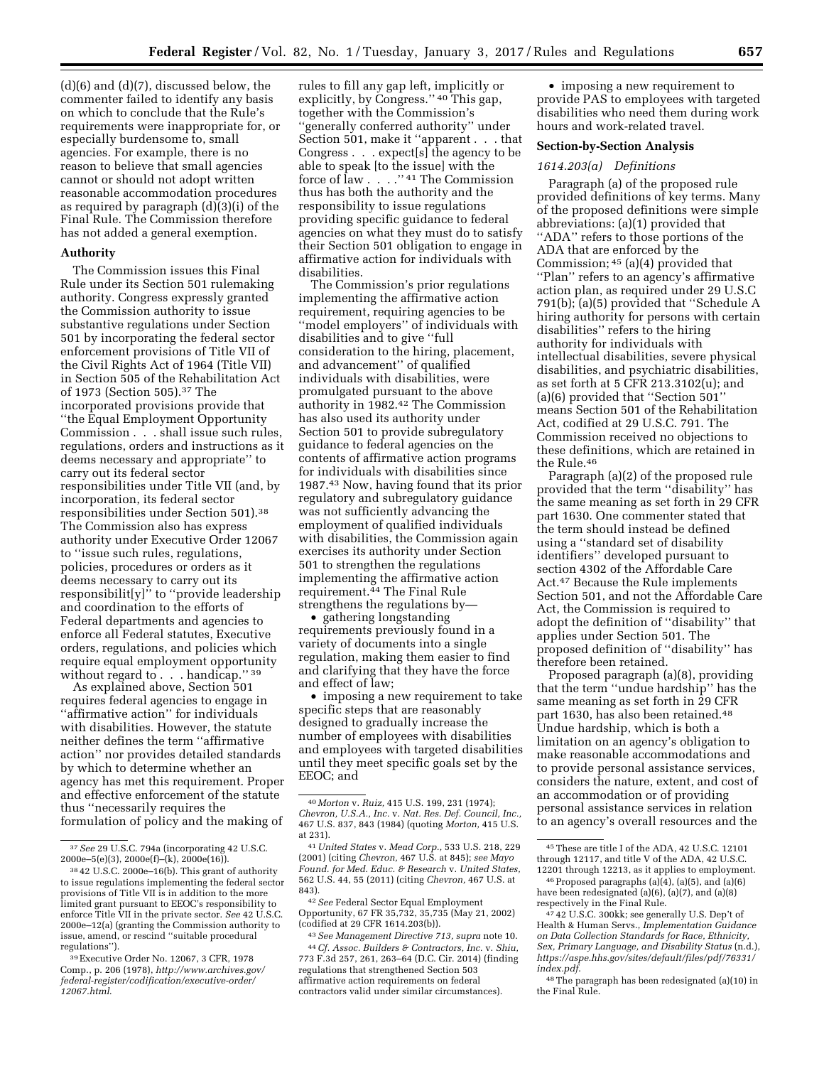(d)(6) and (d)(7), discussed below, the commenter failed to identify any basis on which to conclude that the Rule's requirements were inappropriate for, or especially burdensome to, small agencies. For example, there is no reason to believe that small agencies cannot or should not adopt written reasonable accommodation procedures as required by paragraph (d)(3)(i) of the Final Rule. The Commission therefore has not added a general exemption.

#### **Authority**

The Commission issues this Final Rule under its Section 501 rulemaking authority. Congress expressly granted the Commission authority to issue substantive regulations under Section 501 by incorporating the federal sector enforcement provisions of Title VII of the Civil Rights Act of 1964 (Title VII) in Section 505 of the Rehabilitation Act of 1973 (Section 505).37 The incorporated provisions provide that ''the Equal Employment Opportunity Commission . . . shall issue such rules, regulations, orders and instructions as it deems necessary and appropriate'' to carry out its federal sector responsibilities under Title VII (and, by incorporation, its federal sector responsibilities under Section 501).38 The Commission also has express authority under Executive Order 12067 to ''issue such rules, regulations, policies, procedures or orders as it deems necessary to carry out its responsibilit[y]'' to ''provide leadership and coordination to the efforts of Federal departments and agencies to enforce all Federal statutes, Executive orders, regulations, and policies which require equal employment opportunity without regard to . . . handicap." 39

As explained above, Section 501 requires federal agencies to engage in ''affirmative action'' for individuals with disabilities. However, the statute neither defines the term ''affirmative action'' nor provides detailed standards by which to determine whether an agency has met this requirement. Proper and effective enforcement of the statute thus ''necessarily requires the formulation of policy and the making of

rules to fill any gap left, implicitly or explicitly, by Congress.'' 40 This gap, together with the Commission's ''generally conferred authority'' under Section 501, make it ''apparent . . . that Congress . . . expect[s] the agency to be able to speak [to the issue] with the force of law . . . .'' 41 The Commission thus has both the authority and the responsibility to issue regulations providing specific guidance to federal agencies on what they must do to satisfy their Section 501 obligation to engage in affirmative action for individuals with disabilities.

The Commission's prior regulations implementing the affirmative action requirement, requiring agencies to be ''model employers'' of individuals with disabilities and to give ''full consideration to the hiring, placement, and advancement'' of qualified individuals with disabilities, were promulgated pursuant to the above authority in 1982.42 The Commission has also used its authority under Section 501 to provide subregulatory guidance to federal agencies on the contents of affirmative action programs for individuals with disabilities since 1987.43 Now, having found that its prior regulatory and subregulatory guidance was not sufficiently advancing the employment of qualified individuals with disabilities, the Commission again exercises its authority under Section 501 to strengthen the regulations implementing the affirmative action requirement.44 The Final Rule strengthens the regulations by—

• gathering longstanding requirements previously found in a variety of documents into a single regulation, making them easier to find and clarifying that they have the force and effect of law;

• imposing a new requirement to take specific steps that are reasonably designed to gradually increase the number of employees with disabilities and employees with targeted disabilities until they meet specific goals set by the EEOC; and

42*See* Federal Sector Equal Employment Opportunity, 67 FR 35,732, 35,735 (May 21, 2002) (codified at 29 CFR 1614.203(b)).

43*See Management Directive 713, supra* note 10. 44*Cf. Assoc. Builders & Contractors, Inc.* v. *Shiu,*  773 F.3d 257, 261, 263–64 (D.C. Cir. 2014) (finding regulations that strengthened Section 503 affirmative action requirements on federal contractors valid under similar circumstances).

• imposing a new requirement to provide PAS to employees with targeted disabilities who need them during work hours and work-related travel.

## **Section-by-Section Analysis**

#### *1614.203(a) Definitions*

Paragraph (a) of the proposed rule provided definitions of key terms. Many of the proposed definitions were simple abbreviations: (a)(1) provided that ''ADA'' refers to those portions of the ADA that are enforced by the Commission; 45 (a)(4) provided that ''Plan'' refers to an agency's affirmative action plan, as required under 29 U.S.C 791(b); (a)(5) provided that ''Schedule A hiring authority for persons with certain disabilities'' refers to the hiring authority for individuals with intellectual disabilities, severe physical disabilities, and psychiatric disabilities, as set forth at 5 CFR 213.3102(u); and (a)(6) provided that ''Section 501'' means Section 501 of the Rehabilitation Act, codified at 29 U.S.C. 791. The Commission received no objections to these definitions, which are retained in the Rule.46

Paragraph (a)(2) of the proposed rule provided that the term ''disability'' has the same meaning as set forth in 29 CFR part 1630. One commenter stated that the term should instead be defined using a ''standard set of disability identifiers'' developed pursuant to section 4302 of the Affordable Care Act.47 Because the Rule implements Section 501, and not the Affordable Care Act, the Commission is required to adopt the definition of ''disability'' that applies under Section 501. The proposed definition of ''disability'' has therefore been retained.

Proposed paragraph (a)(8), providing that the term ''undue hardship'' has the same meaning as set forth in 29 CFR part 1630, has also been retained.48 Undue hardship, which is both a limitation on an agency's obligation to make reasonable accommodations and to provide personal assistance services, considers the nature, extent, and cost of an accommodation or of providing personal assistance services in relation to an agency's overall resources and the

48The paragraph has been redesignated (a)(10) in the Final Rule.

<sup>37</sup>*See* 29 U.S.C. 794a (incorporating 42 U.S.C.  $2000e-5(e)(3)$ ,  $2000e(f)-(k)$ ,  $2000e(16)$ .

<sup>38</sup> 42 U.S.C. 2000e–16(b). This grant of authority to issue regulations implementing the federal sector provisions of Title VII is in addition to the more limited grant pursuant to EEOC's responsibility to enforce Title VII in the private sector. *See* 42 U.S.C. 2000e–12(a) (granting the Commission authority to issue, amend, or rescind ''suitable procedural regulations'').

<sup>39</sup>Executive Order No. 12067, 3 CFR, 1978 Comp., p. 206 (1978), *[http://www.archives.gov/](http://www.archives.gov/federal-register/codification/executive-order/12067.html) [federal-register/codification/executive-order/](http://www.archives.gov/federal-register/codification/executive-order/12067.html) [12067.html](http://www.archives.gov/federal-register/codification/executive-order/12067.html)*.

<sup>40</sup> *Morton* v. *Ruiz,* 415 U.S. 199, 231 (1974); *Chevron, U.S.A., Inc.* v. *Nat. Res. Def. Council, Inc.,*  467 U.S. 837, 843 (1984) (quoting *Morton,* 415 U.S. at 231).

<sup>41</sup>*United States* v. *Mead Corp.,* 533 U.S. 218, 229 (2001) (citing *Chevron,* 467 U.S. at 845); *see Mayo Found. for Med. Educ. & Research* v. *United States,*  562 U.S. 44, 55 (2011) (citing *Chevron,* 467 U.S. at 843).

<sup>45</sup>These are title I of the ADA, 42 U.S.C. 12101 through 12117, and title V of the ADA, 42 U.S.C. 12201 through 12213, as it applies to employment.

<sup>46</sup>Proposed paragraphs (a)(4), (a)(5), and (a)(6) have been redesignated (a)(6), (a)(7), and (a)(8) respectively in the Final Rule.

<sup>47</sup> 42 U.S.C. 300kk; see generally U.S. Dep't of Health & Human Servs., *Implementation Guidance on Data Collection Standards for Race, Ethnicity, Sex, Primary Language, and Disability Status* (n.d.), *[https://aspe.hhs.gov/sites/default/files/pdf/76331/](https://aspe.hhs.gov/sites/default/files/pdf/76331/index.pdf) [index.pdf](https://aspe.hhs.gov/sites/default/files/pdf/76331/index.pdf)*.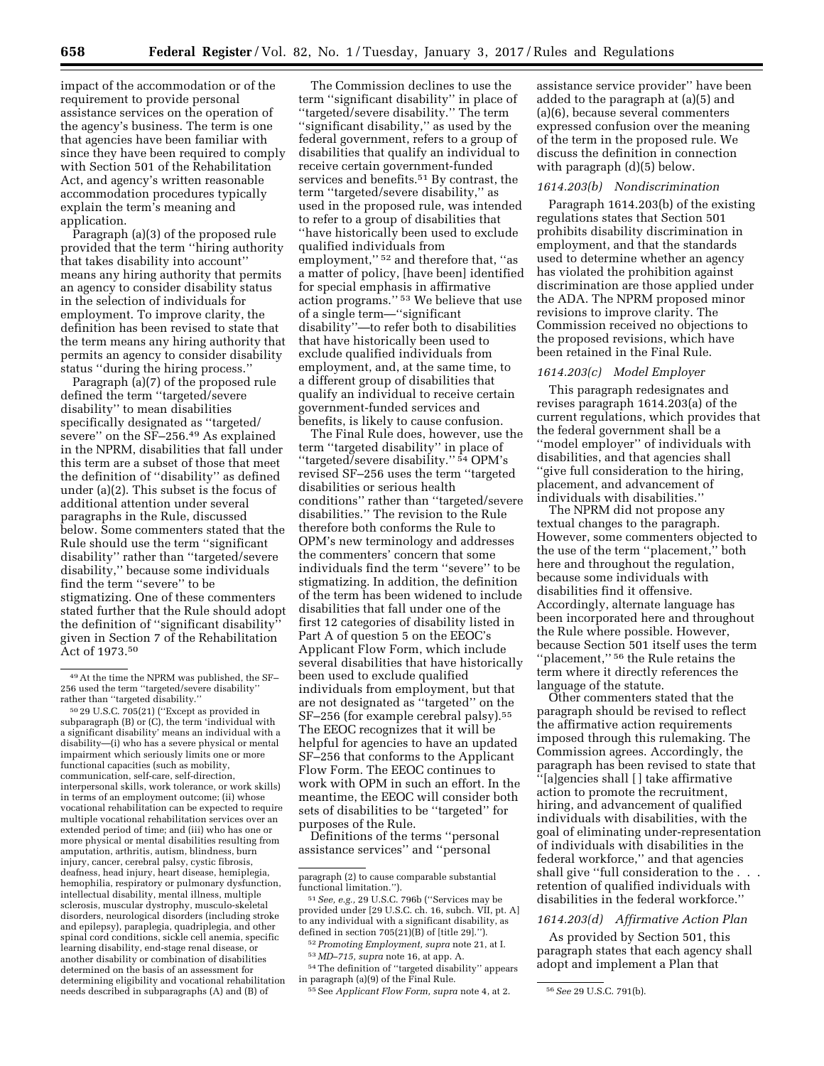impact of the accommodation or of the requirement to provide personal assistance services on the operation of the agency's business. The term is one that agencies have been familiar with since they have been required to comply with Section 501 of the Rehabilitation Act, and agency's written reasonable accommodation procedures typically explain the term's meaning and application.

Paragraph (a)(3) of the proposed rule provided that the term ''hiring authority that takes disability into account'' means any hiring authority that permits an agency to consider disability status in the selection of individuals for employment. To improve clarity, the definition has been revised to state that the term means any hiring authority that permits an agency to consider disability status ''during the hiring process.''

Paragraph (a)(7) of the proposed rule defined the term ''targeted/severe disability'' to mean disabilities specifically designated as ''targeted/ severe'' on the SF–256.49 As explained in the NPRM, disabilities that fall under this term are a subset of those that meet the definition of ''disability'' as defined under (a)(2). This subset is the focus of additional attention under several paragraphs in the Rule, discussed below. Some commenters stated that the Rule should use the term ''significant disability'' rather than ''targeted/severe disability,'' because some individuals find the term ''severe'' to be stigmatizing. One of these commenters stated further that the Rule should adopt the definition of ''significant disability'' given in Section 7 of the Rehabilitation Act of 1973.50

The Commission declines to use the term ''significant disability'' in place of ''targeted/severe disability.'' The term ''significant disability,'' as used by the federal government, refers to a group of disabilities that qualify an individual to receive certain government-funded services and benefits.51 By contrast, the term ''targeted/severe disability,'' as used in the proposed rule, was intended to refer to a group of disabilities that ''have historically been used to exclude qualified individuals from employment,'' 52 and therefore that, ''as a matter of policy, [have been] identified for special emphasis in affirmative action programs.'' 53 We believe that use of a single term—''significant disability''—to refer both to disabilities that have historically been used to exclude qualified individuals from employment, and, at the same time, to a different group of disabilities that qualify an individual to receive certain government-funded services and benefits, is likely to cause confusion.

The Final Rule does, however, use the term ''targeted disability'' in place of ''targeted/severe disability.'' 54 OPM's revised SF–256 uses the term ''targeted disabilities or serious health conditions'' rather than ''targeted/severe disabilities.'' The revision to the Rule therefore both conforms the Rule to OPM's new terminology and addresses the commenters' concern that some individuals find the term ''severe'' to be stigmatizing. In addition, the definition of the term has been widened to include disabilities that fall under one of the first 12 categories of disability listed in Part A of question 5 on the EEOC's Applicant Flow Form, which include several disabilities that have historically been used to exclude qualified individuals from employment, but that are not designated as ''targeted'' on the SF–256 (for example cerebral palsy).<sup>55</sup> The EEOC recognizes that it will be helpful for agencies to have an updated SF–256 that conforms to the Applicant Flow Form. The EEOC continues to work with OPM in such an effort. In the meantime, the EEOC will consider both sets of disabilities to be ''targeted'' for purposes of the Rule.

Definitions of the terms ''personal assistance services'' and ''personal

52*Promoting Employment, supra* note 21, at I.

53 *MD–715, supra* note 16, at app. A. 54The definition of ''targeted disability'' appears

in paragraph (a)(9) of the Final Rule.

assistance service provider'' have been added to the paragraph at (a)(5) and (a)(6), because several commenters expressed confusion over the meaning of the term in the proposed rule. We discuss the definition in connection with paragraph (d)(5) below.

## *1614.203(b) Nondiscrimination*

Paragraph 1614.203(b) of the existing regulations states that Section 501 prohibits disability discrimination in employment, and that the standards used to determine whether an agency has violated the prohibition against discrimination are those applied under the ADA. The NPRM proposed minor revisions to improve clarity. The Commission received no objections to the proposed revisions, which have been retained in the Final Rule.

#### *1614.203(c) Model Employer*

This paragraph redesignates and revises paragraph 1614.203(a) of the current regulations, which provides that the federal government shall be a ''model employer'' of individuals with disabilities, and that agencies shall ''give full consideration to the hiring, placement, and advancement of individuals with disabilities.''

The NPRM did not propose any textual changes to the paragraph. However, some commenters objected to the use of the term ''placement,'' both here and throughout the regulation, because some individuals with disabilities find it offensive. Accordingly, alternate language has been incorporated here and throughout the Rule where possible. However, because Section 501 itself uses the term ''placement,'' 56 the Rule retains the term where it directly references the language of the statute.

Other commenters stated that the paragraph should be revised to reflect the affirmative action requirements imposed through this rulemaking. The Commission agrees. Accordingly, the paragraph has been revised to state that ''[a]gencies shall [ ] take affirmative action to promote the recruitment, hiring, and advancement of qualified individuals with disabilities, with the goal of eliminating under-representation of individuals with disabilities in the federal workforce,'' and that agencies shall give "full consideration to the . . . retention of qualified individuals with disabilities in the federal workforce.''

#### *1614.203(d) Affirmative Action Plan*

As provided by Section 501, this paragraph states that each agency shall adopt and implement a Plan that

<sup>49</sup>At the time the NPRM was published, the SF– 256 used the term ''targeted/severe disability'' rather than ''targeted disability.''

<sup>50</sup> 29 U.S.C. 705(21) (''Except as provided in subparagraph (B) or (C), the term 'individual with a significant disability' means an individual with a disability—(i) who has a severe physical or mental impairment which seriously limits one or more functional capacities (such as mobility, communication, self-care, self-direction, interpersonal skills, work tolerance, or work skills) in terms of an employment outcome; (ii) whose vocational rehabilitation can be expected to require multiple vocational rehabilitation services over an extended period of time; and (iii) who has one or more physical or mental disabilities resulting from amputation, arthritis, autism, blindness, burn injury, cancer, cerebral palsy, cystic fibrosis, deafness, head injury, heart disease, hemiplegia, hemophilia, respiratory or pulmonary dysfunction, intellectual disability, mental illness, multiple sclerosis, muscular dystrophy, musculo-skeletal disorders, neurological disorders (including stroke and epilepsy), paraplegia, quadriplegia, and other spinal cord conditions, sickle cell anemia, specific learning disability, end-stage renal disease, or another disability or combination of disabilities determined on the basis of an assessment for determining eligibility and vocational rehabilitation needs described in subparagraphs (A) and (B) of

paragraph (2) to cause comparable substantial functional limitation.'').

<sup>51</sup>*See, e.g.,* 29 U.S.C. 796b (''Services may be provided under [29 U.S.C. ch. 16, subch. VII, pt. A] to any individual with a significant disability, as defined in section 705(21)(B) of [title 29].'').

<sup>55</sup>See *Applicant Flow Form, supra* note 4, at 2. 56*See* 29 U.S.C. 791(b).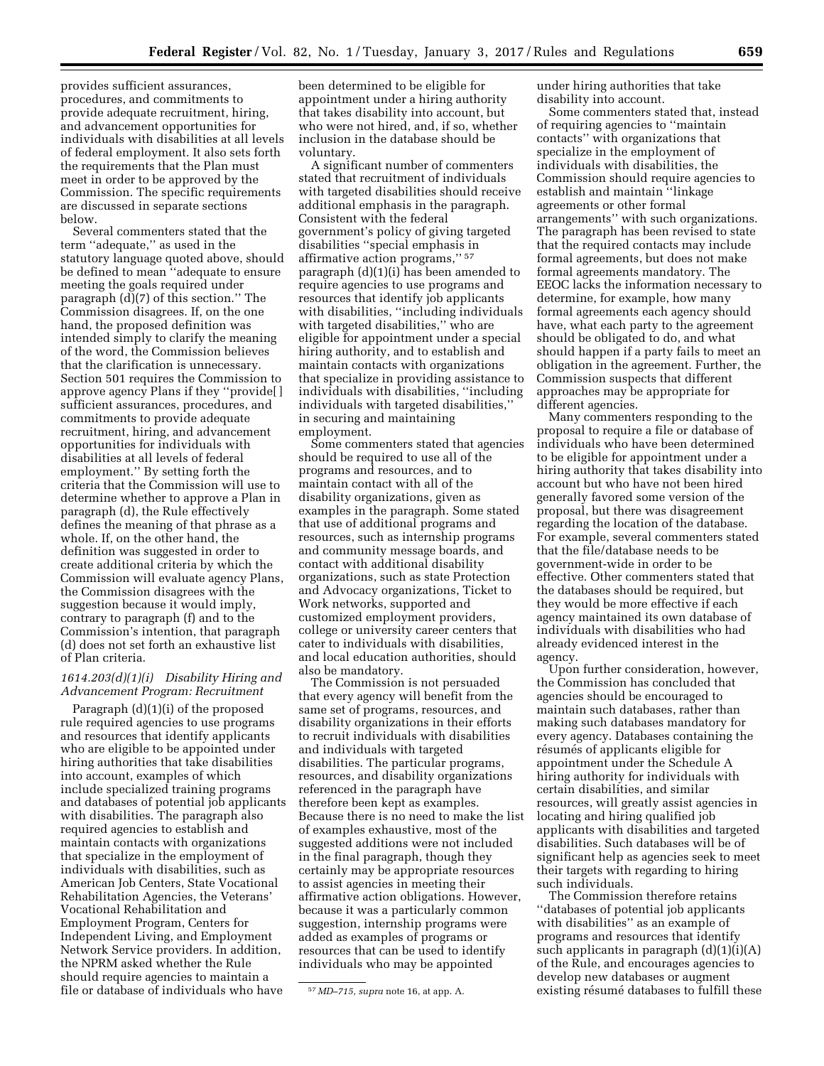provides sufficient assurances, procedures, and commitments to provide adequate recruitment, hiring, and advancement opportunities for individuals with disabilities at all levels of federal employment. It also sets forth the requirements that the Plan must meet in order to be approved by the Commission. The specific requirements are discussed in separate sections below.

Several commenters stated that the term ''adequate,'' as used in the statutory language quoted above, should be defined to mean ''adequate to ensure meeting the goals required under paragraph (d)(7) of this section.'' The Commission disagrees. If, on the one hand, the proposed definition was intended simply to clarify the meaning of the word, the Commission believes that the clarification is unnecessary. Section 501 requires the Commission to approve agency Plans if they ''provide[ ] sufficient assurances, procedures, and commitments to provide adequate recruitment, hiring, and advancement opportunities for individuals with disabilities at all levels of federal employment.'' By setting forth the criteria that the Commission will use to determine whether to approve a Plan in paragraph (d), the Rule effectively defines the meaning of that phrase as a whole. If, on the other hand, the definition was suggested in order to create additional criteria by which the Commission will evaluate agency Plans, the Commission disagrees with the suggestion because it would imply, contrary to paragraph (f) and to the Commission's intention, that paragraph (d) does not set forth an exhaustive list of Plan criteria.

#### *1614.203(d)(1)(i) Disability Hiring and Advancement Program: Recruitment*

Paragraph (d)(1)(i) of the proposed rule required agencies to use programs and resources that identify applicants who are eligible to be appointed under hiring authorities that take disabilities into account, examples of which include specialized training programs and databases of potential job applicants with disabilities. The paragraph also required agencies to establish and maintain contacts with organizations that specialize in the employment of individuals with disabilities, such as American Job Centers, State Vocational Rehabilitation Agencies, the Veterans' Vocational Rehabilitation and Employment Program, Centers for Independent Living, and Employment Network Service providers. In addition, the NPRM asked whether the Rule should require agencies to maintain a file or database of individuals who have

been determined to be eligible for appointment under a hiring authority that takes disability into account, but who were not hired, and, if so, whether inclusion in the database should be voluntary.

A significant number of commenters stated that recruitment of individuals with targeted disabilities should receive additional emphasis in the paragraph. Consistent with the federal government's policy of giving targeted disabilities ''special emphasis in affirmative action programs,'' 57 paragraph (d)(1)(i) has been amended to require agencies to use programs and resources that identify job applicants with disabilities, ''including individuals with targeted disabilities," who are eligible for appointment under a special hiring authority, and to establish and maintain contacts with organizations that specialize in providing assistance to individuals with disabilities, ''including individuals with targeted disabilities,'' in securing and maintaining employment.

Some commenters stated that agencies should be required to use all of the programs and resources, and to maintain contact with all of the disability organizations, given as examples in the paragraph. Some stated that use of additional programs and resources, such as internship programs and community message boards, and contact with additional disability organizations, such as state Protection and Advocacy organizations, Ticket to Work networks, supported and customized employment providers, college or university career centers that cater to individuals with disabilities, and local education authorities, should also be mandatory.

The Commission is not persuaded that every agency will benefit from the same set of programs, resources, and disability organizations in their efforts to recruit individuals with disabilities and individuals with targeted disabilities. The particular programs, resources, and disability organizations referenced in the paragraph have therefore been kept as examples. Because there is no need to make the list of examples exhaustive, most of the suggested additions were not included in the final paragraph, though they certainly may be appropriate resources to assist agencies in meeting their affirmative action obligations. However, because it was a particularly common suggestion, internship programs were added as examples of programs or resources that can be used to identify individuals who may be appointed

under hiring authorities that take disability into account.

Some commenters stated that, instead of requiring agencies to ''maintain contacts'' with organizations that specialize in the employment of individuals with disabilities, the Commission should require agencies to establish and maintain ''linkage agreements or other formal arrangements'' with such organizations. The paragraph has been revised to state that the required contacts may include formal agreements, but does not make formal agreements mandatory. The EEOC lacks the information necessary to determine, for example, how many formal agreements each agency should have, what each party to the agreement should be obligated to do, and what should happen if a party fails to meet an obligation in the agreement. Further, the Commission suspects that different approaches may be appropriate for different agencies.

Many commenters responding to the proposal to require a file or database of individuals who have been determined to be eligible for appointment under a hiring authority that takes disability into account but who have not been hired generally favored some version of the proposal, but there was disagreement regarding the location of the database. For example, several commenters stated that the file/database needs to be government-wide in order to be effective. Other commenters stated that the databases should be required, but they would be more effective if each agency maintained its own database of individuals with disabilities who had already evidenced interest in the agency.

Upon further consideration, however, the Commission has concluded that agencies should be encouraged to maintain such databases, rather than making such databases mandatory for every agency. Databases containing the résumés of applicants eligible for appointment under the Schedule A hiring authority for individuals with certain disabilities, and similar resources, will greatly assist agencies in locating and hiring qualified job applicants with disabilities and targeted disabilities. Such databases will be of significant help as agencies seek to meet their targets with regarding to hiring such individuals.

The Commission therefore retains ''databases of potential job applicants with disabilities'' as an example of programs and resources that identify such applicants in paragraph  $(d)(1)(i)(A)$ of the Rule, and encourages agencies to develop new databases or augment existing résumé databases to fulfill these

<sup>57</sup> *MD–715, supra* note 16, at app. A.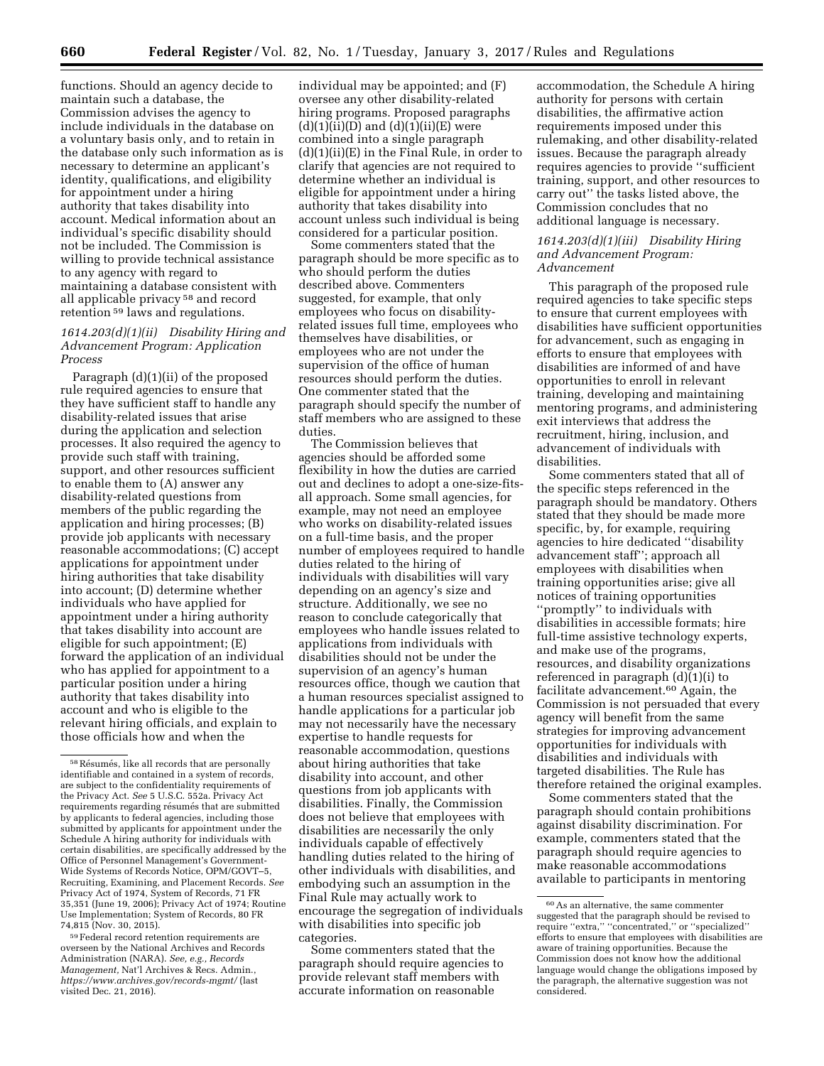functions. Should an agency decide to maintain such a database, the Commission advises the agency to include individuals in the database on a voluntary basis only, and to retain in the database only such information as is necessary to determine an applicant's identity, qualifications, and eligibility for appointment under a hiring authority that takes disability into account. Medical information about an individual's specific disability should not be included. The Commission is willing to provide technical assistance to any agency with regard to maintaining a database consistent with all applicable privacy 58 and record retention 59 laws and regulations.

## *1614.203(d)(1)(ii) Disability Hiring and Advancement Program: Application Process*

Paragraph (d)(1)(ii) of the proposed rule required agencies to ensure that they have sufficient staff to handle any disability-related issues that arise during the application and selection processes. It also required the agency to provide such staff with training, support, and other resources sufficient to enable them to (A) answer any disability-related questions from members of the public regarding the application and hiring processes; (B) provide job applicants with necessary reasonable accommodations; (C) accept applications for appointment under hiring authorities that take disability into account; (D) determine whether individuals who have applied for appointment under a hiring authority that takes disability into account are eligible for such appointment; (E) forward the application of an individual who has applied for appointment to a particular position under a hiring authority that takes disability into account and who is eligible to the relevant hiring officials, and explain to those officials how and when the

59Federal record retention requirements are overseen by the National Archives and Records Administration (NARA). *See, e.g., Records Management,* Nat'l Archives & Recs. Admin., *<https://www.archives.gov/records-mgmt/>* (last visited Dec. 21, 2016).

individual may be appointed; and (F) oversee any other disability-related hiring programs. Proposed paragraphs  $(d)(1)(ii)(D)$  and  $(d)(1)(ii)(E)$  were combined into a single paragraph (d)(1)(ii)(E) in the Final Rule, in order to clarify that agencies are not required to determine whether an individual is eligible for appointment under a hiring authority that takes disability into account unless such individual is being considered for a particular position.

Some commenters stated that the paragraph should be more specific as to who should perform the duties described above. Commenters suggested, for example, that only employees who focus on disabilityrelated issues full time, employees who themselves have disabilities, or employees who are not under the supervision of the office of human resources should perform the duties. One commenter stated that the paragraph should specify the number of staff members who are assigned to these duties.

The Commission believes that agencies should be afforded some flexibility in how the duties are carried out and declines to adopt a one-size-fitsall approach. Some small agencies, for example, may not need an employee who works on disability-related issues on a full-time basis, and the proper number of employees required to handle duties related to the hiring of individuals with disabilities will vary depending on an agency's size and structure. Additionally, we see no reason to conclude categorically that employees who handle issues related to applications from individuals with disabilities should not be under the supervision of an agency's human resources office, though we caution that a human resources specialist assigned to handle applications for a particular job may not necessarily have the necessary expertise to handle requests for reasonable accommodation, questions about hiring authorities that take disability into account, and other questions from job applicants with disabilities. Finally, the Commission does not believe that employees with disabilities are necessarily the only individuals capable of effectively handling duties related to the hiring of other individuals with disabilities, and embodying such an assumption in the Final Rule may actually work to encourage the segregation of individuals with disabilities into specific job categories.

Some commenters stated that the paragraph should require agencies to provide relevant staff members with accurate information on reasonable

accommodation, the Schedule A hiring authority for persons with certain disabilities, the affirmative action requirements imposed under this rulemaking, and other disability-related issues. Because the paragraph already requires agencies to provide ''sufficient training, support, and other resources to carry out'' the tasks listed above, the Commission concludes that no additional language is necessary.

#### *1614.203(d)(1)(iii) Disability Hiring and Advancement Program: Advancement*

This paragraph of the proposed rule required agencies to take specific steps to ensure that current employees with disabilities have sufficient opportunities for advancement, such as engaging in efforts to ensure that employees with disabilities are informed of and have opportunities to enroll in relevant training, developing and maintaining mentoring programs, and administering exit interviews that address the recruitment, hiring, inclusion, and advancement of individuals with disabilities.

Some commenters stated that all of the specific steps referenced in the paragraph should be mandatory. Others stated that they should be made more specific, by, for example, requiring agencies to hire dedicated ''disability advancement staff''; approach all employees with disabilities when training opportunities arise; give all notices of training opportunities ''promptly'' to individuals with disabilities in accessible formats; hire full-time assistive technology experts, and make use of the programs, resources, and disability organizations referenced in paragraph (d)(1)(i) to facilitate advancement.60 Again, the Commission is not persuaded that every agency will benefit from the same strategies for improving advancement opportunities for individuals with disabilities and individuals with targeted disabilities. The Rule has therefore retained the original examples.

Some commenters stated that the paragraph should contain prohibitions against disability discrimination. For example, commenters stated that the paragraph should require agencies to make reasonable accommodations available to participants in mentoring

<sup>58</sup> Résumés, like all records that are personally identifiable and contained in a system of records, are subject to the confidentiality requirements of the Privacy Act. *See* 5 U.S.C. 552a. Privacy Act requirements regarding résumés that are submitted by applicants to federal agencies, including those submitted by applicants for appointment under the Schedule A hiring authority for individuals with certain disabilities, are specifically addressed by the Office of Personnel Management's Government-Wide Systems of Records Notice, OPM/GOVT–5, Recruiting, Examining, and Placement Records. *See*  Privacy Act of 1974, System of Records, 71 FR 35,351 (June 19, 2006); Privacy Act of 1974; Routine Use Implementation; System of Records, 80 FR 74,815 (Nov. 30, 2015).

<sup>60</sup>As an alternative, the same commenter suggested that the paragraph should be revised to require ''extra,'' ''concentrated,'' or ''specialized'' efforts to ensure that employees with disabilities are aware of training opportunities. Because the Commission does not know how the additional language would change the obligations imposed by the paragraph, the alternative suggestion was not considered.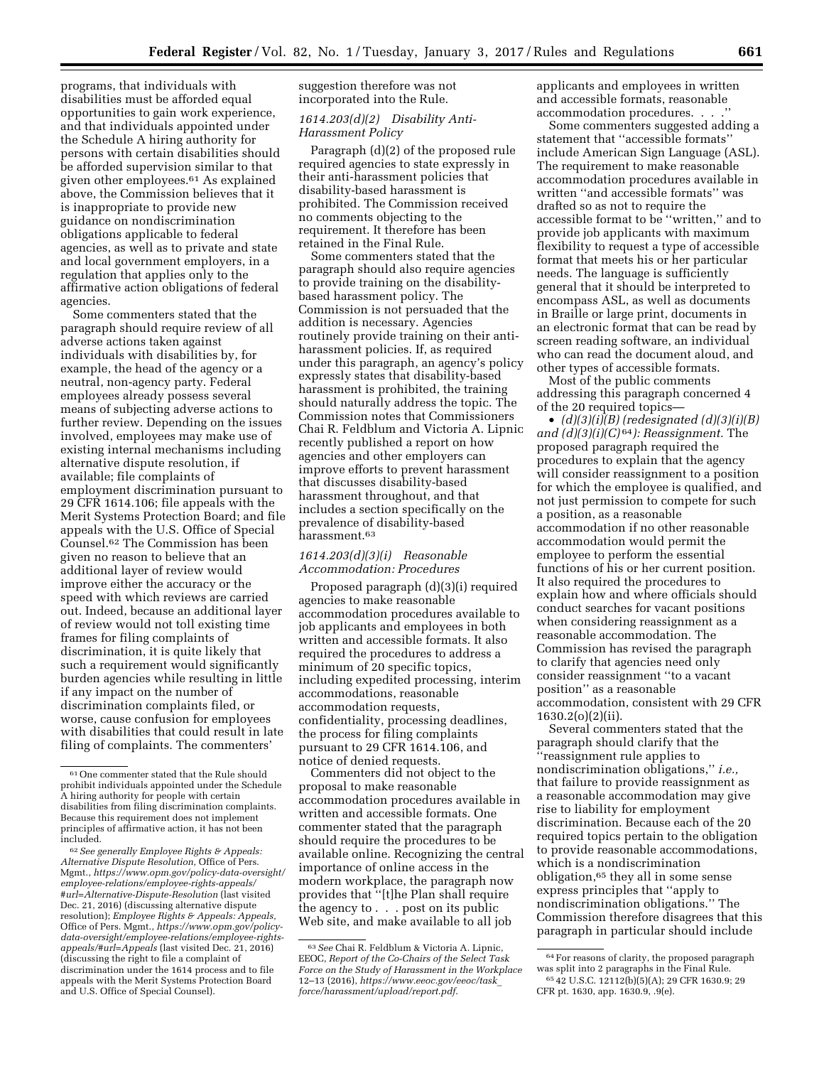programs, that individuals with disabilities must be afforded equal opportunities to gain work experience, and that individuals appointed under the Schedule A hiring authority for persons with certain disabilities should be afforded supervision similar to that given other employees.61 As explained above, the Commission believes that it is inappropriate to provide new guidance on nondiscrimination obligations applicable to federal agencies, as well as to private and state and local government employers, in a regulation that applies only to the affirmative action obligations of federal agencies.

Some commenters stated that the paragraph should require review of all adverse actions taken against individuals with disabilities by, for example, the head of the agency or a neutral, non-agency party. Federal employees already possess several means of subjecting adverse actions to further review. Depending on the issues involved, employees may make use of existing internal mechanisms including alternative dispute resolution, if available; file complaints of employment discrimination pursuant to 29 CFR 1614.106; file appeals with the Merit Systems Protection Board; and file appeals with the U.S. Office of Special Counsel.62 The Commission has been given no reason to believe that an additional layer of review would improve either the accuracy or the speed with which reviews are carried out. Indeed, because an additional layer of review would not toll existing time frames for filing complaints of discrimination, it is quite likely that such a requirement would significantly burden agencies while resulting in little if any impact on the number of discrimination complaints filed, or worse, cause confusion for employees with disabilities that could result in late filing of complaints. The commenters'

62*See generally Employee Rights & Appeals: Alternative Dispute Resolution,* Office of Pers. Mgmt., *[https://www.opm.gov/policy-data-oversight/](https://www.opm.gov/policy-data-oversight/employee-relations/employee-rights-appeals/#url=Alternative-Dispute-Resolution)  [employee-relations/employee-rights-appeals/](https://www.opm.gov/policy-data-oversight/employee-relations/employee-rights-appeals/#url=Alternative-Dispute-Resolution) [#url=Alternative-Dispute-Resolution](https://www.opm.gov/policy-data-oversight/employee-relations/employee-rights-appeals/#url=Alternative-Dispute-Resolution)* (last visited Dec. 21, 2016) (discussing alternative dispute resolution); *Employee Rights & Appeals: Appeals,*  Office of Pers. Mgmt., *[https://www.opm.gov/policy](www.dol.gov/odep/research/FundingOptionsPersonalAssistanceServices(PAS).pdf)[data-oversight/employee-relations/employee-rights](https://www.opm.gov/policy-data-oversight/employee-relations/employee-rights-appeals/#url=Appeals)[appeals/#url=Appeals](www.dol.gov/odep/research/FundingOptionsPersonalAssistanceServices(PAS).pdf)* (last visited Dec. 21, 2016) (discussing the right to file a complaint of discrimination under the 1614 process and to file appeals with the Merit Systems Protection Board and U.S. Office of Special Counsel).

suggestion therefore was not incorporated into the Rule.

## *1614.203(d)(2) Disability Anti-Harassment Policy*

Paragraph (d)(2) of the proposed rule required agencies to state expressly in their anti-harassment policies that disability-based harassment is prohibited. The Commission received no comments objecting to the requirement. It therefore has been retained in the Final Rule.

Some commenters stated that the paragraph should also require agencies to provide training on the disabilitybased harassment policy. The Commission is not persuaded that the addition is necessary. Agencies routinely provide training on their antiharassment policies. If, as required under this paragraph, an agency's policy expressly states that disability-based harassment is prohibited, the training should naturally address the topic. The Commission notes that Commissioners Chai R. Feldblum and Victoria A. Lipnic recently published a report on how agencies and other employers can improve efforts to prevent harassment that discusses disability-based harassment throughout, and that includes a section specifically on the prevalence of disability-based harassment.63

#### *1614.203(d)(3)(i) Reasonable Accommodation: Procedures*

Proposed paragraph (d)(3)(i) required agencies to make reasonable accommodation procedures available to job applicants and employees in both written and accessible formats. It also required the procedures to address a minimum of 20 specific topics, including expedited processing, interim accommodations, reasonable accommodation requests, confidentiality, processing deadlines, the process for filing complaints pursuant to 29 CFR 1614.106, and notice of denied requests.

Commenters did not object to the proposal to make reasonable accommodation procedures available in written and accessible formats. One commenter stated that the paragraph should require the procedures to be available online. Recognizing the central importance of online access in the modern workplace, the paragraph now provides that ''[t]he Plan shall require the agency to . . . post on its public Web site, and make available to all job

applicants and employees in written and accessible formats, reasonable accommodation procedures. . .

Some commenters suggested adding a statement that ''accessible formats'' include American Sign Language (ASL). The requirement to make reasonable accommodation procedures available in written ''and accessible formats'' was drafted so as not to require the accessible format to be ''written,'' and to provide job applicants with maximum flexibility to request a type of accessible format that meets his or her particular needs. The language is sufficiently general that it should be interpreted to encompass ASL, as well as documents in Braille or large print, documents in an electronic format that can be read by screen reading software, an individual who can read the document aloud, and other types of accessible formats.

Most of the public comments addressing this paragraph concerned 4 of the 20 required topics—

• *(d)(3)(i)(B) (redesignated (d)(3)(i)(B) and (d)(3)(i)(C)* 64*): Reassignment.* The proposed paragraph required the procedures to explain that the agency will consider reassignment to a position for which the employee is qualified, and not just permission to compete for such a position, as a reasonable accommodation if no other reasonable accommodation would permit the employee to perform the essential functions of his or her current position. It also required the procedures to explain how and where officials should conduct searches for vacant positions when considering reassignment as a reasonable accommodation. The Commission has revised the paragraph to clarify that agencies need only consider reassignment ''to a vacant position'' as a reasonable accommodation, consistent with 29 CFR 1630.2(o)(2)(ii).

Several commenters stated that the paragraph should clarify that the ''reassignment rule applies to nondiscrimination obligations,'' *i.e.,*  that failure to provide reassignment as a reasonable accommodation may give rise to liability for employment discrimination. Because each of the 20 required topics pertain to the obligation to provide reasonable accommodations, which is a nondiscrimination obligation,65 they all in some sense express principles that ''apply to nondiscrimination obligations.'' The Commission therefore disagrees that this paragraph in particular should include

<sup>61</sup>One commenter stated that the Rule should prohibit individuals appointed under the Schedule A hiring authority for people with certain disabilities from filing discrimination complaints. Because this requirement does not implement principles of affirmative action, it has not been included.

<sup>63</sup>*See* Chai R. Feldblum & Victoria A. Lipnic, EEOC, *Report of the Co-Chairs of the Select Task Force on the Study of Harassment in the Workplace*  12–13 (2016), *[https://www.eeoc.gov/eeoc/task](https://www.eeoc.gov/eeoc/task_force/harassment/upload/report.pdf)*\_ *[force/harassment/upload/report.pdf](https://www.eeoc.gov/eeoc/task_force/harassment/upload/report.pdf)*.

 $\rm ^{64}$  For reasons of clarity, the proposed paragraph was split into 2 paragraphs in the Final Rule. 65 42 U.S.C. 12112(b)(5)(A); 29 CFR 1630.9; 29 CFR pt. 1630, app. 1630.9, .9(e).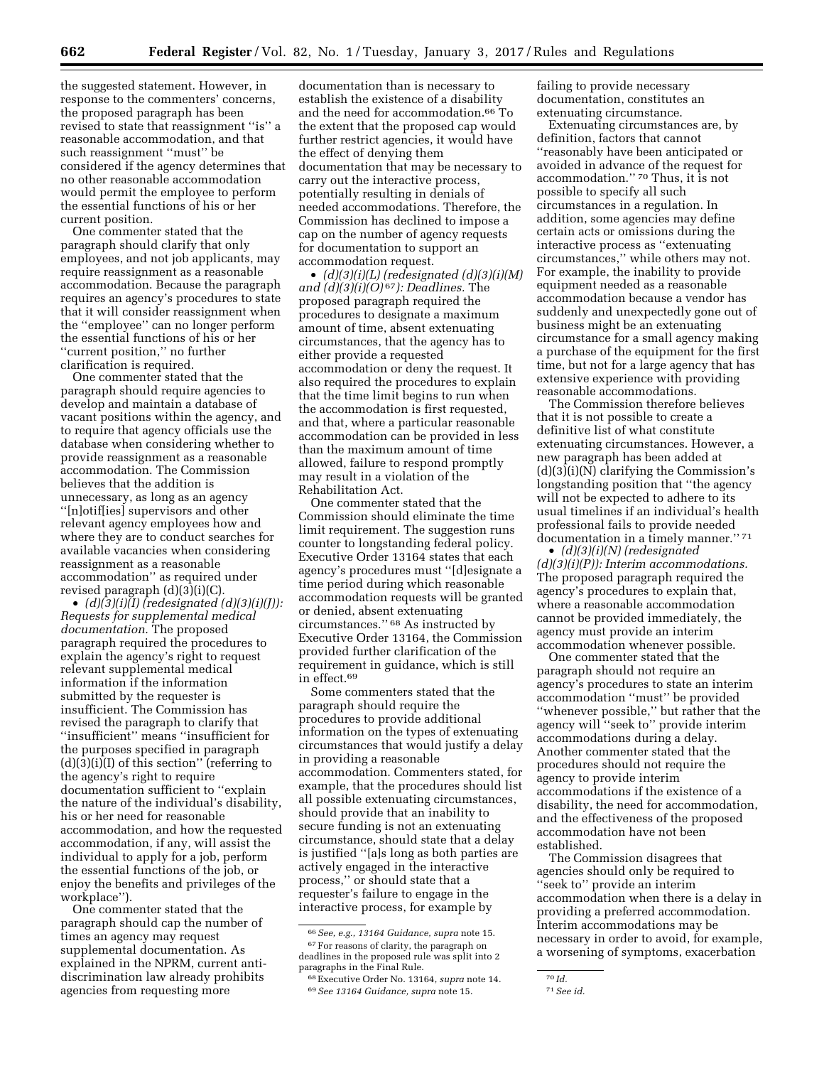the suggested statement. However, in response to the commenters' concerns, the proposed paragraph has been revised to state that reassignment ''is'' a reasonable accommodation, and that such reassignment ''must'' be considered if the agency determines that no other reasonable accommodation would permit the employee to perform the essential functions of his or her current position.

One commenter stated that the paragraph should clarify that only employees, and not job applicants, may require reassignment as a reasonable accommodation. Because the paragraph requires an agency's procedures to state that it will consider reassignment when the ''employee'' can no longer perform the essential functions of his or her ''current position,'' no further clarification is required.

One commenter stated that the paragraph should require agencies to develop and maintain a database of vacant positions within the agency, and to require that agency officials use the database when considering whether to provide reassignment as a reasonable accommodation. The Commission believes that the addition is unnecessary, as long as an agency ''[n]otif[ies] supervisors and other relevant agency employees how and where they are to conduct searches for available vacancies when considering reassignment as a reasonable accommodation'' as required under revised paragraph  $(d)(3)(i)(C)$ .

• *(d)(3)(i)(I) (redesignated (d)(3)(i)(J)): Requests for supplemental medical documentation.* The proposed paragraph required the procedures to explain the agency's right to request relevant supplemental medical information if the information submitted by the requester is insufficient. The Commission has revised the paragraph to clarify that ''insufficient'' means ''insufficient for the purposes specified in paragraph (d)(3)(i)(I) of this section'' (referring to the agency's right to require documentation sufficient to ''explain the nature of the individual's disability, his or her need for reasonable accommodation, and how the requested accommodation, if any, will assist the individual to apply for a job, perform the essential functions of the job, or enjoy the benefits and privileges of the workplace'').

One commenter stated that the paragraph should cap the number of times an agency may request supplemental documentation. As explained in the NPRM, current antidiscrimination law already prohibits agencies from requesting more

documentation than is necessary to establish the existence of a disability and the need for accommodation.66 To the extent that the proposed cap would further restrict agencies, it would have the effect of denying them documentation that may be necessary to carry out the interactive process, potentially resulting in denials of needed accommodations. Therefore, the Commission has declined to impose a cap on the number of agency requests for documentation to support an accommodation request.

• *(d)(3)(i)(L) (redesignated (d)(3)(i)(M) and (d)(3)(i)(O)* 67*): Deadlines.* The proposed paragraph required the procedures to designate a maximum amount of time, absent extenuating circumstances, that the agency has to either provide a requested accommodation or deny the request. It also required the procedures to explain that the time limit begins to run when the accommodation is first requested, and that, where a particular reasonable accommodation can be provided in less than the maximum amount of time allowed, failure to respond promptly may result in a violation of the Rehabilitation Act.

One commenter stated that the Commission should eliminate the time limit requirement. The suggestion runs counter to longstanding federal policy. Executive Order 13164 states that each agency's procedures must ''[d]esignate a time period during which reasonable accommodation requests will be granted or denied, absent extenuating circumstances.'' 68 As instructed by Executive Order 13164, the Commission provided further clarification of the requirement in guidance, which is still in effect.69

Some commenters stated that the paragraph should require the procedures to provide additional information on the types of extenuating circumstances that would justify a delay in providing a reasonable accommodation. Commenters stated, for example, that the procedures should list all possible extenuating circumstances, should provide that an inability to secure funding is not an extenuating circumstance, should state that a delay is justified ''[a]s long as both parties are actively engaged in the interactive process,'' or should state that a requester's failure to engage in the interactive process, for example by

failing to provide necessary documentation, constitutes an extenuating circumstance.

Extenuating circumstances are, by definition, factors that cannot ''reasonably have been anticipated or avoided in advance of the request for accommodation.'' 70 Thus, it is not possible to specify all such circumstances in a regulation. In addition, some agencies may define certain acts or omissions during the interactive process as ''extenuating circumstances,'' while others may not. For example, the inability to provide equipment needed as a reasonable accommodation because a vendor has suddenly and unexpectedly gone out of business might be an extenuating circumstance for a small agency making a purchase of the equipment for the first time, but not for a large agency that has extensive experience with providing reasonable accommodations.

The Commission therefore believes that it is not possible to create a definitive list of what constitute extenuating circumstances. However, a new paragraph has been added at (d)(3)(i)(N) clarifying the Commission's longstanding position that ''the agency will not be expected to adhere to its usual timelines if an individual's health professional fails to provide needed documentation in a timely manner."<sup>71</sup>

• *(d)(3)(i)(N) (redesignated (d)(3)(i)(P)): Interim accommodations.*  The proposed paragraph required the agency's procedures to explain that, where a reasonable accommodation cannot be provided immediately, the agency must provide an interim accommodation whenever possible.

One commenter stated that the paragraph should not require an agency's procedures to state an interim accommodation ''must'' be provided ''whenever possible,'' but rather that the agency will ''seek to'' provide interim accommodations during a delay. Another commenter stated that the procedures should not require the agency to provide interim accommodations if the existence of a disability, the need for accommodation, and the effectiveness of the proposed accommodation have not been established.

The Commission disagrees that agencies should only be required to ''seek to'' provide an interim accommodation when there is a delay in providing a preferred accommodation. Interim accommodations may be necessary in order to avoid, for example, a worsening of symptoms, exacerbation

<sup>66</sup>*See, e.g., 13164 Guidance, supra* note 15. 67For reasons of clarity, the paragraph on deadlines in the proposed rule was split into 2 paragraphs in the Final Rule.

<sup>68</sup>Executive Order No. 13164, *supra* note 14. 69*See 13164 Guidance, supra* note 15.

<sup>70</sup> *Id.* 

<sup>71</sup>*See id.*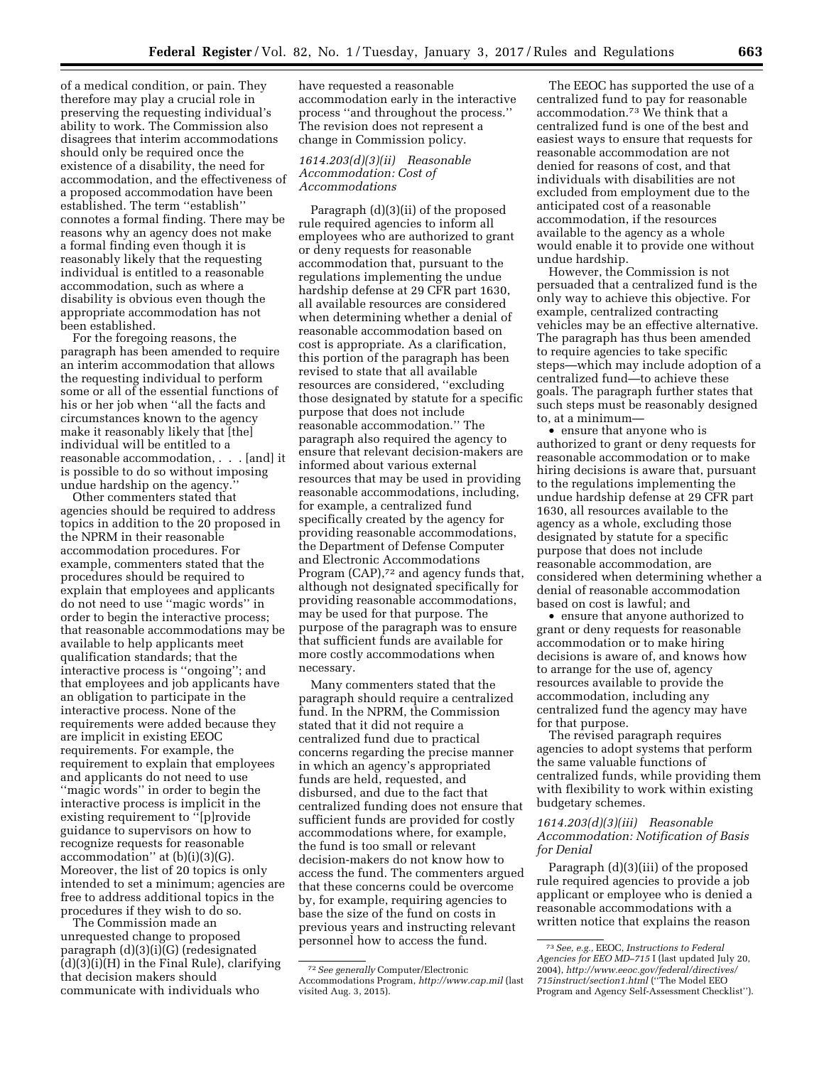of a medical condition, or pain. They therefore may play a crucial role in preserving the requesting individual's ability to work. The Commission also disagrees that interim accommodations should only be required once the existence of a disability, the need for accommodation, and the effectiveness of a proposed accommodation have been established. The term ''establish'' connotes a formal finding. There may be reasons why an agency does not make a formal finding even though it is reasonably likely that the requesting individual is entitled to a reasonable accommodation, such as where a disability is obvious even though the appropriate accommodation has not been established.

For the foregoing reasons, the paragraph has been amended to require an interim accommodation that allows the requesting individual to perform some or all of the essential functions of his or her job when ''all the facts and circumstances known to the agency make it reasonably likely that [the] individual will be entitled to a reasonable accommodation, . . . [and] it is possible to do so without imposing undue hardship on the agency.''

Other commenters stated that agencies should be required to address topics in addition to the 20 proposed in the NPRM in their reasonable accommodation procedures. For example, commenters stated that the procedures should be required to explain that employees and applicants do not need to use ''magic words'' in order to begin the interactive process; that reasonable accommodations may be available to help applicants meet qualification standards; that the interactive process is ''ongoing''; and that employees and job applicants have an obligation to participate in the interactive process. None of the requirements were added because they are implicit in existing EEOC requirements. For example, the requirement to explain that employees and applicants do not need to use ''magic words'' in order to begin the interactive process is implicit in the existing requirement to ''[p]rovide guidance to supervisors on how to recognize requests for reasonable accommodation'' at (b)(i)(3)(G). Moreover, the list of 20 topics is only intended to set a minimum; agencies are free to address additional topics in the procedures if they wish to do so.

The Commission made an unrequested change to proposed paragraph (d)(3)(i)(G) (redesignated (d)(3)(i)(H) in the Final Rule), clarifying that decision makers should communicate with individuals who

have requested a reasonable accommodation early in the interactive process ''and throughout the process.'' The revision does not represent a change in Commission policy.

#### *1614.203(d)(3)(ii) Reasonable Accommodation: Cost of Accommodations*

Paragraph (d)(3)(ii) of the proposed rule required agencies to inform all employees who are authorized to grant or deny requests for reasonable accommodation that, pursuant to the regulations implementing the undue hardship defense at 29 CFR part 1630, all available resources are considered when determining whether a denial of reasonable accommodation based on cost is appropriate. As a clarification, this portion of the paragraph has been revised to state that all available resources are considered, ''excluding those designated by statute for a specific purpose that does not include reasonable accommodation.'' The paragraph also required the agency to ensure that relevant decision-makers are informed about various external resources that may be used in providing reasonable accommodations, including, for example, a centralized fund specifically created by the agency for providing reasonable accommodations, the Department of Defense Computer and Electronic Accommodations Program (CAP),<sup>72</sup> and agency funds that, although not designated specifically for providing reasonable accommodations, may be used for that purpose. The purpose of the paragraph was to ensure that sufficient funds are available for more costly accommodations when necessary.

Many commenters stated that the paragraph should require a centralized fund. In the NPRM, the Commission stated that it did not require a centralized fund due to practical concerns regarding the precise manner in which an agency's appropriated funds are held, requested, and disbursed, and due to the fact that centralized funding does not ensure that sufficient funds are provided for costly accommodations where, for example, the fund is too small or relevant decision-makers do not know how to access the fund. The commenters argued that these concerns could be overcome by, for example, requiring agencies to base the size of the fund on costs in previous years and instructing relevant personnel how to access the fund.

The EEOC has supported the use of a centralized fund to pay for reasonable accommodation.73 We think that a centralized fund is one of the best and easiest ways to ensure that requests for reasonable accommodation are not denied for reasons of cost, and that individuals with disabilities are not excluded from employment due to the anticipated cost of a reasonable accommodation, if the resources available to the agency as a whole would enable it to provide one without undue hardship.

However, the Commission is not persuaded that a centralized fund is the only way to achieve this objective. For example, centralized contracting vehicles may be an effective alternative. The paragraph has thus been amended to require agencies to take specific steps—which may include adoption of a centralized fund—to achieve these goals. The paragraph further states that such steps must be reasonably designed to, at a minimum—

• ensure that anyone who is authorized to grant or deny requests for reasonable accommodation or to make hiring decisions is aware that, pursuant to the regulations implementing the undue hardship defense at 29 CFR part 1630, all resources available to the agency as a whole, excluding those designated by statute for a specific purpose that does not include reasonable accommodation, are considered when determining whether a denial of reasonable accommodation based on cost is lawful; and

• ensure that anyone authorized to grant or deny requests for reasonable accommodation or to make hiring decisions is aware of, and knows how to arrange for the use of, agency resources available to provide the accommodation, including any centralized fund the agency may have for that purpose.

The revised paragraph requires agencies to adopt systems that perform the same valuable functions of centralized funds, while providing them with flexibility to work within existing budgetary schemes.

## *1614.203(d)(3)(iii) Reasonable Accommodation: Notification of Basis for Denial*

Paragraph (d)(3)(iii) of the proposed rule required agencies to provide a job applicant or employee who is denied a reasonable accommodations with a written notice that explains the reason

<sup>72</sup>*See generally* Computer/Electronic Accommodations Program, *<http://www.cap.mil>*(last visited Aug. 3, 2015).

<sup>73</sup>*See, e.g.,* EEOC, *Instructions to Federal Agencies for EEO MD–715* I (last updated July 20, 2004), *[http://www.eeoc.gov/federal/directives/](http://www.eeoc.gov/federal/directives/715instruct/section1.html) [715instruct/section1.html](http://www.eeoc.gov/federal/directives/715instruct/section1.html)* (''The Model EEO Program and Agency Self-Assessment Checklist'').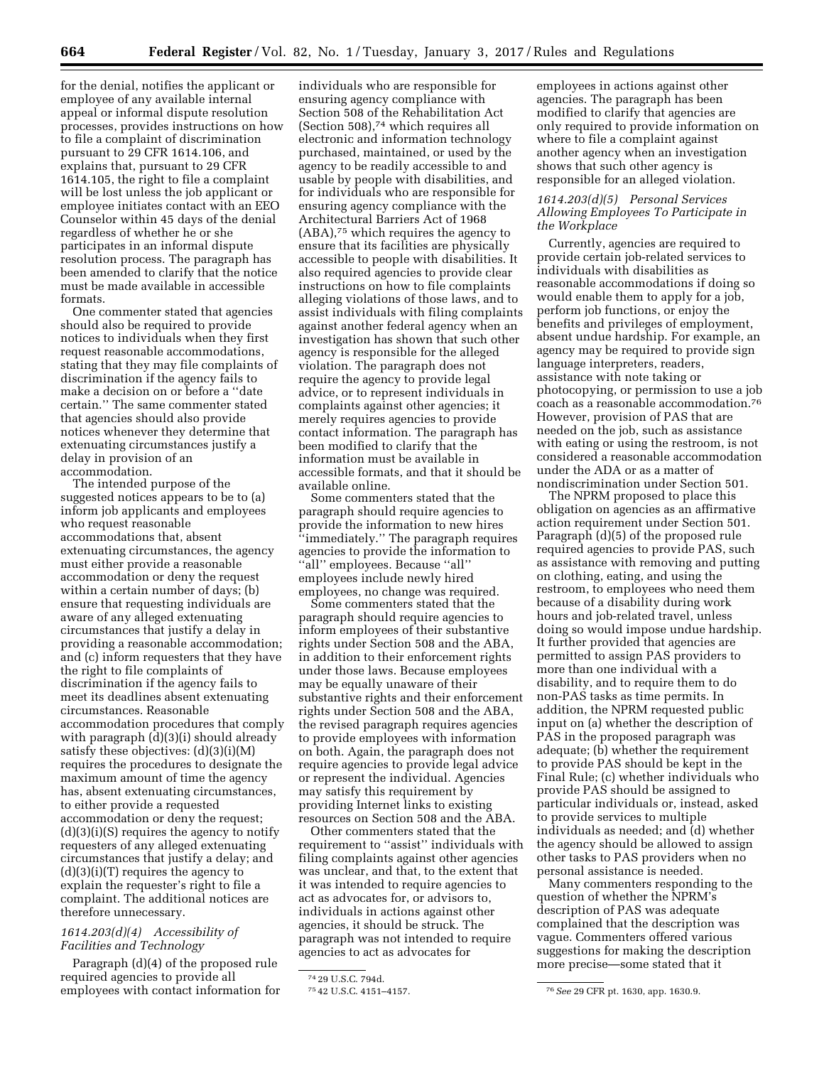for the denial, notifies the applicant or employee of any available internal appeal or informal dispute resolution processes, provides instructions on how to file a complaint of discrimination pursuant to 29 CFR 1614.106, and explains that, pursuant to 29 CFR 1614.105, the right to file a complaint will be lost unless the job applicant or employee initiates contact with an EEO Counselor within 45 days of the denial regardless of whether he or she participates in an informal dispute resolution process. The paragraph has been amended to clarify that the notice must be made available in accessible formats.

One commenter stated that agencies should also be required to provide notices to individuals when they first request reasonable accommodations, stating that they may file complaints of discrimination if the agency fails to make a decision on or before a ''date certain.'' The same commenter stated that agencies should also provide notices whenever they determine that extenuating circumstances justify a delay in provision of an accommodation.

The intended purpose of the suggested notices appears to be to (a) inform job applicants and employees who request reasonable accommodations that, absent extenuating circumstances, the agency must either provide a reasonable accommodation or deny the request within a certain number of days; (b) ensure that requesting individuals are aware of any alleged extenuating circumstances that justify a delay in providing a reasonable accommodation; and (c) inform requesters that they have the right to file complaints of discrimination if the agency fails to meet its deadlines absent extenuating circumstances. Reasonable accommodation procedures that comply with paragraph (d)(3)(i) should already satisfy these objectives: (d)(3)(i)(M) requires the procedures to designate the maximum amount of time the agency has, absent extenuating circumstances, to either provide a requested accommodation or deny the request;  $(d)(3)(i)(S)$  requires the agency to notify requesters of any alleged extenuating circumstances that justify a delay; and (d)(3)(i)(T) requires the agency to explain the requester's right to file a complaint. The additional notices are therefore unnecessary.

## *1614.203(d)(4) Accessibility of Facilities and Technology*

Paragraph (d)(4) of the proposed rule required agencies to provide all employees with contact information for

individuals who are responsible for ensuring agency compliance with Section 508 of the Rehabilitation Act (Section 508),74 which requires all electronic and information technology purchased, maintained, or used by the agency to be readily accessible to and usable by people with disabilities, and for individuals who are responsible for ensuring agency compliance with the Architectural Barriers Act of 1968 (ABA),75 which requires the agency to ensure that its facilities are physically accessible to people with disabilities. It also required agencies to provide clear instructions on how to file complaints alleging violations of those laws, and to assist individuals with filing complaints against another federal agency when an investigation has shown that such other agency is responsible for the alleged violation. The paragraph does not require the agency to provide legal advice, or to represent individuals in complaints against other agencies; it merely requires agencies to provide contact information. The paragraph has been modified to clarify that the information must be available in accessible formats, and that it should be available online.

Some commenters stated that the paragraph should require agencies to provide the information to new hires ''immediately.'' The paragraph requires agencies to provide the information to ''all'' employees. Because ''all'' employees include newly hired employees, no change was required.

Some commenters stated that the paragraph should require agencies to inform employees of their substantive rights under Section 508 and the ABA, in addition to their enforcement rights under those laws. Because employees may be equally unaware of their substantive rights and their enforcement rights under Section 508 and the ABA, the revised paragraph requires agencies to provide employees with information on both. Again, the paragraph does not require agencies to provide legal advice or represent the individual. Agencies may satisfy this requirement by providing Internet links to existing resources on Section 508 and the ABA.

Other commenters stated that the requirement to ''assist'' individuals with filing complaints against other agencies was unclear, and that, to the extent that it was intended to require agencies to act as advocates for, or advisors to, individuals in actions against other agencies, it should be struck. The paragraph was not intended to require agencies to act as advocates for

employees in actions against other agencies. The paragraph has been modified to clarify that agencies are only required to provide information on where to file a complaint against another agency when an investigation shows that such other agency is responsible for an alleged violation.

## *1614.203(d)(5) Personal Services Allowing Employees To Participate in the Workplace*

Currently, agencies are required to provide certain job-related services to individuals with disabilities as reasonable accommodations if doing so would enable them to apply for a job, perform job functions, or enjoy the benefits and privileges of employment, absent undue hardship. For example, an agency may be required to provide sign language interpreters, readers, assistance with note taking or photocopying, or permission to use a job coach as a reasonable accommodation.76 However, provision of PAS that are needed on the job, such as assistance with eating or using the restroom, is not considered a reasonable accommodation under the ADA or as a matter of nondiscrimination under Section 501.

The NPRM proposed to place this obligation on agencies as an affirmative action requirement under Section 501. Paragraph (d)(5) of the proposed rule required agencies to provide PAS, such as assistance with removing and putting on clothing, eating, and using the restroom, to employees who need them because of a disability during work hours and job-related travel, unless doing so would impose undue hardship. It further provided that agencies are permitted to assign PAS providers to more than one individual with a disability, and to require them to do non-PAS tasks as time permits. In addition, the NPRM requested public input on (a) whether the description of PAS in the proposed paragraph was adequate; (b) whether the requirement to provide PAS should be kept in the Final Rule; (c) whether individuals who provide PAS should be assigned to particular individuals or, instead, asked to provide services to multiple individuals as needed; and (d) whether the agency should be allowed to assign other tasks to PAS providers when no personal assistance is needed.

Many commenters responding to the question of whether the NPRM's description of PAS was adequate complained that the description was vague. Commenters offered various suggestions for making the description more precise—some stated that it

<sup>74</sup> 29 U.S.C. 794d.

<sup>75</sup> 42 U.S.C. 4151–4157. 76*See* 29 CFR pt. 1630, app. 1630.9.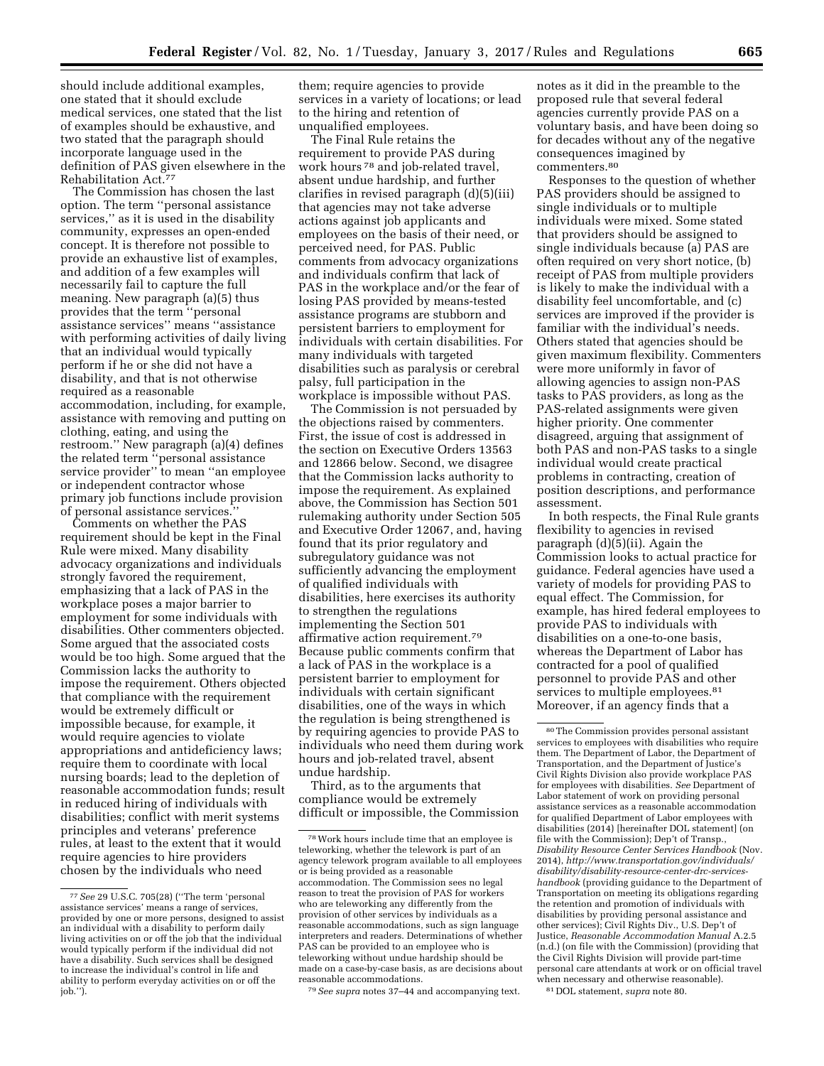should include additional examples, one stated that it should exclude medical services, one stated that the list of examples should be exhaustive, and two stated that the paragraph should incorporate language used in the definition of PAS given elsewhere in the Rehabilitation Act.77

The Commission has chosen the last option. The term ''personal assistance services," as it is used in the disability community, expresses an open-ended concept. It is therefore not possible to provide an exhaustive list of examples, and addition of a few examples will necessarily fail to capture the full meaning. New paragraph (a)(5) thus provides that the term ''personal assistance services'' means ''assistance with performing activities of daily living that an individual would typically perform if he or she did not have a disability, and that is not otherwise required as a reasonable accommodation, including, for example, assistance with removing and putting on clothing, eating, and using the restroom.'' New paragraph (a)(4) defines the related term ''personal assistance service provider'' to mean ''an employee or independent contractor whose primary job functions include provision of personal assistance services.

Comments on whether the PAS requirement should be kept in the Final Rule were mixed. Many disability advocacy organizations and individuals strongly favored the requirement, emphasizing that a lack of PAS in the workplace poses a major barrier to employment for some individuals with disabilities. Other commenters objected. Some argued that the associated costs would be too high. Some argued that the Commission lacks the authority to impose the requirement. Others objected that compliance with the requirement would be extremely difficult or impossible because, for example, it would require agencies to violate appropriations and antideficiency laws; require them to coordinate with local nursing boards; lead to the depletion of reasonable accommodation funds; result in reduced hiring of individuals with disabilities; conflict with merit systems principles and veterans' preference rules, at least to the extent that it would require agencies to hire providers chosen by the individuals who need

them; require agencies to provide services in a variety of locations; or lead to the hiring and retention of unqualified employees.

The Final Rule retains the requirement to provide PAS during work hours 78 and job-related travel, absent undue hardship, and further clarifies in revised paragraph (d)(5)(iii) that agencies may not take adverse actions against job applicants and employees on the basis of their need, or perceived need, for PAS. Public comments from advocacy organizations and individuals confirm that lack of PAS in the workplace and/or the fear of losing PAS provided by means-tested assistance programs are stubborn and persistent barriers to employment for individuals with certain disabilities. For many individuals with targeted disabilities such as paralysis or cerebral palsy, full participation in the workplace is impossible without PAS.

The Commission is not persuaded by the objections raised by commenters. First, the issue of cost is addressed in the section on Executive Orders 13563 and 12866 below. Second, we disagree that the Commission lacks authority to impose the requirement. As explained above, the Commission has Section 501 rulemaking authority under Section 505 and Executive Order 12067, and, having found that its prior regulatory and subregulatory guidance was not sufficiently advancing the employment of qualified individuals with disabilities, here exercises its authority to strengthen the regulations implementing the Section 501 affirmative action requirement.79 Because public comments confirm that a lack of PAS in the workplace is a persistent barrier to employment for individuals with certain significant disabilities, one of the ways in which the regulation is being strengthened is by requiring agencies to provide PAS to individuals who need them during work hours and job-related travel, absent undue hardship.

Third, as to the arguments that compliance would be extremely difficult or impossible, the Commission

79*See supra* notes 37–44 and accompanying text.

notes as it did in the preamble to the proposed rule that several federal agencies currently provide PAS on a voluntary basis, and have been doing so for decades without any of the negative consequences imagined by commenters.80

Responses to the question of whether PAS providers should be assigned to single individuals or to multiple individuals were mixed. Some stated that providers should be assigned to single individuals because (a) PAS are often required on very short notice, (b) receipt of PAS from multiple providers is likely to make the individual with a disability feel uncomfortable, and (c) services are improved if the provider is familiar with the individual's needs. Others stated that agencies should be given maximum flexibility. Commenters were more uniformly in favor of allowing agencies to assign non-PAS tasks to PAS providers, as long as the PAS-related assignments were given higher priority. One commenter disagreed, arguing that assignment of both PAS and non-PAS tasks to a single individual would create practical problems in contracting, creation of position descriptions, and performance assessment.

In both respects, the Final Rule grants flexibility to agencies in revised paragraph (d)(5)(ii). Again the Commission looks to actual practice for guidance. Federal agencies have used a variety of models for providing PAS to equal effect. The Commission, for example, has hired federal employees to provide PAS to individuals with disabilities on a one-to-one basis, whereas the Department of Labor has contracted for a pool of qualified personnel to provide PAS and other services to multiple employees.<sup>81</sup> Moreover, if an agency finds that a

81 DOL statement, *supra* note 80.

<sup>77</sup>*See* 29 U.S.C. 705(28) (''The term 'personal assistance services' means a range of services, provided by one or more persons, designed to assist an individual with a disability to perform daily living activities on or off the job that the individual would typically perform if the individual did not have a disability. Such services shall be designed to increase the individual's control in life and ability to perform everyday activities on or off the  $\text{job."}$ .

<sup>78</sup>Work hours include time that an employee is teleworking, whether the telework is part of an agency telework program available to all employees or is being provided as a reasonable accommodation. The Commission sees no legal reason to treat the provision of PAS for workers who are teleworking any differently from the provision of other services by individuals as a reasonable accommodations, such as sign language interpreters and readers. Determinations of whether PAS can be provided to an employee who is teleworking without undue hardship should be made on a case-by-case basis, as are decisions about reasonable accommodations.

<sup>80</sup>The Commission provides personal assistant services to employees with disabilities who require them. The Department of Labor, the Department of Transportation, and the Department of Justice's Civil Rights Division also provide workplace PAS for employees with disabilities. *See* Department of Labor statement of work on providing personal assistance services as a reasonable accommodation for qualified Department of Labor employees with disabilities (2014) [hereinafter DOL statement] (on file with the Commission); Dep't of Transp., *Disability Resource Center Services Handbook* (Nov. 2014), *http://www.transportation.gov/individuals/ disability/disability-resource-center-drc-serviceshandbook* (providing guidance to the Department of Transportation on meeting its obligations regarding the retention and promotion of individuals with disabilities by providing personal assistance and other services); Civil Rights Div., U.S. Dep't of Justice, *Reasonable Accommodation Manual* A.2.5 (n.d.) (on file with the Commission) (providing that the Civil Rights Division will provide part-time personal care attendants at work or on official travel when necessary and otherwise reasonable).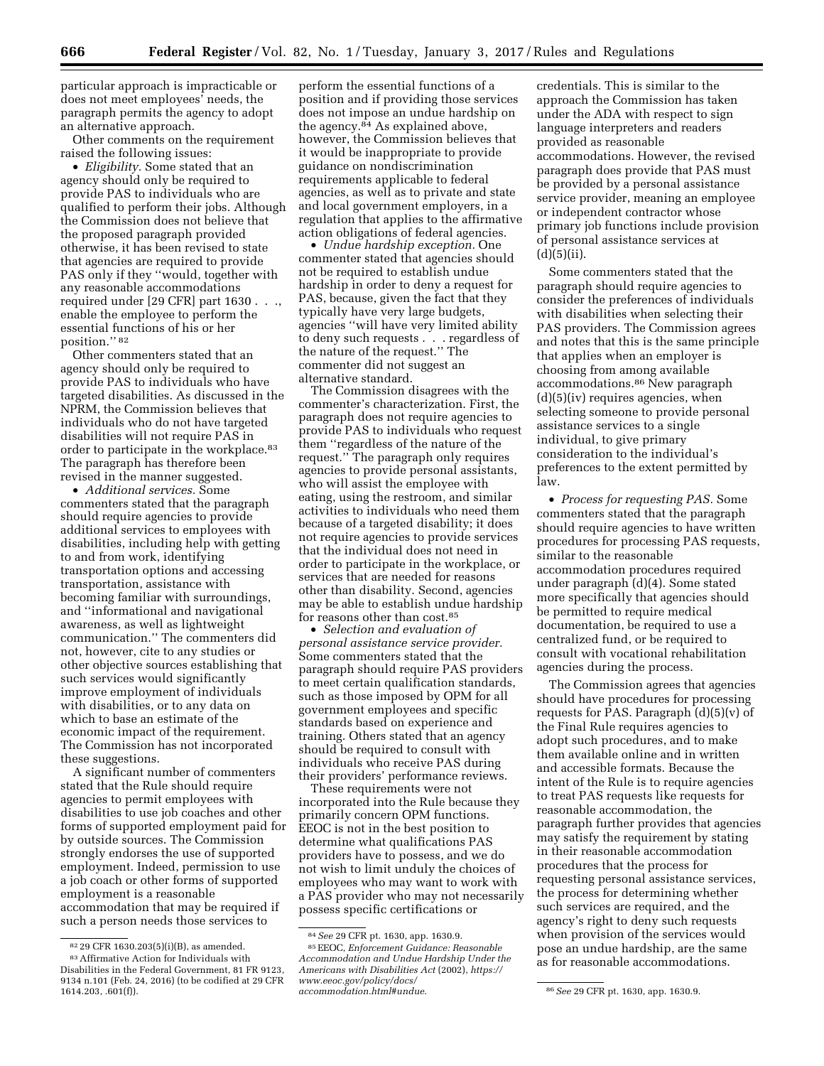particular approach is impracticable or does not meet employees' needs, the paragraph permits the agency to adopt an alternative approach.

Other comments on the requirement raised the following issues:

• *Eligibility.* Some stated that an agency should only be required to provide PAS to individuals who are qualified to perform their jobs. Although the Commission does not believe that the proposed paragraph provided otherwise, it has been revised to state that agencies are required to provide PAS only if they ''would, together with any reasonable accommodations required under [29 CFR] part 1630 . . ., enable the employee to perform the essential functions of his or her position.'' 82

Other commenters stated that an agency should only be required to provide PAS to individuals who have targeted disabilities. As discussed in the NPRM, the Commission believes that individuals who do not have targeted disabilities will not require PAS in order to participate in the workplace.<sup>83</sup> The paragraph has therefore been revised in the manner suggested.

• *Additional services.* Some commenters stated that the paragraph should require agencies to provide additional services to employees with disabilities, including help with getting to and from work, identifying transportation options and accessing transportation, assistance with becoming familiar with surroundings, and ''informational and navigational awareness, as well as lightweight communication.'' The commenters did not, however, cite to any studies or other objective sources establishing that such services would significantly improve employment of individuals with disabilities, or to any data on which to base an estimate of the economic impact of the requirement. The Commission has not incorporated these suggestions.

A significant number of commenters stated that the Rule should require agencies to permit employees with disabilities to use job coaches and other forms of supported employment paid for by outside sources. The Commission strongly endorses the use of supported employment. Indeed, permission to use a job coach or other forms of supported employment is a reasonable accommodation that may be required if such a person needs those services to

83Affirmative Action for Individuals with Disabilities in the Federal Government, 81 FR 9123, 9134 n.101 (Feb. 24, 2016) (to be codified at 29 CFR 1614.203, .601(f)).

perform the essential functions of a position and if providing those services does not impose an undue hardship on the agency.<sup>84</sup> As explained above, however, the Commission believes that it would be inappropriate to provide guidance on nondiscrimination requirements applicable to federal agencies, as well as to private and state and local government employers, in a regulation that applies to the affirmative action obligations of federal agencies.

• *Undue hardship exception.* One commenter stated that agencies should not be required to establish undue hardship in order to deny a request for PAS, because, given the fact that they typically have very large budgets, agencies ''will have very limited ability to deny such requests . . . regardless of the nature of the request.'' The commenter did not suggest an alternative standard.

The Commission disagrees with the commenter's characterization. First, the paragraph does not require agencies to provide PAS to individuals who request them ''regardless of the nature of the request.'' The paragraph only requires agencies to provide personal assistants, who will assist the employee with eating, using the restroom, and similar activities to individuals who need them because of a targeted disability; it does not require agencies to provide services that the individual does not need in order to participate in the workplace, or services that are needed for reasons other than disability. Second, agencies may be able to establish undue hardship for reasons other than cost.85

• *Selection and evaluation of personal assistance service provider.*  Some commenters stated that the paragraph should require PAS providers to meet certain qualification standards, such as those imposed by OPM for all government employees and specific standards based on experience and training. Others stated that an agency should be required to consult with individuals who receive PAS during their providers' performance reviews.

These requirements were not incorporated into the Rule because they primarily concern OPM functions. EEOC is not in the best position to determine what qualifications PAS providers have to possess, and we do not wish to limit unduly the choices of employees who may want to work with a PAS provider who may not necessarily possess specific certifications or

credentials. This is similar to the approach the Commission has taken under the ADA with respect to sign language interpreters and readers provided as reasonable accommodations. However, the revised paragraph does provide that PAS must be provided by a personal assistance service provider, meaning an employee or independent contractor whose primary job functions include provision of personal assistance services at  $(d)(5)(ii)$ .

Some commenters stated that the paragraph should require agencies to consider the preferences of individuals with disabilities when selecting their PAS providers. The Commission agrees and notes that this is the same principle that applies when an employer is choosing from among available accommodations.86 New paragraph  $(d)(5)(iv)$  requires agencies, when selecting someone to provide personal assistance services to a single individual, to give primary consideration to the individual's preferences to the extent permitted by law.

• *Process for requesting PAS.* Some commenters stated that the paragraph should require agencies to have written procedures for processing PAS requests, similar to the reasonable accommodation procedures required under paragraph (d)(4). Some stated more specifically that agencies should be permitted to require medical documentation, be required to use a centralized fund, or be required to consult with vocational rehabilitation agencies during the process.

The Commission agrees that agencies should have procedures for processing requests for PAS. Paragraph (d)(5)(v) of the Final Rule requires agencies to adopt such procedures, and to make them available online and in written and accessible formats. Because the intent of the Rule is to require agencies to treat PAS requests like requests for reasonable accommodation, the paragraph further provides that agencies may satisfy the requirement by stating in their reasonable accommodation procedures that the process for requesting personal assistance services, the process for determining whether such services are required, and the agency's right to deny such requests when provision of the services would pose an undue hardship, are the same as for reasonable accommodations.

<sup>82</sup> 29 CFR 1630.203(5)(i)(B), as amended.

<sup>84</sup>*See* 29 CFR pt. 1630, app. 1630.9.

<sup>85</sup>EEOC, *Enforcement Guidance: Reasonable Accommodation and Undue Hardship Under the Americans with Disabilities Act* (2002), *[https://](https://www.eeoc.gov/policy/docs/accommodation.html#undue) [www.eeoc.gov/policy/docs/](https://www.eeoc.gov/policy/docs/accommodation.html#undue)*

*[accommodation.html#undue](https://www.eeoc.gov/policy/docs/accommodation.html#undue)*. 86*See* 29 CFR pt. 1630, app. 1630.9.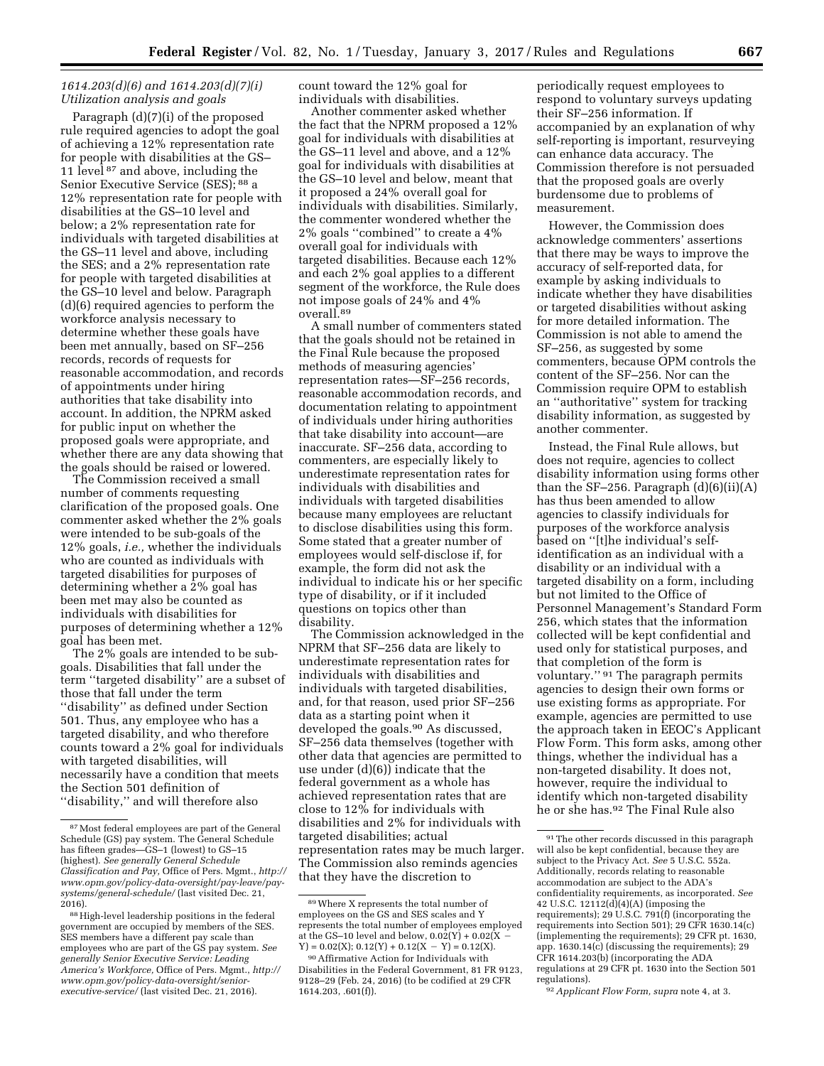## *1614.203(d)(6) and 1614.203(d)(7)(i) Utilization analysis and goals*

Paragraph (d)(7)(i) of the proposed rule required agencies to adopt the goal of achieving a 12% representation rate for people with disabilities at the GS– 11 level 87 and above, including the Senior Executive Service (SES); 88 a 12% representation rate for people with disabilities at the GS–10 level and below; a 2% representation rate for individuals with targeted disabilities at the GS–11 level and above, including the SES; and a 2% representation rate for people with targeted disabilities at the GS–10 level and below. Paragraph (d)(6) required agencies to perform the workforce analysis necessary to determine whether these goals have been met annually, based on SF–256 records, records of requests for reasonable accommodation, and records of appointments under hiring authorities that take disability into account. In addition, the NPRM asked for public input on whether the proposed goals were appropriate, and whether there are any data showing that the goals should be raised or lowered.

The Commission received a small number of comments requesting clarification of the proposed goals. One commenter asked whether the 2% goals were intended to be sub-goals of the 12% goals, *i.e.,* whether the individuals who are counted as individuals with targeted disabilities for purposes of determining whether a 2% goal has been met may also be counted as individuals with disabilities for purposes of determining whether a 12% goal has been met.

The 2% goals are intended to be subgoals. Disabilities that fall under the term ''targeted disability'' are a subset of those that fall under the term ''disability'' as defined under Section 501. Thus, any employee who has a targeted disability, and who therefore counts toward a 2% goal for individuals with targeted disabilities, will necessarily have a condition that meets the Section 501 definition of ''disability,'' and will therefore also

count toward the 12% goal for individuals with disabilities.

Another commenter asked whether the fact that the NPRM proposed a 12% goal for individuals with disabilities at the GS–11 level and above, and a 12% goal for individuals with disabilities at the GS–10 level and below, meant that it proposed a 24% overall goal for individuals with disabilities. Similarly, the commenter wondered whether the 2% goals ''combined'' to create a 4% overall goal for individuals with targeted disabilities. Because each 12% and each 2% goal applies to a different segment of the workforce, the Rule does not impose goals of 24% and 4% overall.89

A small number of commenters stated that the goals should not be retained in the Final Rule because the proposed methods of measuring agencies' representation rates—SF–256 records, reasonable accommodation records, and documentation relating to appointment of individuals under hiring authorities that take disability into account—are inaccurate. SF–256 data, according to commenters, are especially likely to underestimate representation rates for individuals with disabilities and individuals with targeted disabilities because many employees are reluctant to disclose disabilities using this form. Some stated that a greater number of employees would self-disclose if, for example, the form did not ask the individual to indicate his or her specific type of disability, or if it included questions on topics other than disability.

The Commission acknowledged in the NPRM that SF–256 data are likely to underestimate representation rates for individuals with disabilities and individuals with targeted disabilities, and, for that reason, used prior SF–256 data as a starting point when it developed the goals.90 As discussed, SF–256 data themselves (together with other data that agencies are permitted to use under (d)(6)) indicate that the federal government as a whole has achieved representation rates that are close to 12% for individuals with disabilities and 2% for individuals with targeted disabilities; actual representation rates may be much larger. The Commission also reminds agencies that they have the discretion to

periodically request employees to respond to voluntary surveys updating their SF–256 information. If accompanied by an explanation of why self-reporting is important, resurveying can enhance data accuracy. The Commission therefore is not persuaded that the proposed goals are overly burdensome due to problems of measurement.

However, the Commission does acknowledge commenters' assertions that there may be ways to improve the accuracy of self-reported data, for example by asking individuals to indicate whether they have disabilities or targeted disabilities without asking for more detailed information. The Commission is not able to amend the SF–256, as suggested by some commenters, because OPM controls the content of the SF–256. Nor can the Commission require OPM to establish an ''authoritative'' system for tracking disability information, as suggested by another commenter.

Instead, the Final Rule allows, but does not require, agencies to collect disability information using forms other than the SF-256. Paragraph  $(d)(6)(ii)(A)$ has thus been amended to allow agencies to classify individuals for purposes of the workforce analysis based on ''[t]he individual's selfidentification as an individual with a disability or an individual with a targeted disability on a form, including but not limited to the Office of Personnel Management's Standard Form 256, which states that the information collected will be kept confidential and used only for statistical purposes, and that completion of the form is voluntary.'' 91 The paragraph permits agencies to design their own forms or use existing forms as appropriate. For example, agencies are permitted to use the approach taken in EEOC's Applicant Flow Form. This form asks, among other things, whether the individual has a non-targeted disability. It does not, however, require the individual to identify which non-targeted disability he or she has.92 The Final Rule also

<sup>87</sup>Most federal employees are part of the General Schedule (GS) pay system. The General Schedule has fifteen grades—GS-1 (lowest) to GS-15 (highest). *See generally General Schedule Classification and Pay,* Office of Pers. Mgmt., *[http://](http://www.opm.gov/policy-data-oversight/pay-leave/pay-systems/general-schedule/)  [www.opm.gov/policy-data-oversight/pay-leave/pay](http://www.opm.gov/policy-data-oversight/pay-leave/pay-systems/general-schedule/)[systems/general-schedule/](http://www.opm.gov/policy-data-oversight/pay-leave/pay-systems/general-schedule/)* (last visited Dec. 21, 2016).

<sup>88</sup>High-level leadership positions in the federal government are occupied by members of the SES. SES members have a different pay scale than employees who are part of the GS pay system. *See generally Senior Executive Service: Leading America's Workforce,* Office of Pers. Mgmt., *[http://](http://www.opm.gov/policy-data-oversight/senior-executive-service/) [www.opm.gov/policy-data-oversight/senior](http://www.opm.gov/policy-data-oversight/senior-executive-service/)[executive-service/](http://www.opm.gov/policy-data-oversight/senior-executive-service/)* (last visited Dec. 21, 2016).

<sup>89</sup>Where X represents the total number of employees on the GS and SES scales and Y represents the total number of employees employed at the GS–10 level and below,  $0.02(Y) + 0.02(X)$  $Y$ ) = 0.02(X); 0.12(Y) + 0.12(X – Y) = 0.12(X).

<sup>90</sup>Affirmative Action for Individuals with Disabilities in the Federal Government, 81 FR 9123, 9128–29 (Feb. 24, 2016) (to be codified at 29 CFR 1614.203, .601(f)).

<sup>91</sup>The other records discussed in this paragraph will also be kept confidential, because they are subject to the Privacy Act. *See* 5 U.S.C. 552a. Additionally, records relating to reasonable accommodation are subject to the ADA's confidentiality requirements, as incorporated. *See*  42 U.S.C. 12112(d)(4)(A) (imposing the requirements); 29 U.S.C. 791(f) (incorporating the requirements into Section 501); 29 CFR 1630.14(c) (implementing the requirements); 29 CFR pt. 1630, app. 1630.14(c) (discussing the requirements); 29 CFR 1614.203(b) (incorporating the ADA regulations at 29 CFR pt. 1630 into the Section 501 regulations).

<sup>92</sup>*Applicant Flow Form, supra* note 4, at 3.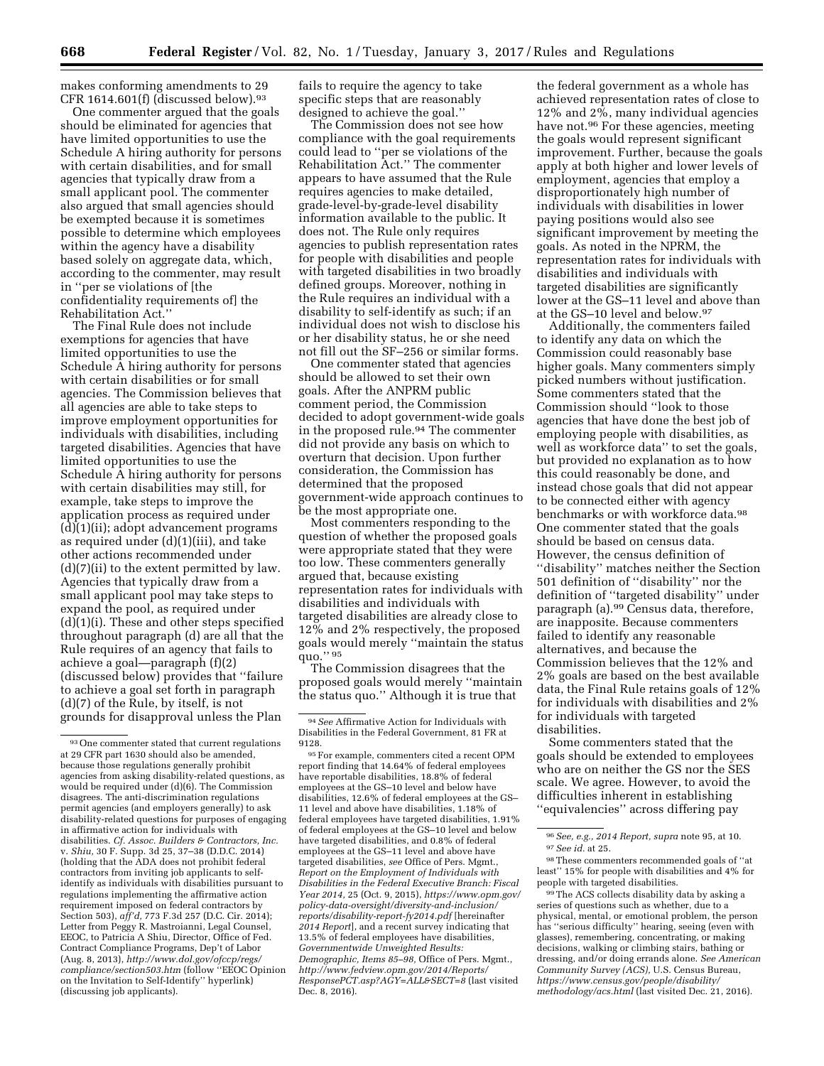makes conforming amendments to 29 CFR 1614.601(f) (discussed below).<sup>93</sup>

One commenter argued that the goals should be eliminated for agencies that have limited opportunities to use the Schedule A hiring authority for persons with certain disabilities, and for small agencies that typically draw from a small applicant pool. The commenter also argued that small agencies should be exempted because it is sometimes possible to determine which employees within the agency have a disability based solely on aggregate data, which, according to the commenter, may result in ''per se violations of [the confidentiality requirements of] the Rehabilitation Act.''

The Final Rule does not include exemptions for agencies that have limited opportunities to use the Schedule A hiring authority for persons with certain disabilities or for small agencies. The Commission believes that all agencies are able to take steps to improve employment opportunities for individuals with disabilities, including targeted disabilities. Agencies that have limited opportunities to use the Schedule A hiring authority for persons with certain disabilities may still, for example, take steps to improve the application process as required under (d)(1)(ii); adopt advancement programs as required under (d)(1)(iii), and take other actions recommended under (d)(7)(ii) to the extent permitted by law. Agencies that typically draw from a small applicant pool may take steps to expand the pool, as required under (d)(1)(i). These and other steps specified throughout paragraph (d) are all that the Rule requires of an agency that fails to achieve a goal—paragraph (f)(2) (discussed below) provides that ''failure to achieve a goal set forth in paragraph (d)(7) of the Rule, by itself, is not grounds for disapproval unless the Plan

fails to require the agency to take specific steps that are reasonably designed to achieve the goal.''

The Commission does not see how compliance with the goal requirements could lead to ''per se violations of the Rehabilitation Act.'' The commenter appears to have assumed that the Rule requires agencies to make detailed, grade-level-by-grade-level disability information available to the public. It does not. The Rule only requires agencies to publish representation rates for people with disabilities and people with targeted disabilities in two broadly defined groups. Moreover, nothing in the Rule requires an individual with a disability to self-identify as such; if an individual does not wish to disclose his or her disability status, he or she need not fill out the SF–256 or similar forms.

One commenter stated that agencies should be allowed to set their own goals. After the ANPRM public comment period, the Commission decided to adopt government-wide goals in the proposed rule.94 The commenter did not provide any basis on which to overturn that decision. Upon further consideration, the Commission has determined that the proposed government-wide approach continues to be the most appropriate one.

Most commenters responding to the question of whether the proposed goals were appropriate stated that they were too low. These commenters generally argued that, because existing representation rates for individuals with disabilities and individuals with targeted disabilities are already close to 12% and 2% respectively, the proposed goals would merely ''maintain the status quo.'' 95

The Commission disagrees that the proposed goals would merely ''maintain the status quo.'' Although it is true that

the federal government as a whole has achieved representation rates of close to 12% and 2%, many individual agencies have not.96 For these agencies, meeting the goals would represent significant improvement. Further, because the goals apply at both higher and lower levels of employment, agencies that employ a disproportionately high number of individuals with disabilities in lower paying positions would also see significant improvement by meeting the goals. As noted in the NPRM, the representation rates for individuals with disabilities and individuals with targeted disabilities are significantly lower at the GS–11 level and above than at the GS–10 level and below.97

Additionally, the commenters failed to identify any data on which the Commission could reasonably base higher goals. Many commenters simply picked numbers without justification. Some commenters stated that the Commission should ''look to those agencies that have done the best job of employing people with disabilities, as well as workforce data'' to set the goals, but provided no explanation as to how this could reasonably be done, and instead chose goals that did not appear to be connected either with agency benchmarks or with workforce data.98 One commenter stated that the goals should be based on census data. However, the census definition of ''disability'' matches neither the Section 501 definition of ''disability'' nor the definition of ''targeted disability'' under paragraph (a).99 Census data, therefore, are inapposite. Because commenters failed to identify any reasonable alternatives, and because the Commission believes that the 12% and 2% goals are based on the best available data, the Final Rule retains goals of 12% for individuals with disabilities and 2% for individuals with targeted disabilities.

Some commenters stated that the goals should be extended to employees who are on neither the GS nor the SES scale. We agree. However, to avoid the difficulties inherent in establishing ''equivalencies'' across differing pay

<sup>93</sup>One commenter stated that current regulations at 29 CFR part 1630 should also be amended, because those regulations generally prohibit agencies from asking disability-related questions, as would be required under (d)(6). The Commission disagrees. The anti-discrimination regulations permit agencies (and employers generally) to ask disability-related questions for purposes of engaging in affirmative action for individuals with disabilities. *Cf. Assoc. Builders & Contractors, Inc.*  v. *Shiu,* 30 F. Supp. 3d 25, 37–38 (D.D.C. 2014) (holding that the ADA does not prohibit federal contractors from inviting job applicants to selfidentify as individuals with disabilities pursuant to regulations implementing the affirmative action requirement imposed on federal contractors by Section 503), *aff'd,* 773 F.3d 257 (D.C. Cir. 2014); Letter from Peggy R. Mastroianni, Legal Counsel, EEOC, to Patricia A Shiu, Director, Office of Fed. Contract Compliance Programs, Dep't of Labor (Aug. 8, 2013), *[http://www.dol.gov/ofccp/regs/](http://www.dol.gov/ofccp/regs/compliance/section503.htm) [compliance/section503.htm](http://www.dol.gov/ofccp/regs/compliance/section503.htm)* (follow ''EEOC Opinion on the Invitation to Self-Identify'' hyperlink) (discussing job applicants).

<sup>94</sup>*See* Affirmative Action for Individuals with Disabilities in the Federal Government, 81 FR at 9128.

<sup>95</sup>For example, commenters cited a recent OPM report finding that 14.64% of federal employees have reportable disabilities, 18.8% of federal employees at the GS–10 level and below have disabilities, 12.6% of federal employees at the GS– 11 level and above have disabilities, 1.18% of federal employees have targeted disabilities, 1.91% of federal employees at the GS–10 level and below have targeted disabilities, and 0.8% of federal employees at the GS–11 level and above have targeted disabilities, *see* Office of Pers. Mgmt., *Report on the Employment of Individuals with Disabilities in the Federal Executive Branch: Fiscal Year 2014,* 25 (Oct. 9, 2015), *[https://www.opm.gov/](https://www.opm.gov/policy-data-oversight/diversity-and-inclusion/reports/disability-report-fy2014.pdf)  [policy-data-oversight/diversity-and-inclusion/](https://www.opm.gov/policy-data-oversight/diversity-and-inclusion/reports/disability-report-fy2014.pdf) [reports/disability-report-fy2014.pdf](https://www.opm.gov/policy-data-oversight/diversity-and-inclusion/reports/disability-report-fy2014.pdf)* [hereinafter *2014 Report*], and a recent survey indicating that 13.5% of federal employees have disabilities, *Governmentwide Unweighted Results: Demographic, Items 85–98,* Office of Pers. Mgmt., *[http://www.fedview.opm.gov/2014/Reports/](http://www.fedview.opm.gov/2014/Reports/ResponsePCT.asp?AGY=ALL&SECT=8) [ResponsePCT.asp?AGY=ALL&SECT=8](http://www.fedview.opm.gov/2014/Reports/ResponsePCT.asp?AGY=ALL&SECT=8)* (last visited Dec. 8, 2016).

<sup>96</sup>*See, e.g., 2014 Report, supra* note 95, at 10. 97*See id.* at 25.

<sup>98</sup>These commenters recommended goals of ''at least'' 15% for people with disabilities and 4% for people with targeted disabilities.

<sup>99</sup>The ACS collects disability data by asking a series of questions such as whether, due to a physical, mental, or emotional problem, the person has ''serious difficulty'' hearing, seeing (even with glasses), remembering, concentrating, or making decisions, walking or climbing stairs, bathing or dressing, and/or doing errands alone. *See American Community Survey (ACS),* U.S. Census Bureau, *[https://www.census.gov/people/disability/](https://www.census.gov/people/disability/methodology/acs.html) [methodology/acs.html](https://www.census.gov/people/disability/methodology/acs.html)* (last visited Dec. 21, 2016).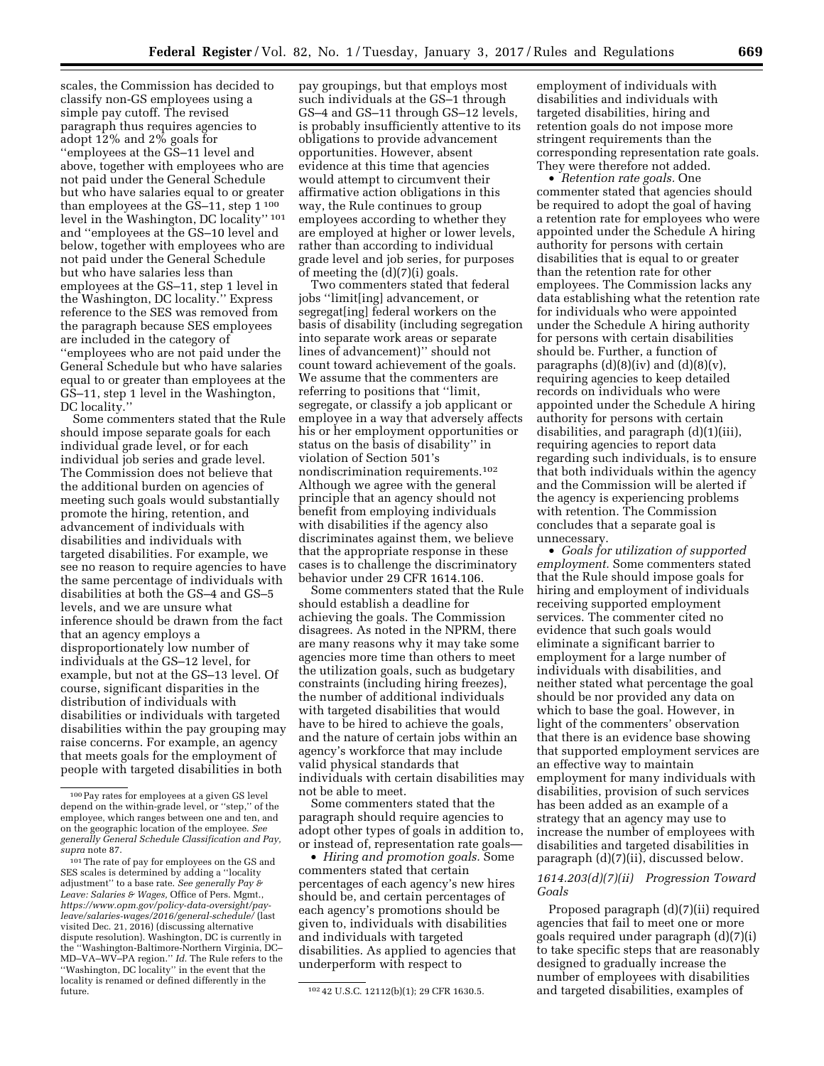scales, the Commission has decided to classify non-GS employees using a simple pay cutoff. The revised paragraph thus requires agencies to adopt 12% and 2% goals for ''employees at the GS–11 level and above, together with employees who are not paid under the General Schedule but who have salaries equal to or greater than employees at the GS-11, step 1<sup>100</sup> level in the Washington, DC locality"<sup>101</sup> and ''employees at the GS–10 level and below, together with employees who are not paid under the General Schedule but who have salaries less than employees at the GS–11, step 1 level in the Washington, DC locality.'' Express reference to the SES was removed from the paragraph because SES employees are included in the category of ''employees who are not paid under the General Schedule but who have salaries equal to or greater than employees at the GS–11, step 1 level in the Washington, DC locality.''

Some commenters stated that the Rule should impose separate goals for each individual grade level, or for each individual job series and grade level. The Commission does not believe that the additional burden on agencies of meeting such goals would substantially promote the hiring, retention, and advancement of individuals with disabilities and individuals with targeted disabilities. For example, we see no reason to require agencies to have the same percentage of individuals with disabilities at both the GS–4 and GS–5 levels, and we are unsure what inference should be drawn from the fact that an agency employs a disproportionately low number of individuals at the GS–12 level, for example, but not at the GS–13 level. Of course, significant disparities in the distribution of individuals with disabilities or individuals with targeted disabilities within the pay grouping may raise concerns. For example, an agency that meets goals for the employment of people with targeted disabilities in both

pay groupings, but that employs most such individuals at the GS–1 through GS–4 and GS–11 through GS–12 levels, is probably insufficiently attentive to its obligations to provide advancement opportunities. However, absent evidence at this time that agencies would attempt to circumvent their affirmative action obligations in this way, the Rule continues to group employees according to whether they are employed at higher or lower levels, rather than according to individual grade level and job series, for purposes of meeting the (d)(7)(i) goals.

Two commenters stated that federal jobs ''limit[ing] advancement, or segregat[ing] federal workers on the basis of disability (including segregation into separate work areas or separate lines of advancement)'' should not count toward achievement of the goals. We assume that the commenters are referring to positions that ''limit, segregate, or classify a job applicant or employee in a way that adversely affects his or her employment opportunities or status on the basis of disability'' in violation of Section 501's nondiscrimination requirements.102 Although we agree with the general principle that an agency should not benefit from employing individuals with disabilities if the agency also discriminates against them, we believe that the appropriate response in these cases is to challenge the discriminatory behavior under 29 CFR 1614.106.

Some commenters stated that the Rule should establish a deadline for achieving the goals. The Commission disagrees. As noted in the NPRM, there are many reasons why it may take some agencies more time than others to meet the utilization goals, such as budgetary constraints (including hiring freezes), the number of additional individuals with targeted disabilities that would have to be hired to achieve the goals, and the nature of certain jobs within an agency's workforce that may include valid physical standards that individuals with certain disabilities may not be able to meet.

Some commenters stated that the paragraph should require agencies to adopt other types of goals in addition to, or instead of, representation rate goals—

• *Hiring and promotion goals.* Some commenters stated that certain percentages of each agency's new hires should be, and certain percentages of each agency's promotions should be given to, individuals with disabilities and individuals with targeted disabilities. As applied to agencies that underperform with respect to

employment of individuals with disabilities and individuals with targeted disabilities, hiring and retention goals do not impose more stringent requirements than the corresponding representation rate goals. They were therefore not added.

• *Retention rate goals.* One commenter stated that agencies should be required to adopt the goal of having a retention rate for employees who were appointed under the Schedule A hiring authority for persons with certain disabilities that is equal to or greater than the retention rate for other employees. The Commission lacks any data establishing what the retention rate for individuals who were appointed under the Schedule A hiring authority for persons with certain disabilities should be. Further, a function of paragraphs  $(d)(8)(iv)$  and  $(d)(8)(v)$ , requiring agencies to keep detailed records on individuals who were appointed under the Schedule A hiring authority for persons with certain disabilities, and paragraph (d)(1)(iii), requiring agencies to report data regarding such individuals, is to ensure that both individuals within the agency and the Commission will be alerted if the agency is experiencing problems with retention. The Commission concludes that a separate goal is unnecessary.

• *Goals for utilization of supported employment.* Some commenters stated that the Rule should impose goals for hiring and employment of individuals receiving supported employment services. The commenter cited no evidence that such goals would eliminate a significant barrier to employment for a large number of individuals with disabilities, and neither stated what percentage the goal should be nor provided any data on which to base the goal. However, in light of the commenters' observation that there is an evidence base showing that supported employment services are an effective way to maintain employment for many individuals with disabilities, provision of such services has been added as an example of a strategy that an agency may use to increase the number of employees with disabilities and targeted disabilities in paragraph (d)(7)(ii), discussed below.

## *1614.203(d)(7)(ii) Progression Toward Goals*

Proposed paragraph (d)(7)(ii) required agencies that fail to meet one or more goals required under paragraph (d)(7)(i) to take specific steps that are reasonably designed to gradually increase the number of employees with disabilities and targeted disabilities, examples of

<sup>100</sup>Pay rates for employees at a given GS level depend on the within-grade level, or ''step,'' of the employee, which ranges between one and ten, and on the geographic location of the employee. *See generally General Schedule Classification and Pay, supra* note 87.

<sup>101</sup>The rate of pay for employees on the GS and SES scales is determined by adding a ''locality adjustment'' to a base rate. *See generally Pay & Leave: Salaries & Wages,* Office of Pers. Mgmt., *[https://www.opm.gov/policy-data-oversight/pay](https://www.opm.gov/policy-data-oversight/pay-leave/salaries-wages/2016/general-schedule/)[leave/salaries-wages/2016/general-schedule/](https://www.opm.gov/policy-data-oversight/pay-leave/salaries-wages/2016/general-schedule/)* (last visited Dec. 21, 2016) (discussing alternative dispute resolution). Washington, DC is currently in the ''Washington-Baltimore-Northern Virginia, DC– MD–VA–WV–PA region.'' *Id.* The Rule refers to the ''Washington, DC locality'' in the event that the locality is renamed or defined differently in the

<sup>102 42</sup> U.S.C. 12112(b)(1); 29 CFR 1630.5.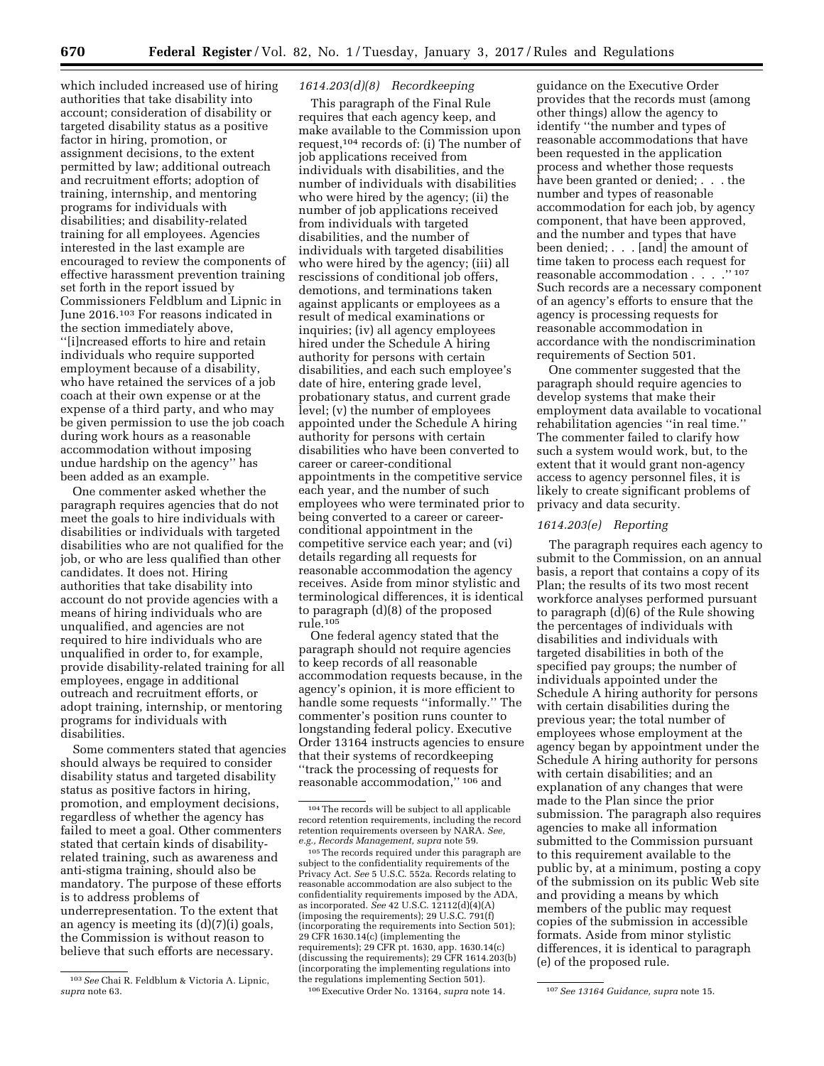which included increased use of hiring authorities that take disability into account; consideration of disability or targeted disability status as a positive factor in hiring, promotion, or assignment decisions, to the extent permitted by law; additional outreach and recruitment efforts; adoption of training, internship, and mentoring programs for individuals with disabilities; and disability-related training for all employees. Agencies interested in the last example are encouraged to review the components of effective harassment prevention training set forth in the report issued by Commissioners Feldblum and Lipnic in June 2016.103 For reasons indicated in the section immediately above, ''[i]ncreased efforts to hire and retain individuals who require supported employment because of a disability, who have retained the services of a job coach at their own expense or at the expense of a third party, and who may be given permission to use the job coach during work hours as a reasonable accommodation without imposing undue hardship on the agency'' has been added as an example.

One commenter asked whether the paragraph requires agencies that do not meet the goals to hire individuals with disabilities or individuals with targeted disabilities who are not qualified for the job, or who are less qualified than other candidates. It does not. Hiring authorities that take disability into account do not provide agencies with a means of hiring individuals who are unqualified, and agencies are not required to hire individuals who are unqualified in order to, for example, provide disability-related training for all employees, engage in additional outreach and recruitment efforts, or adopt training, internship, or mentoring programs for individuals with disabilities.

Some commenters stated that agencies should always be required to consider disability status and targeted disability status as positive factors in hiring, promotion, and employment decisions, regardless of whether the agency has failed to meet a goal. Other commenters stated that certain kinds of disabilityrelated training, such as awareness and anti-stigma training, should also be mandatory. The purpose of these efforts is to address problems of underrepresentation. To the extent that an agency is meeting its (d)(7)(i) goals, the Commission is without reason to believe that such efforts are necessary.

## *1614.203(d)(8) Recordkeeping*

This paragraph of the Final Rule requires that each agency keep, and make available to the Commission upon request,104 records of: (i) The number of job applications received from individuals with disabilities, and the number of individuals with disabilities who were hired by the agency; (ii) the number of job applications received from individuals with targeted disabilities, and the number of individuals with targeted disabilities who were hired by the agency; (iii) all rescissions of conditional job offers, demotions, and terminations taken against applicants or employees as a result of medical examinations or inquiries; (iv) all agency employees hired under the Schedule A hiring authority for persons with certain disabilities, and each such employee's date of hire, entering grade level, probationary status, and current grade level; (v) the number of employees appointed under the Schedule A hiring authority for persons with certain disabilities who have been converted to career or career-conditional appointments in the competitive service each year, and the number of such employees who were terminated prior to being converted to a career or careerconditional appointment in the competitive service each year; and (vi) details regarding all requests for reasonable accommodation the agency receives. Aside from minor stylistic and terminological differences, it is identical to paragraph (d)(8) of the proposed rule.105

One federal agency stated that the paragraph should not require agencies to keep records of all reasonable accommodation requests because, in the agency's opinion, it is more efficient to handle some requests ''informally.'' The commenter's position runs counter to longstanding federal policy. Executive Order 13164 instructs agencies to ensure that their systems of recordkeeping ''track the processing of requests for reasonable accommodation,'' 106 and

<sup>105</sup> The records required under this paragraph are subject to the confidentiality requirements of the Privacy Act. *See* 5 U.S.C. 552a. Records relating to reasonable accommodation are also subject to the confidentiality requirements imposed by the ADA, as incorporated. *See* 42 U.S.C. 12112(d)(4)(A) (imposing the requirements); 29 U.S.C. 791(f) (incorporating the requirements into Section 501); 29 CFR 1630.14(c) (implementing the requirements); 29 CFR pt. 1630, app. 1630.14(c) (discussing the requirements); 29 CFR 1614.203(b) (incorporating the implementing regulations into the regulations implementing Section 501).

106Executive Order No. 13164, *supra* note 14. 107*See 13164 Guidance, supra* note 15.

guidance on the Executive Order provides that the records must (among other things) allow the agency to identify ''the number and types of reasonable accommodations that have been requested in the application process and whether those requests have been granted or denied; . . . the number and types of reasonable accommodation for each job, by agency component, that have been approved, and the number and types that have been denied; . . . [and] the amount of time taken to process each request for reasonable accommodation . . . .'' 107 Such records are a necessary component of an agency's efforts to ensure that the agency is processing requests for reasonable accommodation in accordance with the nondiscrimination requirements of Section 501.

One commenter suggested that the paragraph should require agencies to develop systems that make their employment data available to vocational rehabilitation agencies ''in real time.'' The commenter failed to clarify how such a system would work, but, to the extent that it would grant non-agency access to agency personnel files, it is likely to create significant problems of privacy and data security.

## *1614.203(e) Reporting*

The paragraph requires each agency to submit to the Commission, on an annual basis, a report that contains a copy of its Plan; the results of its two most recent workforce analyses performed pursuant to paragraph (d)(6) of the Rule showing the percentages of individuals with disabilities and individuals with targeted disabilities in both of the specified pay groups; the number of individuals appointed under the Schedule A hiring authority for persons with certain disabilities during the previous year; the total number of employees whose employment at the agency began by appointment under the Schedule A hiring authority for persons with certain disabilities; and an explanation of any changes that were made to the Plan since the prior submission. The paragraph also requires agencies to make all information submitted to the Commission pursuant to this requirement available to the public by, at a minimum, posting a copy of the submission on its public Web site and providing a means by which members of the public may request copies of the submission in accessible formats. Aside from minor stylistic differences, it is identical to paragraph (e) of the proposed rule.

<sup>103</sup>*See* Chai R. Feldblum & Victoria A. Lipnic, *supra* note 63.

<sup>104</sup>The records will be subject to all applicable record retention requirements, including the record retention requirements overseen by NARA. *See,*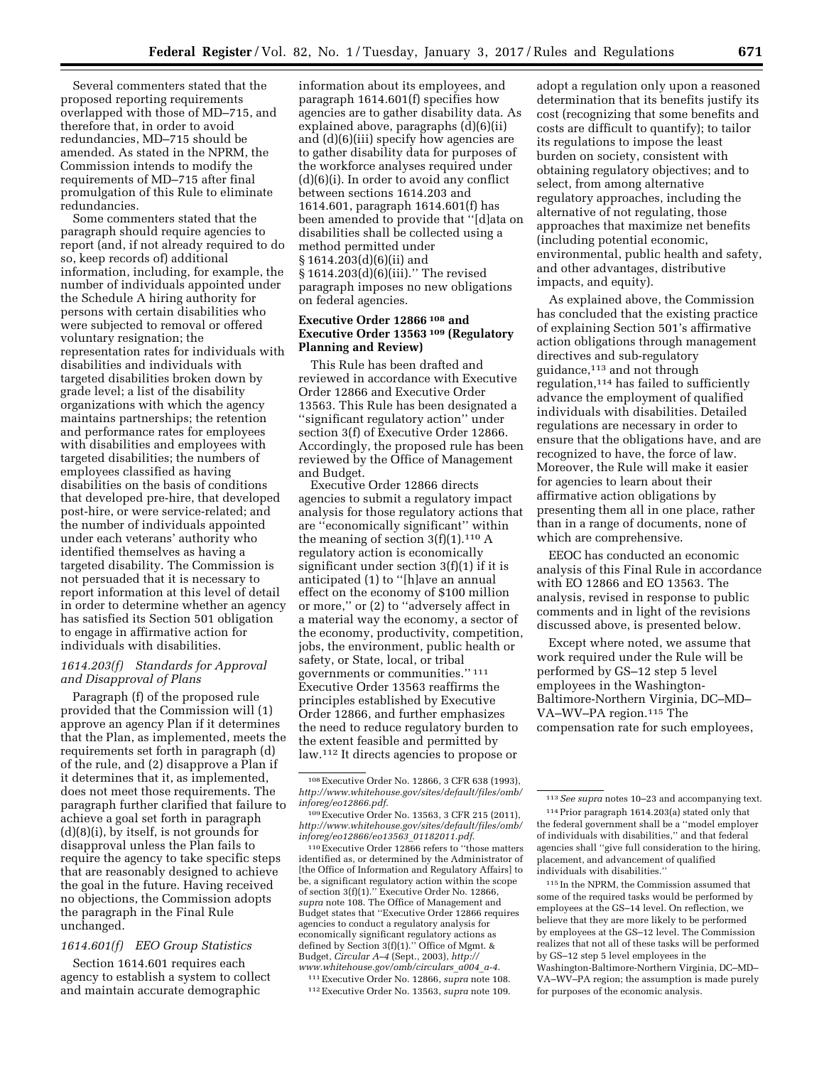Several commenters stated that the proposed reporting requirements overlapped with those of MD–715, and therefore that, in order to avoid redundancies, MD–715 should be amended. As stated in the NPRM, the Commission intends to modify the requirements of MD–715 after final promulgation of this Rule to eliminate redundancies.

Some commenters stated that the paragraph should require agencies to report (and, if not already required to do so, keep records of) additional information, including, for example, the number of individuals appointed under the Schedule A hiring authority for persons with certain disabilities who were subjected to removal or offered voluntary resignation; the representation rates for individuals with disabilities and individuals with targeted disabilities broken down by grade level; a list of the disability organizations with which the agency maintains partnerships; the retention and performance rates for employees with disabilities and employees with targeted disabilities; the numbers of employees classified as having disabilities on the basis of conditions that developed pre-hire, that developed post-hire, or were service-related; and the number of individuals appointed under each veterans' authority who identified themselves as having a targeted disability. The Commission is not persuaded that it is necessary to report information at this level of detail in order to determine whether an agency has satisfied its Section 501 obligation to engage in affirmative action for individuals with disabilities.

## *1614.203(f) Standards for Approval and Disapproval of Plans*

Paragraph (f) of the proposed rule provided that the Commission will (1) approve an agency Plan if it determines that the Plan, as implemented, meets the requirements set forth in paragraph (d) of the rule, and (2) disapprove a Plan if it determines that it, as implemented, does not meet those requirements. The paragraph further clarified that failure to achieve a goal set forth in paragraph (d)(8)(i), by itself, is not grounds for disapproval unless the Plan fails to require the agency to take specific steps that are reasonably designed to achieve the goal in the future. Having received no objections, the Commission adopts the paragraph in the Final Rule unchanged.

# *1614.601(f) EEO Group Statistics*

Section 1614.601 requires each agency to establish a system to collect and maintain accurate demographic

information about its employees, and paragraph 1614.601(f) specifies how agencies are to gather disability data. As explained above, paragraphs (d)(6)(ii) and (d)(6)(iii) specify how agencies are to gather disability data for purposes of the workforce analyses required under (d)(6)(i). In order to avoid any conflict between sections 1614.203 and 1614.601, paragraph 1614.601(f) has been amended to provide that ''[d]ata on disabilities shall be collected using a method permitted under § 1614.203(d)(6)(ii) and § 1614.203(d)(6)(iii).'' The revised paragraph imposes no new obligations on federal agencies.

## **Executive Order 12866 108 and Executive Order 13563 109 (Regulatory Planning and Review)**

This Rule has been drafted and reviewed in accordance with Executive Order 12866 and Executive Order 13563. This Rule has been designated a ''significant regulatory action'' under section 3(f) of Executive Order 12866. Accordingly, the proposed rule has been reviewed by the Office of Management and Budget.

Executive Order 12866 directs agencies to submit a regulatory impact analysis for those regulatory actions that are ''economically significant'' within the meaning of section  $3(f)(1).<sup>110</sup> A$ regulatory action is economically significant under section 3(f)(1) if it is anticipated (1) to ''[h]ave an annual effect on the economy of \$100 million or more,'' or (2) to ''adversely affect in a material way the economy, a sector of the economy, productivity, competition, jobs, the environment, public health or safety, or State, local, or tribal governments or communities.'' 111 Executive Order 13563 reaffirms the principles established by Executive Order 12866, and further emphasizes the need to reduce regulatory burden to the extent feasible and permitted by law.112 It directs agencies to propose or

110Executive Order 12866 refers to ''those matters identified as, or determined by the Administrator of [the Office of Information and Regulatory Affairs] to be, a significant regulatory action within the scope of section 3(f)(1).'' Executive Order No. 12866, *supra* note 108. The Office of Management and Budget states that ''Executive Order 12866 requires agencies to conduct a regulatory analysis for economically significant regulatory actions as defined by Section 3(f)(1).'' Office of Mgmt. & Budget, *Circular A–4* (Sept., 2003), *[http://](http://www.whitehouse.gov/omb/circulars_a004_a-4) [www.whitehouse.gov/omb/circulars](http://www.whitehouse.gov/omb/circulars_a004_a-4)*\_*a004*\_*a-4*.

111Executive Order No. 12866, *supra* note 108. 112Executive Order No. 13563, *supra* note 109. adopt a regulation only upon a reasoned determination that its benefits justify its cost (recognizing that some benefits and costs are difficult to quantify); to tailor its regulations to impose the least burden on society, consistent with obtaining regulatory objectives; and to select, from among alternative regulatory approaches, including the alternative of not regulating, those approaches that maximize net benefits (including potential economic, environmental, public health and safety, and other advantages, distributive impacts, and equity).

As explained above, the Commission has concluded that the existing practice of explaining Section 501's affirmative action obligations through management directives and sub-regulatory guidance,113 and not through regulation,114 has failed to sufficiently advance the employment of qualified individuals with disabilities. Detailed regulations are necessary in order to ensure that the obligations have, and are recognized to have, the force of law. Moreover, the Rule will make it easier for agencies to learn about their affirmative action obligations by presenting them all in one place, rather than in a range of documents, none of which are comprehensive.

EEOC has conducted an economic analysis of this Final Rule in accordance with EO 12866 and EO 13563. The analysis, revised in response to public comments and in light of the revisions discussed above, is presented below.

Except where noted, we assume that work required under the Rule will be performed by GS–12 step 5 level employees in the Washington-Baltimore-Northern Virginia, DC–MD– VA–WV–PA region.115 The compensation rate for such employees,

115 In the NPRM, the Commission assumed that some of the required tasks would be performed by employees at the GS–14 level. On reflection, we believe that they are more likely to be performed by employees at the GS–12 level. The Commission realizes that not all of these tasks will be performed by GS–12 step 5 level employees in the Washington-Baltimore-Northern Virginia, DC–MD– VA–WV–PA region; the assumption is made purely for purposes of the economic analysis.

<sup>108</sup>Executive Order No. 12866, 3 CFR 638 (1993), *[http://www.whitehouse.gov/sites/default/files/omb/](http://www.whitehouse.gov/sites/default/files/omb/inforeg/eo12866.pdf) [inforeg/eo12866.pdf](http://www.whitehouse.gov/sites/default/files/omb/inforeg/eo12866.pdf)*.

<sup>109</sup>Executive Order No. 13563, 3 CFR 215 (2011), *[http://www.whitehouse.gov/sites/default/files/omb/](http://www.whitehouse.gov/sites/default/files/omb/inforeg/eo12866/eo13563_01182011.pdf) [inforeg/eo12866/eo13563](http://www.whitehouse.gov/sites/default/files/omb/inforeg/eo12866/eo13563_01182011.pdf)*\_*01182011.pdf*.

<sup>113</sup>*See supra* notes 10–23 and accompanying text.

<sup>114</sup>Prior paragraph 1614.203(a) stated only that the federal government shall be a ''model employer of individuals with disabilities,'' and that federal agencies shall ''give full consideration to the hiring, placement, and advancement of qualified individuals with disabilities.''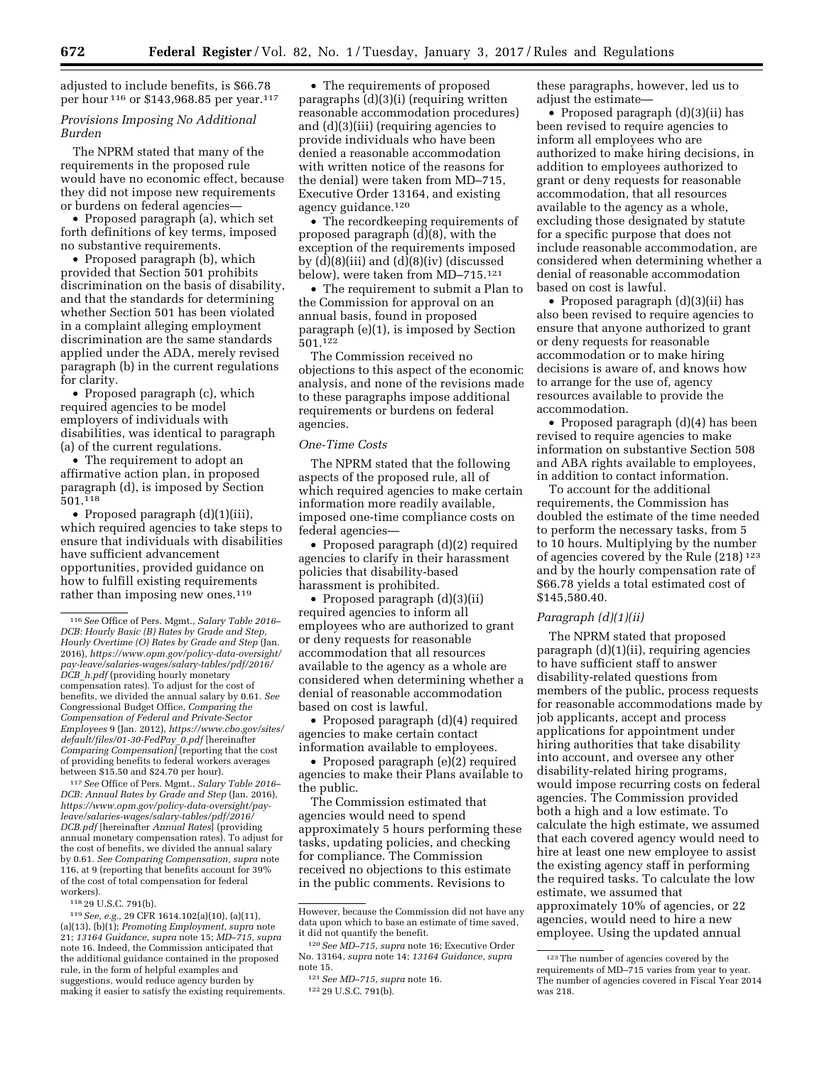adjusted to include benefits, is \$66.78 per hour 116 or \$143,968.85 per year.117

## *Provisions Imposing No Additional Burden*

The NPRM stated that many of the requirements in the proposed rule would have no economic effect, because they did not impose new requirements or burdens on federal agencies—

• Proposed paragraph (a), which set forth definitions of key terms, imposed no substantive requirements.

• Proposed paragraph (b), which provided that Section 501 prohibits discrimination on the basis of disability, and that the standards for determining whether Section 501 has been violated in a complaint alleging employment discrimination are the same standards applied under the ADA, merely revised paragraph (b) in the current regulations for clarity.

• Proposed paragraph (c), which required agencies to be model employers of individuals with disabilities, was identical to paragraph (a) of the current regulations.

• The requirement to adopt an affirmative action plan, in proposed paragraph (d), is imposed by Section 501.118

• Proposed paragraph (d)(1)(iii), which required agencies to take steps to ensure that individuals with disabilities have sufficient advancement opportunities, provided guidance on how to fulfill existing requirements rather than imposing new ones.<sup>119</sup>

117*See* Office of Pers. Mgmt., *Salary Table 2016– DCB: Annual Rates by Grade and Step* (Jan. 2016), *[https://www.opm.gov/policy-data-oversight/pay](https://www.opm.gov/policy-data-oversight/pay-leave/salaries-wages/salary-tables/pdf/2016/DCB.pdf)[leave/salaries-wages/salary-tables/pdf/2016/](https://www.opm.gov/policy-data-oversight/pay-leave/salaries-wages/salary-tables/pdf/2016/DCB.pdf) [DCB.pdf](https://www.opm.gov/policy-data-oversight/pay-leave/salaries-wages/salary-tables/pdf/2016/DCB.pdf)* [hereinafter *Annual Rates*] (providing annual monetary compensation rates). To adjust for the cost of benefits, we divided the annual salary by 0.61. *See Comparing Compensation, supra* note 116, at 9 (reporting that benefits account for 39% of the cost of total compensation for federal workers).

118 29 U.S.C. 791(b).

119*See, e.g.,* 29 CFR 1614.102(a)(10), (a)(11), (a)(13), (b)(1); *Promoting Employment, supra* note 21; *13164 Guidance, supra* note 15; *MD–715, supra*  note 16. Indeed, the Commission anticipated that the additional guidance contained in the proposed rule, in the form of helpful examples and suggestions, would reduce agency burden by making it easier to satisfy the existing requirements.

• The requirements of proposed paragraphs (d)(3)(i) (requiring written reasonable accommodation procedures) and (d)(3)(iii) (requiring agencies to provide individuals who have been denied a reasonable accommodation with written notice of the reasons for the denial) were taken from MD–715, Executive Order 13164, and existing agency guidance.120

• The recordkeeping requirements of proposed paragraph (d)(8), with the exception of the requirements imposed by (d)(8)(iii) and (d)(8)(iv) (discussed below), were taken from MD–715.121

• The requirement to submit a Plan to the Commission for approval on an annual basis, found in proposed paragraph (e)(1), is imposed by Section 501.122

The Commission received no objections to this aspect of the economic analysis, and none of the revisions made to these paragraphs impose additional requirements or burdens on federal agencies.

#### *One-Time Costs*

The NPRM stated that the following aspects of the proposed rule, all of which required agencies to make certain information more readily available, imposed one-time compliance costs on federal agencies—

• Proposed paragraph (d)(2) required agencies to clarify in their harassment policies that disability-based harassment is prohibited.

• Proposed paragraph (d)(3)(ii) required agencies to inform all employees who are authorized to grant or deny requests for reasonable accommodation that all resources available to the agency as a whole are considered when determining whether a denial of reasonable accommodation based on cost is lawful.

• Proposed paragraph (d)(4) required agencies to make certain contact information available to employees.

• Proposed paragraph (e)(2) required agencies to make their Plans available to the public.

The Commission estimated that agencies would need to spend approximately 5 hours performing these tasks, updating policies, and checking for compliance. The Commission received no objections to this estimate in the public comments. Revisions to

122 29 U.S.C. 791(b).

these paragraphs, however, led us to adjust the estimate—

• Proposed paragraph (d)(3)(ii) has been revised to require agencies to inform all employees who are authorized to make hiring decisions, in addition to employees authorized to grant or deny requests for reasonable accommodation, that all resources available to the agency as a whole, excluding those designated by statute for a specific purpose that does not include reasonable accommodation, are considered when determining whether a denial of reasonable accommodation based on cost is lawful.

• Proposed paragraph (d)(3)(ii) has also been revised to require agencies to ensure that anyone authorized to grant or deny requests for reasonable accommodation or to make hiring decisions is aware of, and knows how to arrange for the use of, agency resources available to provide the accommodation.

• Proposed paragraph (d)(4) has been revised to require agencies to make information on substantive Section 508 and ABA rights available to employees, in addition to contact information.

To account for the additional requirements, the Commission has doubled the estimate of the time needed to perform the necessary tasks, from 5 to 10 hours. Multiplying by the number of agencies covered by the Rule (218) 123 and by the hourly compensation rate of \$66.78 yields a total estimated cost of \$145,580.40.

#### *Paragraph (d)(1)(ii)*

The NPRM stated that proposed paragraph (d)(1)(ii), requiring agencies to have sufficient staff to answer disability-related questions from members of the public, process requests for reasonable accommodations made by job applicants, accept and process applications for appointment under hiring authorities that take disability into account, and oversee any other disability-related hiring programs, would impose recurring costs on federal agencies. The Commission provided both a high and a low estimate. To calculate the high estimate, we assumed that each covered agency would need to hire at least one new employee to assist the existing agency staff in performing the required tasks. To calculate the low estimate, we assumed that approximately 10% of agencies, or 22 agencies, would need to hire a new employee. Using the updated annual

<sup>116</sup>*See* Office of Pers. Mgmt., *Salary Table 2016– DCB: Hourly Basic (B) Rates by Grade and Step, Hourly Overtime (O) Rates by Grade and Step* (Jan. 2016), *[https://www.opm.gov/policy-data-oversight/](https://www.opm.gov/policy-data-oversight/pay-leave/salaries-wages/salary-tables/pdf/2016/DCB_h.pdf) [pay-leave/salaries-wages/salary-tables/pdf/2016/](https://www.opm.gov/policy-data-oversight/pay-leave/salaries-wages/salary-tables/pdf/2016/DCB_h.pdf) DCB*\_*[h.pdf](https://www.opm.gov/policy-data-oversight/pay-leave/salaries-wages/salary-tables/pdf/2016/DCB_h.pdf)* (providing hourly monetary compensation rates). To adjust for the cost of benefits, we divided the annual salary by 0.61. *See*  Congressional Budget Office, *Comparing the Compensation of Federal and Private-Sector Employees* 9 (Jan. 2012), *[https://www.cbo.gov/sites/](https://www.cbo.gov/sites/default/files/01-30-FedPay_0.pdf) [default/files/01-30-FedPay](https://www.cbo.gov/sites/default/files/01-30-FedPay_0.pdf)*\_*0.pdf* [hereinafter *Comparing Compensation]* (reporting that the cost of providing benefits to federal workers averages between \$15.50 and \$24.70 per hour).

However, because the Commission did not have any data upon which to base an estimate of time saved, it did not quantify the benefit.

<sup>120</sup>*See MD–715, supra* note 16; Executive Order No. 13164, *supra* note 14; *13164 Guidance, supra*  note 15.

<sup>121</sup>*See MD–715, supra* note 16.

<sup>123</sup>The number of agencies covered by the requirements of MD–715 varies from year to year. The number of agencies covered in Fiscal Year 2014 was 218.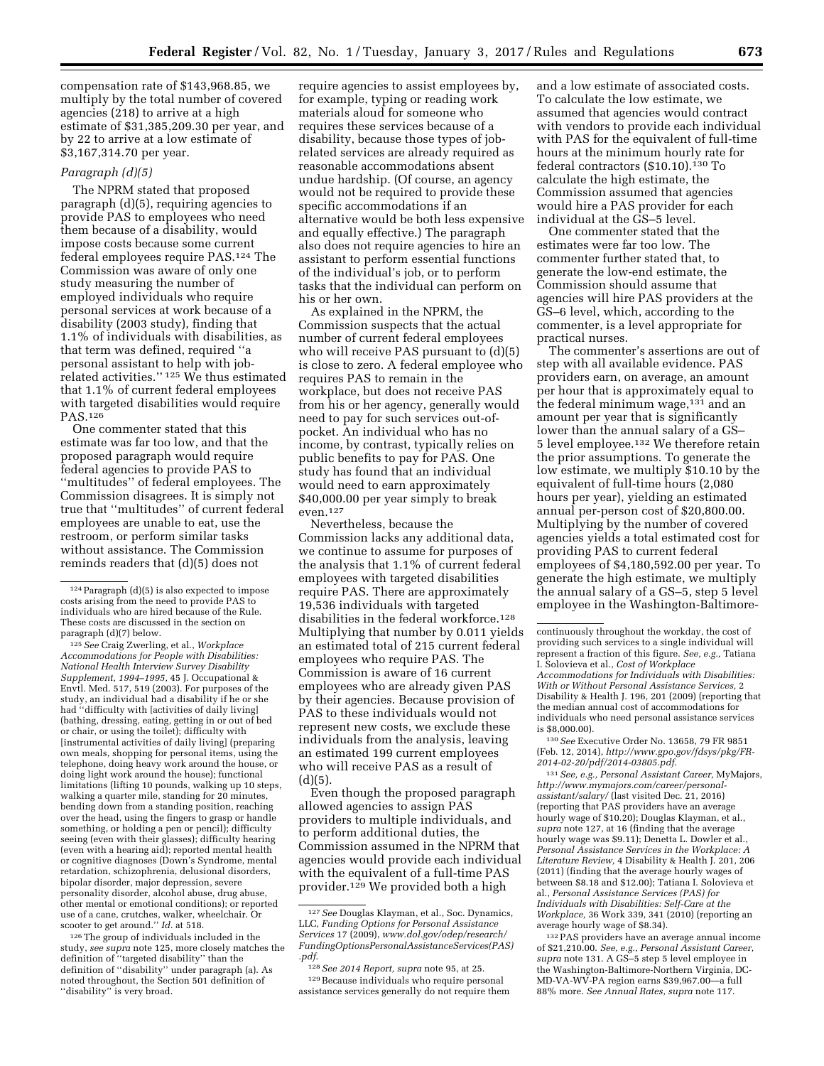compensation rate of \$143,968.85, we multiply by the total number of covered agencies (218) to arrive at a high estimate of \$31,385,209.30 per year, and by 22 to arrive at a low estimate of \$3,167,314.70 per year.

#### *Paragraph (d)(5)*

The NPRM stated that proposed paragraph (d)(5), requiring agencies to provide PAS to employees who need them because of a disability, would impose costs because some current federal employees require PAS.124 The Commission was aware of only one study measuring the number of employed individuals who require personal services at work because of a disability (2003 study), finding that 1.1% of individuals with disabilities, as that term was defined, required ''a personal assistant to help with jobrelated activities.'' 125 We thus estimated that 1.1% of current federal employees with targeted disabilities would require PAS.126

One commenter stated that this estimate was far too low, and that the proposed paragraph would require federal agencies to provide PAS to ''multitudes'' of federal employees. The Commission disagrees. It is simply not true that ''multitudes'' of current federal employees are unable to eat, use the restroom, or perform similar tasks without assistance. The Commission reminds readers that (d)(5) does not

125*See* Craig Zwerling, et al., *Workplace Accommodations for People with Disabilities: National Health Interview Survey Disability Supplement, 1994–1995,* 45 J. Occupational & Envtl. Med. 517, 519 (2003). For purposes of the study, an individual had a disability if he or she had ''difficulty with [activities of daily living] (bathing, dressing, eating, getting in or out of bed or chair, or using the toilet); difficulty with [instrumental activities of daily living] (preparing own meals, shopping for personal items, using the telephone, doing heavy work around the house, or doing light work around the house); functional limitations (lifting 10 pounds, walking up 10 steps, walking a quarter mile, standing for 20 minutes, bending down from a standing position, reaching over the head, using the fingers to grasp or handle something, or holding a pen or pencil); difficulty seeing (even with their glasses); difficulty hearing (even with a hearing aid); reported mental health or cognitive diagnoses (Down's Syndrome, mental retardation, schizophrenia, delusional disorders, bipolar disorder, major depression, severe personality disorder, alcohol abuse, drug abuse, other mental or emotional conditions); or reported use of a cane, crutches, walker, wheelchair. Or scooter to get around.'' *Id.* at 518.

126The group of individuals included in the study, *see supra* note 125, more closely matches the definition of ''targeted disability'' than the definition of ''disability'' under paragraph (a). As noted throughout, the Section 501 definition of "disability" is very broad.

require agencies to assist employees by, for example, typing or reading work materials aloud for someone who requires these services because of a disability, because those types of jobrelated services are already required as reasonable accommodations absent undue hardship. (Of course, an agency would not be required to provide these specific accommodations if an alternative would be both less expensive and equally effective.) The paragraph also does not require agencies to hire an assistant to perform essential functions of the individual's job, or to perform tasks that the individual can perform on his or her own.

As explained in the NPRM, the Commission suspects that the actual number of current federal employees who will receive PAS pursuant to (d)(5) is close to zero. A federal employee who requires PAS to remain in the workplace, but does not receive PAS from his or her agency, generally would need to pay for such services out-ofpocket. An individual who has no income, by contrast, typically relies on public benefits to pay for PAS. One study has found that an individual would need to earn approximately \$40,000.00 per year simply to break even.127

Nevertheless, because the Commission lacks any additional data, we continue to assume for purposes of the analysis that 1.1% of current federal employees with targeted disabilities require PAS. There are approximately 19,536 individuals with targeted disabilities in the federal workforce.128 Multiplying that number by 0.011 yields an estimated total of 215 current federal employees who require PAS. The Commission is aware of 16 current employees who are already given PAS by their agencies. Because provision of PAS to these individuals would not represent new costs, we exclude these individuals from the analysis, leaving an estimated 199 current employees who will receive PAS as a result of  $(d)(5)$ .

Even though the proposed paragraph allowed agencies to assign PAS providers to multiple individuals, and to perform additional duties, the Commission assumed in the NPRM that agencies would provide each individual with the equivalent of a full-time PAS provider.129 We provided both a high

and a low estimate of associated costs. To calculate the low estimate, we assumed that agencies would contract with vendors to provide each individual with PAS for the equivalent of full-time hours at the minimum hourly rate for federal contractors (\$10.10).130 To calculate the high estimate, the Commission assumed that agencies would hire a PAS provider for each individual at the GS–5 level.

One commenter stated that the estimates were far too low. The commenter further stated that, to generate the low-end estimate, the Commission should assume that agencies will hire PAS providers at the GS–6 level, which, according to the commenter, is a level appropriate for practical nurses.

The commenter's assertions are out of step with all available evidence. PAS providers earn, on average, an amount per hour that is approximately equal to the federal minimum wage, $131$  and an amount per year that is significantly lower than the annual salary of a GS– 5 level employee.132 We therefore retain the prior assumptions. To generate the low estimate, we multiply \$10.10 by the equivalent of full-time hours (2,080 hours per year), yielding an estimated annual per-person cost of \$20,800.00. Multiplying by the number of covered agencies yields a total estimated cost for providing PAS to current federal employees of \$4,180,592.00 per year. To generate the high estimate, we multiply the annual salary of a GS–5, step 5 level employee in the Washington-Baltimore-

130*See* Executive Order No. 13658, 79 FR 9851 (Feb. 12, 2014), *[http://www.gpo.gov/fdsys/pkg/FR-](http://www.gpo.gov/fdsys/pkg/FR-2014-02-20/pdf/2014-03805.pdf)[2014-02-20/pdf/2014-03805.pdf](http://www.gpo.gov/fdsys/pkg/FR-2014-02-20/pdf/2014-03805.pdf)*.

131*See, e.g., Personal Assistant Career,* MyMajors, *[http://www.mymajors.com/career/personal](http://www.mymajors.com/career/personal-assistant/salary/)[assistant/salary/](http://www.mymajors.com/career/personal-assistant/salary/)* (last visited Dec. 21, 2016) (reporting that PAS providers have an average hourly wage of \$10.20); Douglas Klayman, et al., *supra* note 127, at 16 (finding that the average hourly wage was \$9.11); Denetta L. Dowler et al., *Personal Assistance Services in the Workplace: A Literature Review,* 4 Disability & Health J. 201, 206 (2011) (finding that the average hourly wages of between \$8.18 and \$12.00); Tatiana I. Solovieva et al., *Personal Assistance Services (PAS) for Individuals with Disabilities: Self-Care at the Workplace,* 36 Work 339, 341 (2010) (reporting an average hourly wage of \$8.34).

132PAS providers have an average annual income of \$21,210.00. *See, e.g., Personal Assistant Career, supra* note 131. A GS–5 step 5 level employee in the Washington-Baltimore-Northern Virginia, DC-MD-VA-WV-PA region earns \$39,967.00—a full 88% more. *See Annual Rates, supra* note 117.

<sup>124</sup>Paragraph (d)(5) is also expected to impose costs arising from the need to provide PAS to individuals who are hired because of the Rule. These costs are discussed in the section on paragraph (d)(7) below.

<sup>127</sup>*See* Douglas Klayman, et al., Soc. Dynamics, LLC, *Funding Options for Personal Assistance Services* 17 (2009), *[www.dol.gov/odep/research/](www.dol.gov/odep/research/FundingOptionsPersonalAssistanceServices(PAS).pdf) [FundingOptionsPersonalAssistanceServices\(PAS\)](www.dol.gov/odep/research/FundingOptionsPersonalAssistanceServices(PAS).pdf)  [.pdf](www.dol.gov/odep/research/FundingOptionsPersonalAssistanceServices(PAS).pdf)*.

<sup>128</sup>*See 2014 Report, supra* note 95, at 25. 129Because individuals who require personal assistance services generally do not require them

continuously throughout the workday, the cost of providing such services to a single individual will represent a fraction of this figure. *See, e.g.,* Tatiana I. Solovieva et al., *Cost of Workplace Accommodations for Individuals with Disabilities: With or Without Personal Assistance Services,* 2 Disability & Health J. 196, 201 (2009) (reporting that the median annual cost of accommodations for individuals who need personal assistance services is \$8,000.00).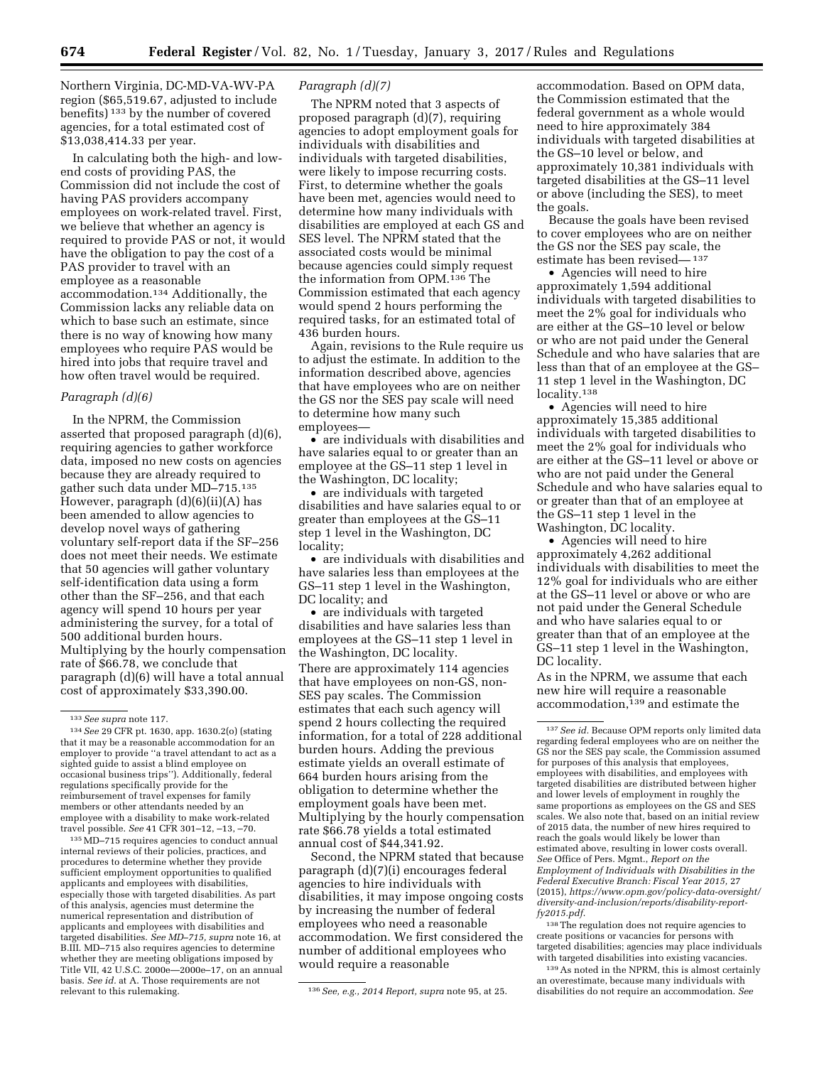Northern Virginia, DC-MD-VA-WV-PA region (\$65,519.67, adjusted to include benefits) 133 by the number of covered agencies, for a total estimated cost of \$13,038,414.33 per year.

In calculating both the high- and lowend costs of providing PAS, the Commission did not include the cost of having PAS providers accompany employees on work-related travel. First, we believe that whether an agency is required to provide PAS or not, it would have the obligation to pay the cost of a PAS provider to travel with an employee as a reasonable accommodation.134 Additionally, the Commission lacks any reliable data on which to base such an estimate, since there is no way of knowing how many employees who require PAS would be hired into jobs that require travel and how often travel would be required.

## *Paragraph (d)(6)*

In the NPRM, the Commission asserted that proposed paragraph (d)(6), requiring agencies to gather workforce data, imposed no new costs on agencies because they are already required to gather such data under MD–715.135 However, paragraph (d)(6)(ii)(A) has been amended to allow agencies to develop novel ways of gathering voluntary self-report data if the SF–256 does not meet their needs. We estimate that 50 agencies will gather voluntary self-identification data using a form other than the SF–256, and that each agency will spend 10 hours per year administering the survey, for a total of 500 additional burden hours. Multiplying by the hourly compensation rate of \$66.78, we conclude that paragraph (d)(6) will have a total annual cost of approximately \$33,390.00.

135MD–715 requires agencies to conduct annual internal reviews of their policies, practices, and procedures to determine whether they provide sufficient employment opportunities to qualified applicants and employees with disabilities, especially those with targeted disabilities. As part of this analysis, agencies must determine the numerical representation and distribution of applicants and employees with disabilities and targeted disabilities. *See MD–715, supra* note 16, at B.III. MD–715 also requires agencies to determine whether they are meeting obligations imposed by Title VII, 42 U.S.C. 2000e—2000e–17, on an annual basis. *See id.* at A. Those requirements are not

## *Paragraph (d)(7)*

The NPRM noted that 3 aspects of proposed paragraph (d)(7), requiring agencies to adopt employment goals for individuals with disabilities and individuals with targeted disabilities, were likely to impose recurring costs. First, to determine whether the goals have been met, agencies would need to determine how many individuals with disabilities are employed at each GS and SES level. The NPRM stated that the associated costs would be minimal because agencies could simply request the information from OPM.136 The Commission estimated that each agency would spend 2 hours performing the required tasks, for an estimated total of 436 burden hours.

Again, revisions to the Rule require us to adjust the estimate. In addition to the information described above, agencies that have employees who are on neither the GS nor the SES pay scale will need to determine how many such employees—

• are individuals with disabilities and have salaries equal to or greater than an employee at the GS–11 step 1 level in the Washington, DC locality;

• are individuals with targeted disabilities and have salaries equal to or greater than employees at the GS–11 step 1 level in the Washington, DC locality;

• are individuals with disabilities and have salaries less than employees at the GS–11 step 1 level in the Washington, DC locality; and

• are individuals with targeted disabilities and have salaries less than employees at the GS–11 step 1 level in the Washington, DC locality. There are approximately 114 agencies that have employees on non-GS, non-SES pay scales. The Commission estimates that each such agency will spend 2 hours collecting the required information, for a total of 228 additional burden hours. Adding the previous estimate yields an overall estimate of 664 burden hours arising from the obligation to determine whether the employment goals have been met. Multiplying by the hourly compensation rate \$66.78 yields a total estimated annual cost of \$44,341.92.

Second, the NPRM stated that because paragraph (d)(7)(i) encourages federal agencies to hire individuals with disabilities, it may impose ongoing costs by increasing the number of federal employees who need a reasonable accommodation. We first considered the number of additional employees who would require a reasonable

accommodation. Based on OPM data, the Commission estimated that the federal government as a whole would need to hire approximately 384 individuals with targeted disabilities at the GS–10 level or below, and approximately 10,381 individuals with targeted disabilities at the GS–11 level or above (including the SES), to meet the goals.

Because the goals have been revised to cover employees who are on neither the GS nor the SES pay scale, the estimate has been revised—137

• Agencies will need to hire approximately 1,594 additional individuals with targeted disabilities to meet the 2% goal for individuals who are either at the GS–10 level or below or who are not paid under the General Schedule and who have salaries that are less than that of an employee at the GS– 11 step 1 level in the Washington, DC locality.138

• Agencies will need to hire approximately 15,385 additional individuals with targeted disabilities to meet the 2% goal for individuals who are either at the GS–11 level or above or who are not paid under the General Schedule and who have salaries equal to or greater than that of an employee at the GS–11 step 1 level in the Washington, DC locality.

• Agencies will need to hire approximately 4,262 additional individuals with disabilities to meet the 12% goal for individuals who are either at the GS–11 level or above or who are not paid under the General Schedule and who have salaries equal to or greater than that of an employee at the GS–11 step 1 level in the Washington, DC locality.

As in the NPRM, we assume that each new hire will require a reasonable accommodation,<sup>139</sup> and estimate the

138The regulation does not require agencies to create positions or vacancies for persons with targeted disabilities; agencies may place individuals with targeted disabilities into existing vacancies.

139As noted in the NPRM, this is almost certainly an overestimate, because many individuals with disabilities do not require an accommodation. *See* 

<sup>133</sup>*See supra* note 117.

<sup>134</sup>*See* 29 CFR pt. 1630, app. 1630.2(o) (stating that it may be a reasonable accommodation for an employer to provide ''a travel attendant to act as a sighted guide to assist a blind employee on occasional business trips''). Additionally, federal regulations specifically provide for the reimbursement of travel expenses for family members or other attendants needed by an employee with a disability to make work-related travel possible. *See* 41 CFR 301–12, –13, –70.

<sup>136</sup> See, e.g., 2014 Report, supra note 95, at 25.

<sup>137</sup>*See id.* Because OPM reports only limited data regarding federal employees who are on neither the GS nor the SES pay scale, the Commission assumed for purposes of this analysis that employees, employees with disabilities, and employees with targeted disabilities are distributed between higher and lower levels of employment in roughly the same proportions as employees on the GS and SES scales. We also note that, based on an initial review of 2015 data, the number of new hires required to reach the goals would likely be lower than estimated above, resulting in lower costs overall. *See* Office of Pers. Mgmt., *Report on the Employment of Individuals with Disabilities in the Federal Executive Branch: Fiscal Year 2015,* 27 (2015), *[https://www.opm.gov/policy-data-oversight/](https://www.opm.gov/policy-data-oversight/diversity-and-inclusion/reports/disability-report-fy2015.pdf) [diversity-and-inclusion/reports/disability-report](https://www.opm.gov/policy-data-oversight/diversity-and-inclusion/reports/disability-report-fy2015.pdf)[fy2015.pdf](https://www.opm.gov/policy-data-oversight/diversity-and-inclusion/reports/disability-report-fy2015.pdf)*.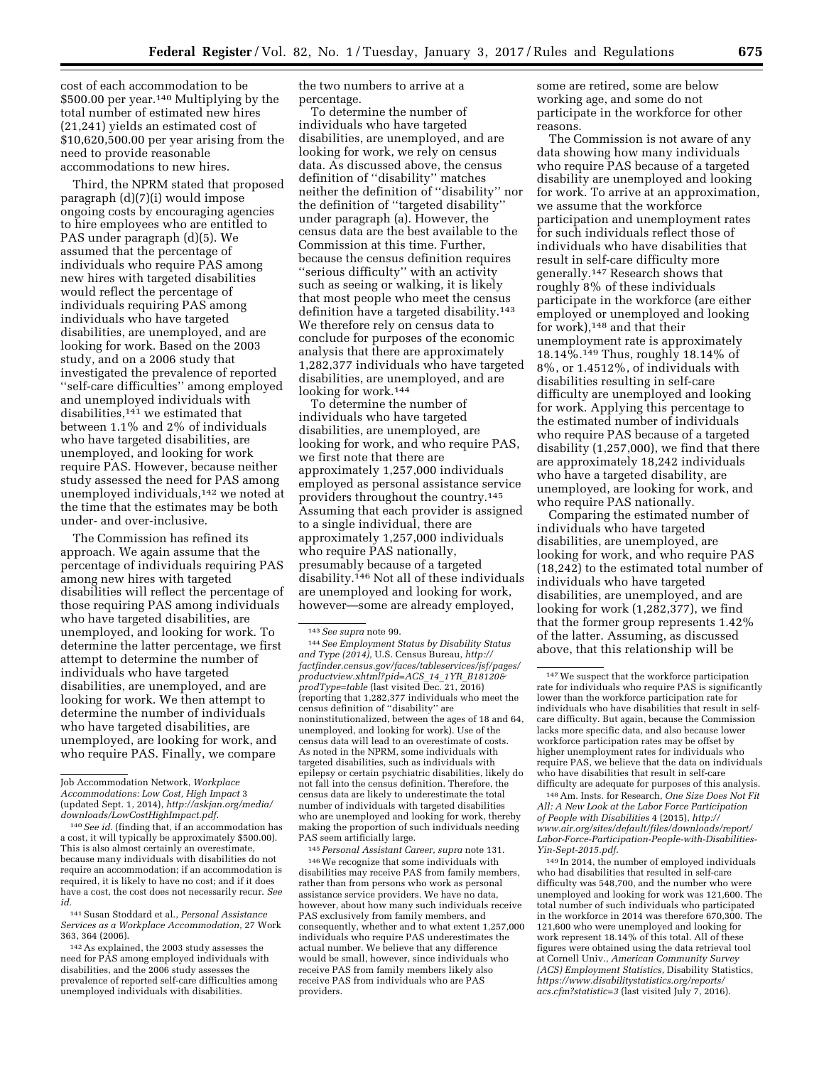cost of each accommodation to be \$500.00 per year.140 Multiplying by the total number of estimated new hires (21,241) yields an estimated cost of \$10,620,500.00 per year arising from the need to provide reasonable accommodations to new hires.

Third, the NPRM stated that proposed paragraph (d)(7)(i) would impose ongoing costs by encouraging agencies to hire employees who are entitled to PAS under paragraph (d)(5). We assumed that the percentage of individuals who require PAS among new hires with targeted disabilities would reflect the percentage of individuals requiring PAS among individuals who have targeted disabilities, are unemployed, and are looking for work. Based on the 2003 study, and on a 2006 study that investigated the prevalence of reported ''self-care difficulties'' among employed and unemployed individuals with disabilities,141 we estimated that between 1.1% and 2% of individuals who have targeted disabilities, are unemployed, and looking for work require PAS. However, because neither study assessed the need for PAS among unemployed individuals,142 we noted at the time that the estimates may be both under- and over-inclusive.

The Commission has refined its approach. We again assume that the percentage of individuals requiring PAS among new hires with targeted disabilities will reflect the percentage of those requiring PAS among individuals who have targeted disabilities, are unemployed, and looking for work. To determine the latter percentage, we first attempt to determine the number of individuals who have targeted disabilities, are unemployed, and are looking for work. We then attempt to determine the number of individuals who have targeted disabilities, are unemployed, are looking for work, and who require PAS. Finally, we compare

the two numbers to arrive at a percentage.

To determine the number of individuals who have targeted disabilities, are unemployed, and are looking for work, we rely on census data. As discussed above, the census definition of ''disability'' matches neither the definition of ''disability'' nor the definition of ''targeted disability'' under paragraph (a). However, the census data are the best available to the Commission at this time. Further, because the census definition requires ''serious difficulty'' with an activity such as seeing or walking, it is likely that most people who meet the census definition have a targeted disability.<sup>143</sup> We therefore rely on census data to conclude for purposes of the economic analysis that there are approximately 1,282,377 individuals who have targeted disabilities, are unemployed, and are looking for work.144

To determine the number of individuals who have targeted disabilities, are unemployed, are looking for work, and who require PAS, we first note that there are approximately 1,257,000 individuals employed as personal assistance service providers throughout the country.145 Assuming that each provider is assigned to a single individual, there are approximately 1,257,000 individuals who require PAS nationally, presumably because of a targeted disability.146 Not all of these individuals are unemployed and looking for work, however—some are already employed,

144*See Employment Status by Disability Status and Type (2014),* U.S. Census Bureau, *[http://](http://factfinder.census.gov/faces/tableservices/jsf/pages/productview.xhtml?pid=ACS_14_1YR_B18120&prodType=table) [factfinder.census.gov/faces/tableservices/jsf/pages/](http://factfinder.census.gov/faces/tableservices/jsf/pages/productview.xhtml?pid=ACS_14_1YR_B18120&prodType=table) [productview.xhtml?pid=ACS](http://factfinder.census.gov/faces/tableservices/jsf/pages/productview.xhtml?pid=ACS_14_1YR_B18120&prodType=table)*\_*14*\_*1YR*\_*B18120& [prodType=table](http://factfinder.census.gov/faces/tableservices/jsf/pages/productview.xhtml?pid=ACS_14_1YR_B18120&prodType=table)* (last visited Dec. 21, 2016) (reporting that 1,282,377 individuals who meet the census definition of ''disability'' are noninstitutionalized, between the ages of 18 and 64, unemployed, and looking for work). Use of the census data will lead to an overestimate of costs. As noted in the NPRM, some individuals with targeted disabilities, such as individuals with epilepsy or certain psychiatric disabilities, likely do not fall into the census definition. Therefore, the census data are likely to underestimate the total number of individuals with targeted disabilities who are unemployed and looking for work, thereby making the proportion of such individuals needing PAS seem artificially large.

145*Personal Assistant Career, supra* note 131. 146We recognize that some individuals with disabilities may receive PAS from family members, rather than from persons who work as personal assistance service providers. We have no data, however, about how many such individuals receive PAS exclusively from family members, and consequently, whether and to what extent 1,257,000 individuals who require PAS underestimates the actual number. We believe that any difference would be small, however, since individuals who receive PAS from family members likely also receive PAS from individuals who are PAS providers.

some are retired, some are below working age, and some do not participate in the workforce for other reasons.

The Commission is not aware of any data showing how many individuals who require PAS because of a targeted disability are unemployed and looking for work. To arrive at an approximation, we assume that the workforce participation and unemployment rates for such individuals reflect those of individuals who have disabilities that result in self-care difficulty more generally.147 Research shows that roughly 8% of these individuals participate in the workforce (are either employed or unemployed and looking for work),148 and that their unemployment rate is approximately 18.14%.149 Thus, roughly 18.14% of 8%, or 1.4512%, of individuals with disabilities resulting in self-care difficulty are unemployed and looking for work. Applying this percentage to the estimated number of individuals who require PAS because of a targeted disability (1,257,000), we find that there are approximately 18,242 individuals who have a targeted disability, are unemployed, are looking for work, and who require PAS nationally.

Comparing the estimated number of individuals who have targeted disabilities, are unemployed, are looking for work, and who require PAS (18,242) to the estimated total number of individuals who have targeted disabilities, are unemployed, and are looking for work (1,282,377), we find that the former group represents 1.42% of the latter. Assuming, as discussed above, that this relationship will be

148Am. Insts. for Research, *One Size Does Not Fit All: A New Look at the Labor Force Participation of People with Disabilities* 4 (2015), *[http://](http://www.air.org/sites/default/files/downloads/report/Labor-Force-Participation-People-with-Disabilities-Yin-Sept-2015.pdf) [www.air.org/sites/default/files/downloads/report/](http://www.air.org/sites/default/files/downloads/report/Labor-Force-Participation-People-with-Disabilities-Yin-Sept-2015.pdf) [Labor-Force-Participation-People-with-Disabilities-](http://www.air.org/sites/default/files/downloads/report/Labor-Force-Participation-People-with-Disabilities-Yin-Sept-2015.pdf)[Yin-Sept-2015.pdf](http://www.air.org/sites/default/files/downloads/report/Labor-Force-Participation-People-with-Disabilities-Yin-Sept-2015.pdf)*.

149 In 2014, the number of employed individuals who had disabilities that resulted in self-care difficulty was 548,700, and the number who were unemployed and looking for work was 121,600. The total number of such individuals who participated in the workforce in 2014 was therefore 670,300. The 121,600 who were unemployed and looking for work represent 18.14% of this total. All of these figures were obtained using the data retrieval tool at Cornell Univ., *American Community Survey (ACS) Employment Statistics,* Disability Statistics, *[https://www.disabilitystatistics.org/reports/](https://www.disabilitystatistics.org/reports/acs.cfm?statistic=3) [acs.cfm?statistic=3](https://www.disabilitystatistics.org/reports/acs.cfm?statistic=3)* (last visited July 7, 2016).

Job Accommodation Network, *Workplace Accommodations: Low Cost, High Impact* 3 (updated Sept. 1, 2014), *[http://askjan.org/media/](http://askjan.org/media/downloads/LowCostHighImpact.pdf) [downloads/LowCostHighImpact.pdf](http://askjan.org/media/downloads/LowCostHighImpact.pdf)*.

<sup>&</sup>lt;sup>140</sup> See id. (finding that, if an accommodation has a cost, it will typically be approximately \$500.00). This is also almost certainly an overestimate, because many individuals with disabilities do not require an accommodation; if an accommodation is required, it is likely to have no cost; and if it does have a cost, the cost does not necessarily recur. *See id.* 

<sup>141</sup>Susan Stoddard et al., *Personal Assistance Services as a Workplace Accommodation,* 27 Work 363, 364 (2006).

<sup>142</sup>As explained, the 2003 study assesses the need for PAS among employed individuals with disabilities, and the 2006 study assesses the prevalence of reported self-care difficulties among unemployed individuals with disabilities.

<sup>143</sup>*See supra* note 99.

<sup>147</sup>We suspect that the workforce participation rate for individuals who require PAS is significantly lower than the workforce participation rate for individuals who have disabilities that result in selfcare difficulty. But again, because the Commission lacks more specific data, and also because lower workforce participation rates may be offset by higher unemployment rates for individuals who require PAS, we believe that the data on individuals who have disabilities that result in self-care difficulty are adequate for purposes of this analysis.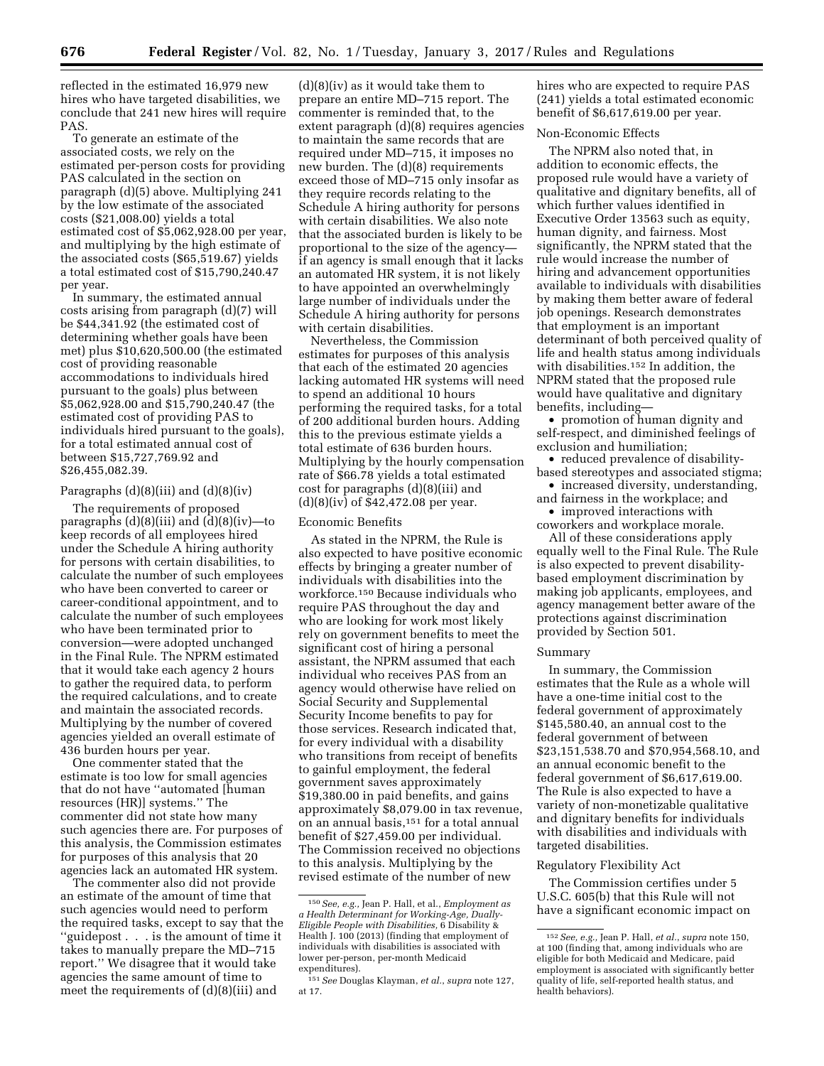reflected in the estimated 16,979 new hires who have targeted disabilities, we conclude that 241 new hires will require PAS.

To generate an estimate of the associated costs, we rely on the estimated per-person costs for providing PAS calculated in the section on paragraph (d)(5) above. Multiplying 241 by the low estimate of the associated costs (\$21,008.00) yields a total estimated cost of \$5,062,928.00 per year, and multiplying by the high estimate of the associated costs (\$65,519.67) yields a total estimated cost of \$15,790,240.47 per year.

In summary, the estimated annual costs arising from paragraph (d)(7) will be \$44,341.92 (the estimated cost of determining whether goals have been met) plus \$10,620,500.00 (the estimated cost of providing reasonable accommodations to individuals hired pursuant to the goals) plus between \$5,062,928.00 and \$15,790,240.47 (the estimated cost of providing PAS to individuals hired pursuant to the goals), for a total estimated annual cost of between \$15,727,769.92 and \$26,455,082.39.

#### Paragraphs  $(d)(8)(iii)$  and  $(d)(8)(iv)$

The requirements of proposed paragraphs  $(d)(8)(iii)$  and  $(d)(8)(iv)$ —to keep records of all employees hired under the Schedule A hiring authority for persons with certain disabilities, to calculate the number of such employees who have been converted to career or career-conditional appointment, and to calculate the number of such employees who have been terminated prior to conversion—were adopted unchanged in the Final Rule. The NPRM estimated that it would take each agency 2 hours to gather the required data, to perform the required calculations, and to create and maintain the associated records. Multiplying by the number of covered agencies yielded an overall estimate of 436 burden hours per year.

One commenter stated that the estimate is too low for small agencies that do not have ''automated [human resources (HR)] systems.'' The commenter did not state how many such agencies there are. For purposes of this analysis, the Commission estimates for purposes of this analysis that 20 agencies lack an automated HR system.

The commenter also did not provide an estimate of the amount of time that such agencies would need to perform the required tasks, except to say that the ''guidepost . . . is the amount of time it takes to manually prepare the MD–715 report.'' We disagree that it would take agencies the same amount of time to meet the requirements of (d)(8)(iii) and

 $(d)(8)(iv)$  as it would take them to prepare an entire MD–715 report. The commenter is reminded that, to the extent paragraph (d)(8) requires agencies to maintain the same records that are required under MD–715, it imposes no new burden. The (d)(8) requirements exceed those of MD–715 only insofar as they require records relating to the Schedule A hiring authority for persons with certain disabilities. We also note that the associated burden is likely to be proportional to the size of the agency if an agency is small enough that it lacks an automated HR system, it is not likely to have appointed an overwhelmingly large number of individuals under the Schedule A hiring authority for persons with certain disabilities.

Nevertheless, the Commission estimates for purposes of this analysis that each of the estimated 20 agencies lacking automated HR systems will need to spend an additional 10 hours performing the required tasks, for a total of 200 additional burden hours. Adding this to the previous estimate yields a total estimate of 636 burden hours. Multiplying by the hourly compensation rate of \$66.78 yields a total estimated cost for paragraphs (d)(8)(iii) and (d) $(8)(iv)$  of  $$42,472.08$  per year.

#### Economic Benefits

As stated in the NPRM, the Rule is also expected to have positive economic effects by bringing a greater number of individuals with disabilities into the workforce.150 Because individuals who require PAS throughout the day and who are looking for work most likely rely on government benefits to meet the significant cost of hiring a personal assistant, the NPRM assumed that each individual who receives PAS from an agency would otherwise have relied on Social Security and Supplemental Security Income benefits to pay for those services. Research indicated that, for every individual with a disability who transitions from receipt of benefits to gainful employment, the federal government saves approximately \$19,380.00 in paid benefits, and gains approximately \$8,079.00 in tax revenue, on an annual basis,151 for a total annual benefit of \$27,459.00 per individual. The Commission received no objections to this analysis. Multiplying by the revised estimate of the number of new

hires who are expected to require PAS (241) yields a total estimated economic benefit of \$6,617,619.00 per year.

## Non-Economic Effects

The NPRM also noted that, in addition to economic effects, the proposed rule would have a variety of qualitative and dignitary benefits, all of which further values identified in Executive Order 13563 such as equity, human dignity, and fairness. Most significantly, the NPRM stated that the rule would increase the number of hiring and advancement opportunities available to individuals with disabilities by making them better aware of federal job openings. Research demonstrates that employment is an important determinant of both perceived quality of life and health status among individuals with disabilities.<sup>152</sup> In addition, the NPRM stated that the proposed rule would have qualitative and dignitary benefits, including—

• promotion of human dignity and self-respect, and diminished feelings of exclusion and humiliation;

• reduced prevalence of disabilitybased stereotypes and associated stigma;

• increased diversity, understanding, and fairness in the workplace; and

• improved interactions with coworkers and workplace morale.

All of these considerations apply equally well to the Final Rule. The Rule is also expected to prevent disabilitybased employment discrimination by making job applicants, employees, and agency management better aware of the protections against discrimination provided by Section 501.

#### Summary

In summary, the Commission estimates that the Rule as a whole will have a one-time initial cost to the federal government of approximately \$145,580.40, an annual cost to the federal government of between \$23,151,538.70 and \$70,954,568.10, and an annual economic benefit to the federal government of \$6,617,619.00. The Rule is also expected to have a variety of non-monetizable qualitative and dignitary benefits for individuals with disabilities and individuals with targeted disabilities.

#### Regulatory Flexibility Act

The Commission certifies under 5 U.S.C. 605(b) that this Rule will not have a significant economic impact on

<sup>150</sup>*See, e.g.,* Jean P. Hall, et al., *Employment as a Health Determinant for Working-Age, Dually-Eligible People with Disabilities,* 6 Disability & Health J. 100 (2013) (finding that employment of individuals with disabilities is associated with lower per-person, per-month Medicaid expenditures).

<sup>151</sup>*See* Douglas Klayman, *et al.*, *supra* note 127, at 17.

<sup>152</sup>*See, e.g.,* Jean P. Hall, *et al.*, *supra* note 150, at 100 (finding that, among individuals who are eligible for both Medicaid and Medicare, paid employment is associated with significantly better quality of life, self-reported health status, and health behaviors).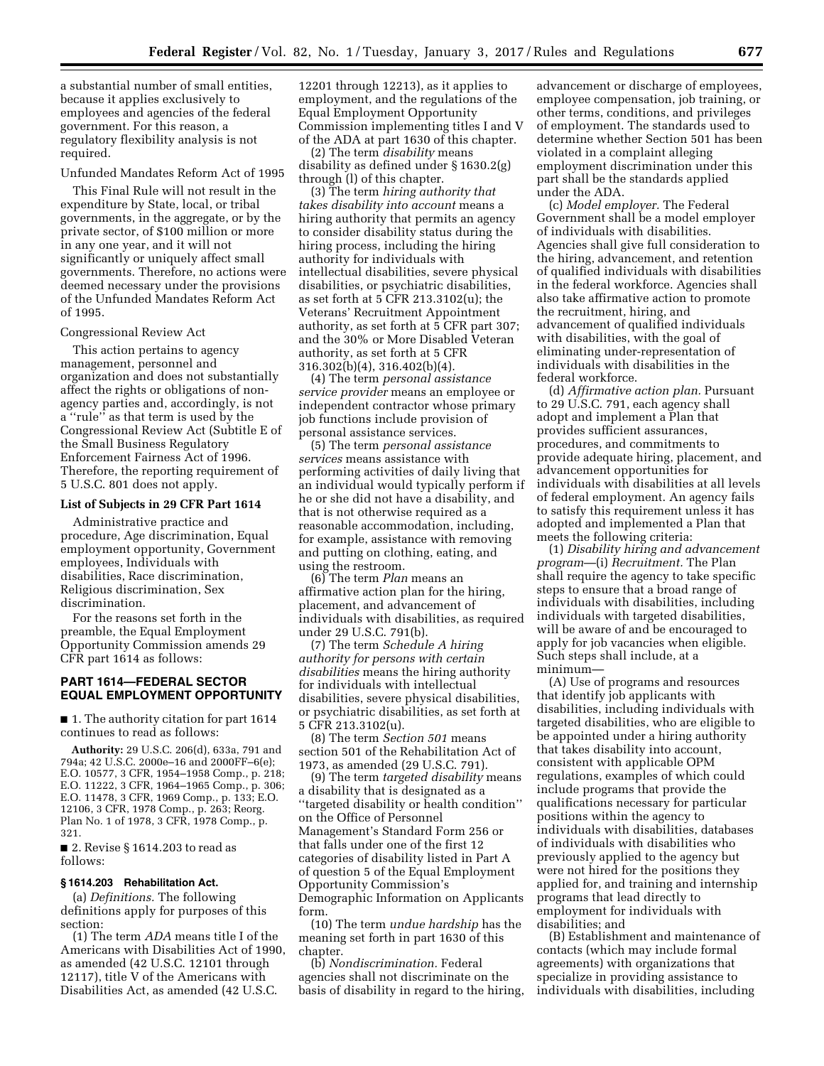a substantial number of small entities, because it applies exclusively to employees and agencies of the federal government. For this reason, a regulatory flexibility analysis is not required.

Unfunded Mandates Reform Act of 1995

This Final Rule will not result in the expenditure by State, local, or tribal governments, in the aggregate, or by the private sector, of \$100 million or more in any one year, and it will not significantly or uniquely affect small governments. Therefore, no actions were deemed necessary under the provisions of the Unfunded Mandates Reform Act of 1995.

#### Congressional Review Act

This action pertains to agency management, personnel and organization and does not substantially affect the rights or obligations of nonagency parties and, accordingly, is not a ''rule'' as that term is used by the Congressional Review Act (Subtitle E of the Small Business Regulatory Enforcement Fairness Act of 1996. Therefore, the reporting requirement of 5 U.S.C. 801 does not apply.

#### **List of Subjects in 29 CFR Part 1614**

Administrative practice and procedure, Age discrimination, Equal employment opportunity, Government employees, Individuals with disabilities, Race discrimination, Religious discrimination, Sex discrimination.

For the reasons set forth in the preamble, the Equal Employment Opportunity Commission amends 29 CFR part 1614 as follows:

## **PART 1614—FEDERAL SECTOR EQUAL EMPLOYMENT OPPORTUNITY**

■ 1. The authority citation for part 1614 continues to read as follows:

**Authority:** 29 U.S.C. 206(d), 633a, 791 and 794a; 42 U.S.C. 2000e–16 and 2000FF–6(e); E.O. 10577, 3 CFR, 1954–1958 Comp., p. 218; E.O. 11222, 3 CFR, 1964–1965 Comp., p. 306; E.O. 11478, 3 CFR, 1969 Comp., p. 133; E.O. 12106, 3 CFR, 1978 Comp., p. 263; Reorg. Plan No. 1 of 1978, 3 CFR, 1978 Comp., p. 321.

■ 2. Revise § 1614.203 to read as follows:

#### **§ 1614.203 Rehabilitation Act.**

(a) *Definitions.* The following definitions apply for purposes of this section:

(1) The term *ADA* means title I of the Americans with Disabilities Act of 1990, as amended (42 U.S.C. 12101 through 12117), title V of the Americans with Disabilities Act, as amended (42 U.S.C.

12201 through 12213), as it applies to employment, and the regulations of the Equal Employment Opportunity Commission implementing titles I and V of the ADA at part 1630 of this chapter.

(2) The term *disability* means disability as defined under § 1630.2(g) through (l) of this chapter.

(3) The term *hiring authority that takes disability into account* means a hiring authority that permits an agency to consider disability status during the hiring process, including the hiring authority for individuals with intellectual disabilities, severe physical disabilities, or psychiatric disabilities, as set forth at 5 CFR 213.3102(u); the Veterans' Recruitment Appointment authority, as set forth at 5 CFR part 307; and the 30% or More Disabled Veteran authority, as set forth at 5 CFR 316.302(b)(4), 316.402(b)(4).

(4) The term *personal assistance service provider* means an employee or independent contractor whose primary job functions include provision of personal assistance services.

(5) The term *personal assistance services* means assistance with performing activities of daily living that an individual would typically perform if he or she did not have a disability, and that is not otherwise required as a reasonable accommodation, including, for example, assistance with removing and putting on clothing, eating, and using the restroom.

(6) The term *Plan* means an affirmative action plan for the hiring, placement, and advancement of individuals with disabilities, as required under 29 U.S.C. 791(b).

(7) The term *Schedule A hiring authority for persons with certain disabilities* means the hiring authority for individuals with intellectual disabilities, severe physical disabilities, or psychiatric disabilities, as set forth at 5 CFR 213.3102(u).

(8) The term *Section 501* means section 501 of the Rehabilitation Act of 1973, as amended (29 U.S.C. 791).

(9) The term *targeted disability* means a disability that is designated as a ''targeted disability or health condition'' on the Office of Personnel Management's Standard Form 256 or that falls under one of the first 12 categories of disability listed in Part A of question 5 of the Equal Employment Opportunity Commission's Demographic Information on Applicants form.

(10) The term *undue hardship* has the meaning set forth in part 1630 of this chapter.

(b) *Nondiscrimination.* Federal agencies shall not discriminate on the basis of disability in regard to the hiring, advancement or discharge of employees, employee compensation, job training, or other terms, conditions, and privileges of employment. The standards used to determine whether Section 501 has been violated in a complaint alleging employment discrimination under this part shall be the standards applied under the ADA.

(c) *Model employer.* The Federal Government shall be a model employer of individuals with disabilities. Agencies shall give full consideration to the hiring, advancement, and retention of qualified individuals with disabilities in the federal workforce. Agencies shall also take affirmative action to promote the recruitment, hiring, and advancement of qualified individuals with disabilities, with the goal of eliminating under-representation of individuals with disabilities in the federal workforce.

(d) *Affirmative action plan.* Pursuant to 29 U.S.C. 791, each agency shall adopt and implement a Plan that provides sufficient assurances, procedures, and commitments to provide adequate hiring, placement, and advancement opportunities for individuals with disabilities at all levels of federal employment. An agency fails to satisfy this requirement unless it has adopted and implemented a Plan that meets the following criteria:

(1) *Disability hiring and advancement program*—(i) *Recruitment.* The Plan shall require the agency to take specific steps to ensure that a broad range of individuals with disabilities, including individuals with targeted disabilities, will be aware of and be encouraged to apply for job vacancies when eligible. Such steps shall include, at a minimum—

(A) Use of programs and resources that identify job applicants with disabilities, including individuals with targeted disabilities, who are eligible to be appointed under a hiring authority that takes disability into account, consistent with applicable OPM regulations, examples of which could include programs that provide the qualifications necessary for particular positions within the agency to individuals with disabilities, databases of individuals with disabilities who previously applied to the agency but were not hired for the positions they applied for, and training and internship programs that lead directly to employment for individuals with disabilities; and

(B) Establishment and maintenance of contacts (which may include formal agreements) with organizations that specialize in providing assistance to individuals with disabilities, including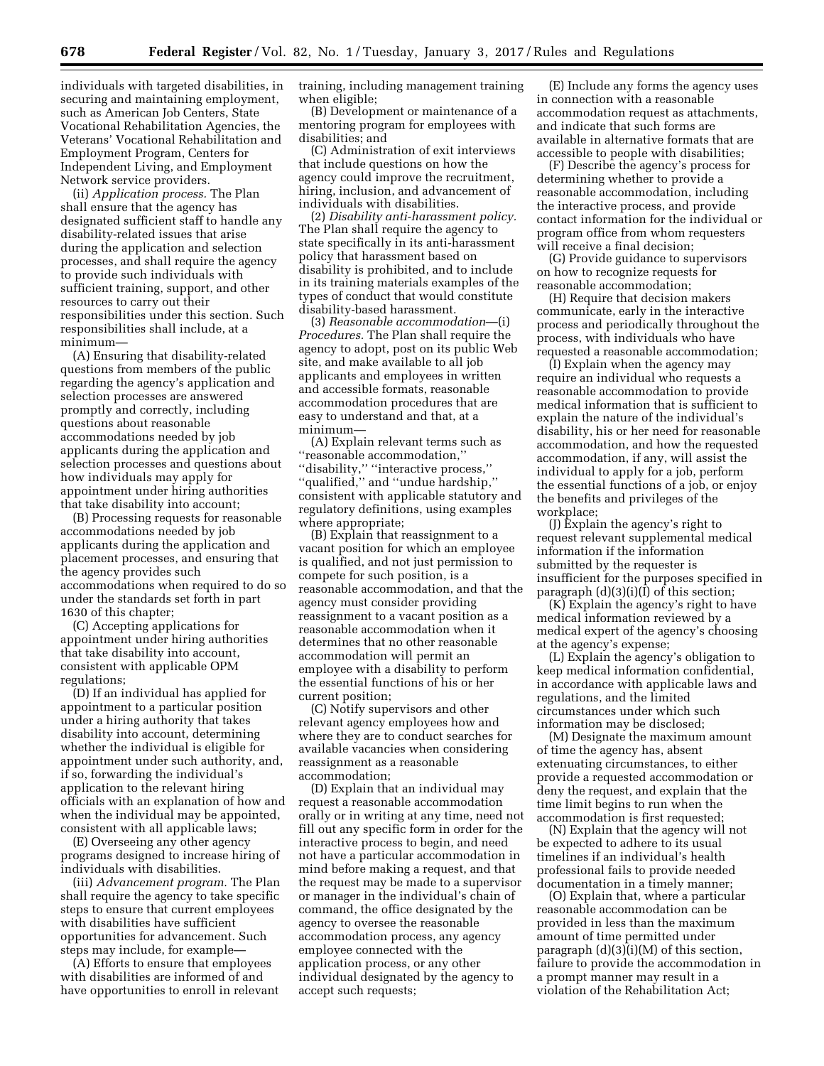individuals with targeted disabilities, in securing and maintaining employment, such as American Job Centers, State Vocational Rehabilitation Agencies, the Veterans' Vocational Rehabilitation and Employment Program, Centers for Independent Living, and Employment Network service providers.

(ii) *Application process.* The Plan shall ensure that the agency has designated sufficient staff to handle any disability-related issues that arise during the application and selection processes, and shall require the agency to provide such individuals with sufficient training, support, and other resources to carry out their responsibilities under this section. Such responsibilities shall include, at a minimum—

(A) Ensuring that disability-related questions from members of the public regarding the agency's application and selection processes are answered promptly and correctly, including questions about reasonable accommodations needed by job applicants during the application and selection processes and questions about how individuals may apply for appointment under hiring authorities that take disability into account;

(B) Processing requests for reasonable accommodations needed by job applicants during the application and placement processes, and ensuring that the agency provides such accommodations when required to do so under the standards set forth in part 1630 of this chapter;

(C) Accepting applications for appointment under hiring authorities that take disability into account, consistent with applicable OPM regulations;

(D) If an individual has applied for appointment to a particular position under a hiring authority that takes disability into account, determining whether the individual is eligible for appointment under such authority, and, if so, forwarding the individual's application to the relevant hiring officials with an explanation of how and when the individual may be appointed, consistent with all applicable laws;

(E) Overseeing any other agency programs designed to increase hiring of individuals with disabilities.

(iii) *Advancement program.* The Plan shall require the agency to take specific steps to ensure that current employees with disabilities have sufficient opportunities for advancement. Such steps may include, for example—

(A) Efforts to ensure that employees with disabilities are informed of and have opportunities to enroll in relevant training, including management training when eligible;

(B) Development or maintenance of a mentoring program for employees with disabilities; and

(C) Administration of exit interviews that include questions on how the agency could improve the recruitment, hiring, inclusion, and advancement of individuals with disabilities.

(2) *Disability anti-harassment policy.*  The Plan shall require the agency to state specifically in its anti-harassment policy that harassment based on disability is prohibited, and to include in its training materials examples of the types of conduct that would constitute disability-based harassment.

(3) *Reasonable accommodation*—(i) *Procedures.* The Plan shall require the agency to adopt, post on its public Web site, and make available to all job applicants and employees in written and accessible formats, reasonable accommodation procedures that are easy to understand and that, at a minimum—

(A) Explain relevant terms such as ''reasonable accommodation,'' ''disability,'' ''interactive process,'' ''qualified,'' and ''undue hardship,'' consistent with applicable statutory and regulatory definitions, using examples where appropriate;

(B) Explain that reassignment to a vacant position for which an employee is qualified, and not just permission to compete for such position, is a reasonable accommodation, and that the agency must consider providing reassignment to a vacant position as a reasonable accommodation when it determines that no other reasonable accommodation will permit an employee with a disability to perform the essential functions of his or her current position;

(C) Notify supervisors and other relevant agency employees how and where they are to conduct searches for available vacancies when considering reassignment as a reasonable accommodation;

(D) Explain that an individual may request a reasonable accommodation orally or in writing at any time, need not fill out any specific form in order for the interactive process to begin, and need not have a particular accommodation in mind before making a request, and that the request may be made to a supervisor or manager in the individual's chain of command, the office designated by the agency to oversee the reasonable accommodation process, any agency employee connected with the application process, or any other individual designated by the agency to accept such requests;

(E) Include any forms the agency uses in connection with a reasonable accommodation request as attachments, and indicate that such forms are available in alternative formats that are accessible to people with disabilities;

(F) Describe the agency's process for determining whether to provide a reasonable accommodation, including the interactive process, and provide contact information for the individual or program office from whom requesters will receive a final decision;

(G) Provide guidance to supervisors on how to recognize requests for reasonable accommodation;

(H) Require that decision makers communicate, early in the interactive process and periodically throughout the process, with individuals who have requested a reasonable accommodation;

(I) Explain when the agency may require an individual who requests a reasonable accommodation to provide medical information that is sufficient to explain the nature of the individual's disability, his or her need for reasonable accommodation, and how the requested accommodation, if any, will assist the individual to apply for a job, perform the essential functions of a job, or enjoy the benefits and privileges of the workplace;

(J) Explain the agency's right to request relevant supplemental medical information if the information submitted by the requester is insufficient for the purposes specified in paragraph  $(d)(3)(i)(I)$  of this section;

(K) Explain the agency's right to have medical information reviewed by a medical expert of the agency's choosing at the agency's expense;

(L) Explain the agency's obligation to keep medical information confidential, in accordance with applicable laws and regulations, and the limited circumstances under which such information may be disclosed;

(M) Designate the maximum amount of time the agency has, absent extenuating circumstances, to either provide a requested accommodation or deny the request, and explain that the time limit begins to run when the accommodation is first requested;

(N) Explain that the agency will not be expected to adhere to its usual timelines if an individual's health professional fails to provide needed documentation in a timely manner;

(O) Explain that, where a particular reasonable accommodation can be provided in less than the maximum amount of time permitted under paragraph  $(d)(3)(i)(M)$  of this section, failure to provide the accommodation in a prompt manner may result in a violation of the Rehabilitation Act;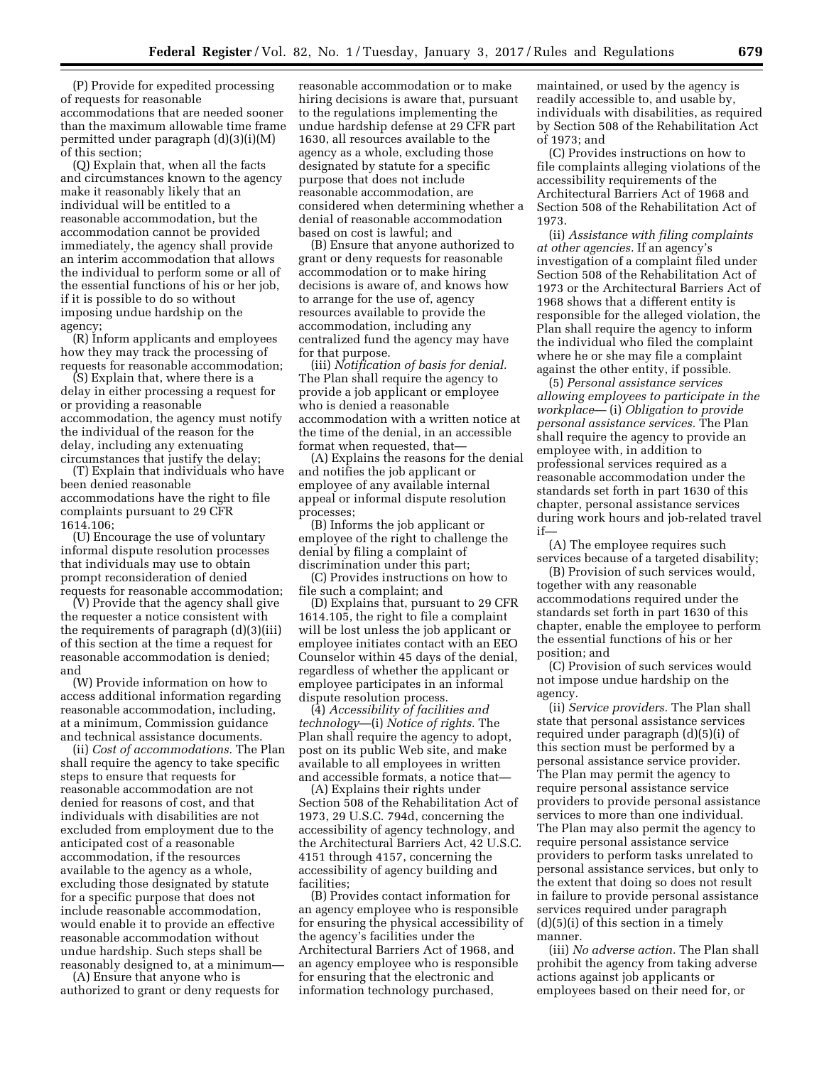(P) Provide for expedited processing of requests for reasonable accommodations that are needed sooner than the maximum allowable time frame permitted under paragraph (d)(3)(i)(M) of this section;

(Q) Explain that, when all the facts and circumstances known to the agency make it reasonably likely that an individual will be entitled to a reasonable accommodation, but the accommodation cannot be provided immediately, the agency shall provide an interim accommodation that allows the individual to perform some or all of the essential functions of his or her job, if it is possible to do so without imposing undue hardship on the agency;

(R) Inform applicants and employees how they may track the processing of requests for reasonable accommodation;

(S) Explain that, where there is a delay in either processing a request for or providing a reasonable accommodation, the agency must notify the individual of the reason for the delay, including any extenuating circumstances that justify the delay;

(T) Explain that individuals who have been denied reasonable accommodations have the right to file complaints pursuant to 29 CFR 1614.106;

(U) Encourage the use of voluntary informal dispute resolution processes that individuals may use to obtain prompt reconsideration of denied requests for reasonable accommodation;

(V) Provide that the agency shall give the requester a notice consistent with the requirements of paragraph (d)(3)(iii) of this section at the time a request for reasonable accommodation is denied; and

(W) Provide information on how to access additional information regarding reasonable accommodation, including, at a minimum, Commission guidance and technical assistance documents.

(ii) *Cost of accommodations.* The Plan shall require the agency to take specific steps to ensure that requests for reasonable accommodation are not denied for reasons of cost, and that individuals with disabilities are not excluded from employment due to the anticipated cost of a reasonable accommodation, if the resources available to the agency as a whole, excluding those designated by statute for a specific purpose that does not include reasonable accommodation, would enable it to provide an effective reasonable accommodation without undue hardship. Such steps shall be reasonably designed to, at a minimum—

(A) Ensure that anyone who is authorized to grant or deny requests for

reasonable accommodation or to make hiring decisions is aware that, pursuant to the regulations implementing the undue hardship defense at 29 CFR part 1630, all resources available to the agency as a whole, excluding those designated by statute for a specific purpose that does not include reasonable accommodation, are considered when determining whether a denial of reasonable accommodation based on cost is lawful; and

(B) Ensure that anyone authorized to grant or deny requests for reasonable accommodation or to make hiring decisions is aware of, and knows how to arrange for the use of, agency resources available to provide the accommodation, including any centralized fund the agency may have for that purpose.

(iii) *Notification of basis for denial.*  The Plan shall require the agency to provide a job applicant or employee who is denied a reasonable accommodation with a written notice at the time of the denial, in an accessible format when requested, that—

(A) Explains the reasons for the denial and notifies the job applicant or employee of any available internal appeal or informal dispute resolution processes;

(B) Informs the job applicant or employee of the right to challenge the denial by filing a complaint of discrimination under this part;

(C) Provides instructions on how to file such a complaint; and

(D) Explains that, pursuant to 29 CFR 1614.105, the right to file a complaint will be lost unless the job applicant or employee initiates contact with an EEO Counselor within 45 days of the denial, regardless of whether the applicant or employee participates in an informal dispute resolution process.

(4) *Accessibility of facilities and technology*—(i) *Notice of rights.* The Plan shall require the agency to adopt, post on its public Web site, and make available to all employees in written and accessible formats, a notice that—

(A) Explains their rights under Section 508 of the Rehabilitation Act of 1973, 29 U.S.C. 794d, concerning the accessibility of agency technology, and the Architectural Barriers Act, 42 U.S.C. 4151 through 4157, concerning the accessibility of agency building and facilities;

(B) Provides contact information for an agency employee who is responsible for ensuring the physical accessibility of the agency's facilities under the Architectural Barriers Act of 1968, and an agency employee who is responsible for ensuring that the electronic and information technology purchased,

maintained, or used by the agency is readily accessible to, and usable by, individuals with disabilities, as required by Section 508 of the Rehabilitation Act of  $1973$ ; and

(C) Provides instructions on how to file complaints alleging violations of the accessibility requirements of the Architectural Barriers Act of 1968 and Section 508 of the Rehabilitation Act of 1973.

(ii) *Assistance with filing complaints at other agencies.* If an agency's investigation of a complaint filed under Section 508 of the Rehabilitation Act of 1973 or the Architectural Barriers Act of 1968 shows that a different entity is responsible for the alleged violation, the Plan shall require the agency to inform the individual who filed the complaint where he or she may file a complaint against the other entity, if possible.

(5) *Personal assistance services allowing employees to participate in the workplace*— (i) *Obligation to provide personal assistance services.* The Plan shall require the agency to provide an employee with, in addition to professional services required as a reasonable accommodation under the standards set forth in part 1630 of this chapter, personal assistance services during work hours and job-related travel if—

(A) The employee requires such services because of a targeted disability;

(B) Provision of such services would, together with any reasonable accommodations required under the standards set forth in part 1630 of this chapter, enable the employee to perform the essential functions of his or her position; and

(C) Provision of such services would not impose undue hardship on the agency.

(ii) *Service providers.* The Plan shall state that personal assistance services required under paragraph (d)(5)(i) of this section must be performed by a personal assistance service provider. The Plan may permit the agency to require personal assistance service providers to provide personal assistance services to more than one individual. The Plan may also permit the agency to require personal assistance service providers to perform tasks unrelated to personal assistance services, but only to the extent that doing so does not result in failure to provide personal assistance services required under paragraph  $(d)(5)(i)$  of this section in a timely manner.

(iii) *No adverse action.* The Plan shall prohibit the agency from taking adverse actions against job applicants or employees based on their need for, or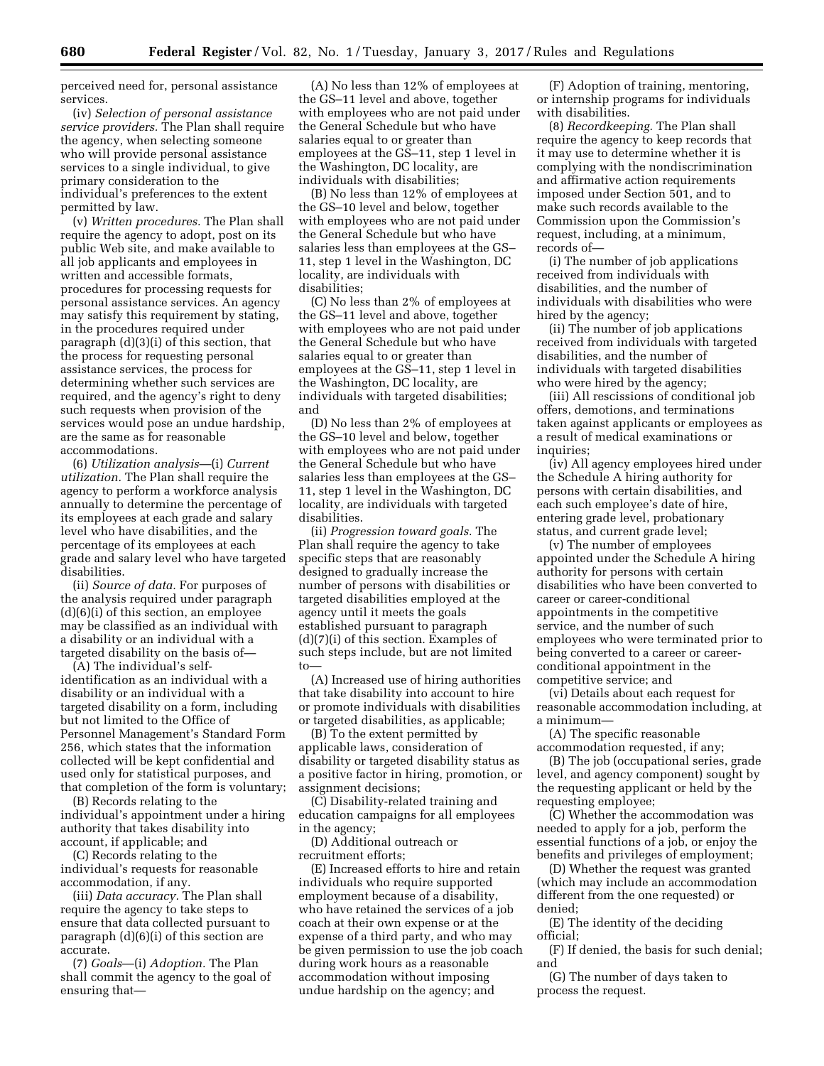perceived need for, personal assistance services.

(iv) *Selection of personal assistance service providers.* The Plan shall require the agency, when selecting someone who will provide personal assistance services to a single individual, to give primary consideration to the individual's preferences to the extent permitted by law.

(v) *Written procedures.* The Plan shall require the agency to adopt, post on its public Web site, and make available to all job applicants and employees in written and accessible formats, procedures for processing requests for personal assistance services. An agency may satisfy this requirement by stating, in the procedures required under paragraph (d)(3)(i) of this section, that the process for requesting personal assistance services, the process for determining whether such services are required, and the agency's right to deny such requests when provision of the services would pose an undue hardship, are the same as for reasonable accommodations.

(6) *Utilization analysis*—(i) *Current utilization.* The Plan shall require the agency to perform a workforce analysis annually to determine the percentage of its employees at each grade and salary level who have disabilities, and the percentage of its employees at each grade and salary level who have targeted disabilities.

(ii) *Source of data.* For purposes of the analysis required under paragraph (d)(6)(i) of this section, an employee may be classified as an individual with a disability or an individual with a targeted disability on the basis of—

(A) The individual's selfidentification as an individual with a disability or an individual with a targeted disability on a form, including but not limited to the Office of Personnel Management's Standard Form 256, which states that the information collected will be kept confidential and used only for statistical purposes, and that completion of the form is voluntary;

(B) Records relating to the individual's appointment under a hiring authority that takes disability into account, if applicable; and

(C) Records relating to the individual's requests for reasonable accommodation, if any.

(iii) *Data accuracy.* The Plan shall require the agency to take steps to ensure that data collected pursuant to paragraph (d)(6)(i) of this section are accurate.

(7) *Goals*—(i) *Adoption.* The Plan shall commit the agency to the goal of ensuring that—

(A) No less than 12% of employees at the GS–11 level and above, together with employees who are not paid under the General Schedule but who have salaries equal to or greater than employees at the GS–11, step 1 level in the Washington, DC locality, are individuals with disabilities;

(B) No less than 12% of employees at the GS–10 level and below, together with employees who are not paid under the General Schedule but who have salaries less than employees at the GS– 11, step 1 level in the Washington, DC locality, are individuals with disabilities;

(C) No less than 2% of employees at the GS–11 level and above, together with employees who are not paid under the General Schedule but who have salaries equal to or greater than employees at the GS–11, step 1 level in the Washington, DC locality, are individuals with targeted disabilities; and

(D) No less than 2% of employees at the GS–10 level and below, together with employees who are not paid under the General Schedule but who have salaries less than employees at the GS– 11, step 1 level in the Washington, DC locality, are individuals with targeted disabilities.

(ii) *Progression toward goals.* The Plan shall require the agency to take specific steps that are reasonably designed to gradually increase the number of persons with disabilities or targeted disabilities employed at the agency until it meets the goals established pursuant to paragraph (d)(7)(i) of this section. Examples of such steps include, but are not limited to—

(A) Increased use of hiring authorities that take disability into account to hire or promote individuals with disabilities or targeted disabilities, as applicable;

(B) To the extent permitted by applicable laws, consideration of disability or targeted disability status as a positive factor in hiring, promotion, or assignment decisions;

(C) Disability-related training and education campaigns for all employees in the agency;

(D) Additional outreach or recruitment efforts;

(E) Increased efforts to hire and retain individuals who require supported employment because of a disability, who have retained the services of a job coach at their own expense or at the expense of a third party, and who may be given permission to use the job coach during work hours as a reasonable accommodation without imposing undue hardship on the agency; and

(F) Adoption of training, mentoring, or internship programs for individuals with disabilities.

(8) *Recordkeeping.* The Plan shall require the agency to keep records that it may use to determine whether it is complying with the nondiscrimination and affirmative action requirements imposed under Section 501, and to make such records available to the Commission upon the Commission's request, including, at a minimum, records of—

(i) The number of job applications received from individuals with disabilities, and the number of individuals with disabilities who were hired by the agency;

(ii) The number of job applications received from individuals with targeted disabilities, and the number of individuals with targeted disabilities who were hired by the agency;

(iii) All rescissions of conditional job offers, demotions, and terminations taken against applicants or employees as a result of medical examinations or inquiries;

(iv) All agency employees hired under the Schedule A hiring authority for persons with certain disabilities, and each such employee's date of hire, entering grade level, probationary status, and current grade level;

(v) The number of employees appointed under the Schedule A hiring authority for persons with certain disabilities who have been converted to career or career-conditional appointments in the competitive service, and the number of such employees who were terminated prior to being converted to a career or careerconditional appointment in the competitive service; and

(vi) Details about each request for reasonable accommodation including, at a minimum—

(A) The specific reasonable accommodation requested, if any;

(B) The job (occupational series, grade level, and agency component) sought by the requesting applicant or held by the requesting employee;

(C) Whether the accommodation was needed to apply for a job, perform the essential functions of a job, or enjoy the benefits and privileges of employment;

(D) Whether the request was granted (which may include an accommodation different from the one requested) or denied;

(E) The identity of the deciding official;

(F) If denied, the basis for such denial; and

(G) The number of days taken to process the request.